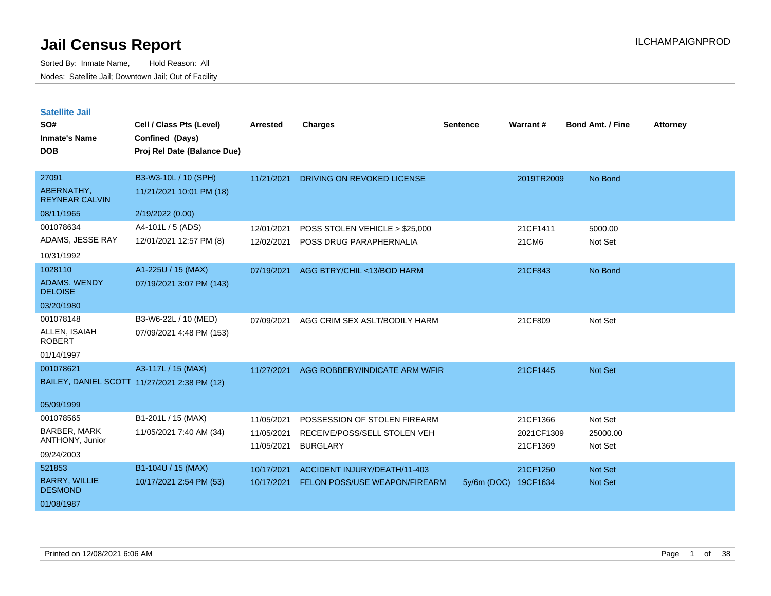| <b>Satellite Jail</b> |  |
|-----------------------|--|
|-----------------------|--|

| SO#<br><b>Inmate's Name</b><br><b>DOB</b>                         | Cell / Class Pts (Level)<br>Confined (Days)<br>Proj Rel Date (Balance Due) | <b>Arrested</b>                        | <b>Charges</b>                                                                  | <b>Sentence</b> | Warrant#                           | <b>Bond Amt. / Fine</b>          | <b>Attorney</b> |
|-------------------------------------------------------------------|----------------------------------------------------------------------------|----------------------------------------|---------------------------------------------------------------------------------|-----------------|------------------------------------|----------------------------------|-----------------|
| 27091<br>ABERNATHY,<br><b>REYNEAR CALVIN</b><br>08/11/1965        | B3-W3-10L / 10 (SPH)<br>11/21/2021 10:01 PM (18)<br>2/19/2022 (0.00)       | 11/21/2021                             | DRIVING ON REVOKED LICENSE                                                      |                 | 2019TR2009                         | No Bond                          |                 |
| 001078634<br>ADAMS, JESSE RAY<br>10/31/1992                       | A4-101L / 5 (ADS)<br>12/01/2021 12:57 PM (8)                               | 12/01/2021<br>12/02/2021               | POSS STOLEN VEHICLE > \$25,000<br>POSS DRUG PARAPHERNALIA                       |                 | 21CF1411<br>21CM6                  | 5000.00<br>Not Set               |                 |
| 1028110<br>ADAMS, WENDY<br><b>DELOISE</b><br>03/20/1980           | A1-225U / 15 (MAX)<br>07/19/2021 3:07 PM (143)                             | 07/19/2021                             | AGG BTRY/CHIL <13/BOD HARM                                                      |                 | 21CF843                            | No Bond                          |                 |
| 001078148<br>ALLEN, ISAIAH<br><b>ROBERT</b><br>01/14/1997         | B3-W6-22L / 10 (MED)<br>07/09/2021 4:48 PM (153)                           | 07/09/2021                             | AGG CRIM SEX ASLT/BODILY HARM                                                   |                 | 21CF809                            | Not Set                          |                 |
| 001078621<br>05/09/1999                                           | A3-117L / 15 (MAX)<br>BAILEY, DANIEL SCOTT 11/27/2021 2:38 PM (12)         | 11/27/2021                             | AGG ROBBERY/INDICATE ARM W/FIR                                                  |                 | 21CF1445                           | Not Set                          |                 |
| 001078565<br><b>BARBER, MARK</b><br>ANTHONY, Junior<br>09/24/2003 | B1-201L / 15 (MAX)<br>11/05/2021 7:40 AM (34)                              | 11/05/2021<br>11/05/2021<br>11/05/2021 | POSSESSION OF STOLEN FIREARM<br>RECEIVE/POSS/SELL STOLEN VEH<br><b>BURGLARY</b> |                 | 21CF1366<br>2021CF1309<br>21CF1369 | Not Set<br>25000.00<br>Not Set   |                 |
| 521853<br><b>BARRY, WILLIE</b><br><b>DESMOND</b><br>01/08/1987    | B1-104U / 15 (MAX)<br>10/17/2021 2:54 PM (53)                              | 10/17/2021<br>10/17/2021               | ACCIDENT INJURY/DEATH/11-403<br>FELON POSS/USE WEAPON/FIREARM                   | $5y/6m$ (DOC)   | 21CF1250<br>19CF1634               | <b>Not Set</b><br><b>Not Set</b> |                 |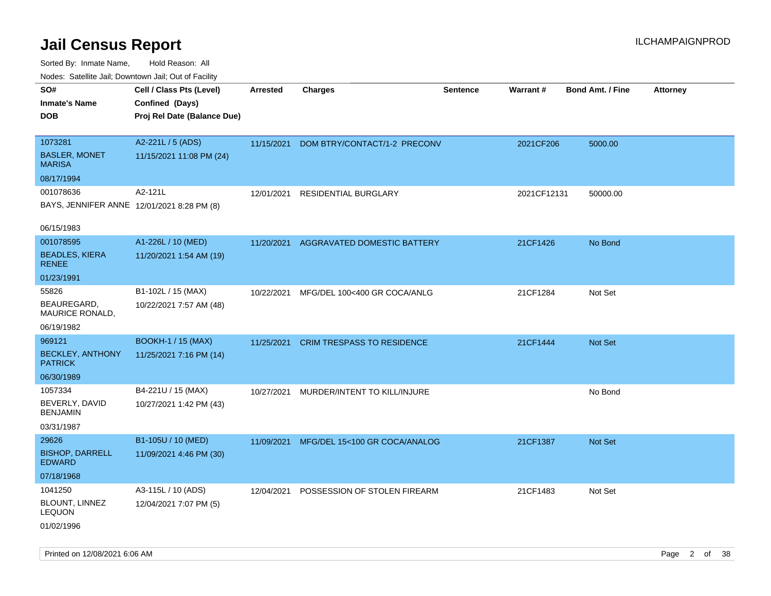| ivouss. Satellite Jali, Downtown Jali, Out of Facility |                             |                 |                                   |                 |             |                         |                 |
|--------------------------------------------------------|-----------------------------|-----------------|-----------------------------------|-----------------|-------------|-------------------------|-----------------|
| SO#                                                    | Cell / Class Pts (Level)    | <b>Arrested</b> | <b>Charges</b>                    | <b>Sentence</b> | Warrant#    | <b>Bond Amt. / Fine</b> | <b>Attorney</b> |
| Inmate's Name                                          | Confined (Days)             |                 |                                   |                 |             |                         |                 |
| <b>DOB</b>                                             | Proj Rel Date (Balance Due) |                 |                                   |                 |             |                         |                 |
|                                                        |                             |                 |                                   |                 |             |                         |                 |
| 1073281                                                | A2-221L / 5 (ADS)           | 11/15/2021      | DOM BTRY/CONTACT/1-2 PRECONV      |                 | 2021CF206   | 5000.00                 |                 |
| <b>BASLER, MONET</b><br>MARISA                         | 11/15/2021 11:08 PM (24)    |                 |                                   |                 |             |                         |                 |
| 08/17/1994                                             |                             |                 |                                   |                 |             |                         |                 |
| 001078636                                              | A2-121L                     | 12/01/2021      | <b>RESIDENTIAL BURGLARY</b>       |                 | 2021CF12131 | 50000.00                |                 |
| BAYS, JENNIFER ANNE 12/01/2021 8:28 PM (8)             |                             |                 |                                   |                 |             |                         |                 |
| 06/15/1983                                             |                             |                 |                                   |                 |             |                         |                 |
| 001078595                                              | A1-226L / 10 (MED)          | 11/20/2021      | AGGRAVATED DOMESTIC BATTERY       |                 | 21CF1426    | No Bond                 |                 |
| <b>BEADLES, KIERA</b><br><b>RENEE</b>                  | 11/20/2021 1:54 AM (19)     |                 |                                   |                 |             |                         |                 |
| 01/23/1991                                             |                             |                 |                                   |                 |             |                         |                 |
| 55826                                                  | B1-102L / 15 (MAX)          | 10/22/2021      | MFG/DEL 100<400 GR COCA/ANLG      |                 | 21CF1284    | Not Set                 |                 |
| BEAUREGARD,<br>MAURICE RONALD,                         | 10/22/2021 7:57 AM (48)     |                 |                                   |                 |             |                         |                 |
| 06/19/1982                                             |                             |                 |                                   |                 |             |                         |                 |
| 969121                                                 | <b>BOOKH-1 / 15 (MAX)</b>   | 11/25/2021      | <b>CRIM TRESPASS TO RESIDENCE</b> |                 | 21CF1444    | Not Set                 |                 |
| <b>BECKLEY, ANTHONY</b><br><b>PATRICK</b>              | 11/25/2021 7:16 PM (14)     |                 |                                   |                 |             |                         |                 |
| 06/30/1989                                             |                             |                 |                                   |                 |             |                         |                 |
| 1057334                                                | B4-221U / 15 (MAX)          | 10/27/2021      | MURDER/INTENT TO KILL/INJURE      |                 |             | No Bond                 |                 |
| BEVERLY, DAVID<br>BENJAMIN                             | 10/27/2021 1:42 PM (43)     |                 |                                   |                 |             |                         |                 |
| 03/31/1987                                             |                             |                 |                                   |                 |             |                         |                 |
| 29626                                                  | B1-105U / 10 (MED)          | 11/09/2021      | MFG/DEL 15<100 GR COCA/ANALOG     |                 | 21CF1387    | Not Set                 |                 |
| <b>BISHOP, DARRELL</b><br><b>EDWARD</b>                | 11/09/2021 4:46 PM (30)     |                 |                                   |                 |             |                         |                 |
| 07/18/1968                                             |                             |                 |                                   |                 |             |                         |                 |
| 1041250                                                | A3-115L / 10 (ADS)          | 12/04/2021      | POSSESSION OF STOLEN FIREARM      |                 | 21CF1483    | Not Set                 |                 |
| BLOUNT, LINNEZ<br>LEQUON                               | 12/04/2021 7:07 PM (5)      |                 |                                   |                 |             |                         |                 |
| 01/02/1996                                             |                             |                 |                                   |                 |             |                         |                 |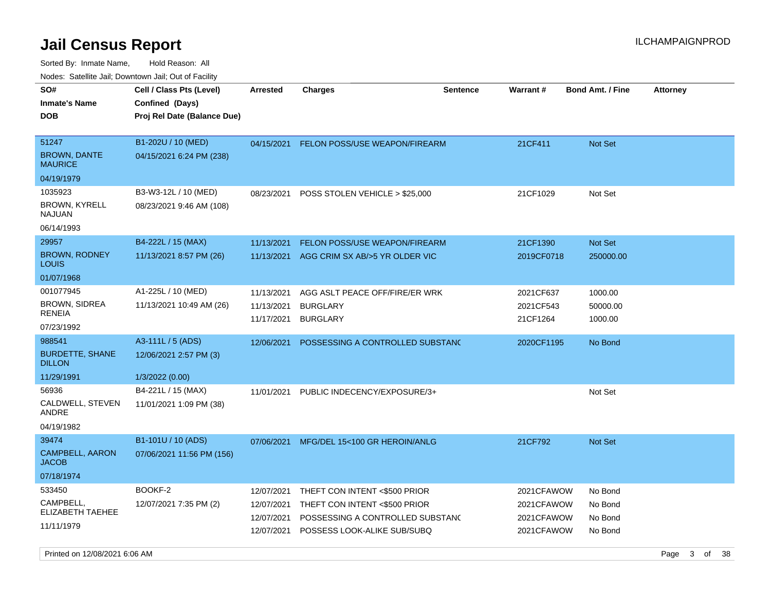Sorted By: Inmate Name, Hold Reason: All Nodes: Satellite Jail; Downtown Jail; Out of Facility

| ivoues. Salellite Jali, Downtown Jali, Out of Facility |                             |                 |                                      |                 |                 |                         |                 |
|--------------------------------------------------------|-----------------------------|-----------------|--------------------------------------|-----------------|-----------------|-------------------------|-----------------|
| SO#                                                    | Cell / Class Pts (Level)    | <b>Arrested</b> | <b>Charges</b>                       | <b>Sentence</b> | <b>Warrant#</b> | <b>Bond Amt. / Fine</b> | <b>Attorney</b> |
| Inmate's Name                                          | Confined (Days)             |                 |                                      |                 |                 |                         |                 |
| DOB                                                    | Proj Rel Date (Balance Due) |                 |                                      |                 |                 |                         |                 |
|                                                        |                             |                 |                                      |                 |                 |                         |                 |
| 51247                                                  | B1-202U / 10 (MED)          | 04/15/2021      | <b>FELON POSS/USE WEAPON/FIREARM</b> |                 | 21CF411         | <b>Not Set</b>          |                 |
| <b>BROWN, DANTE</b><br>MAURICE                         | 04/15/2021 6:24 PM (238)    |                 |                                      |                 |                 |                         |                 |
| 04/19/1979                                             |                             |                 |                                      |                 |                 |                         |                 |
| 1035923                                                | B3-W3-12L / 10 (MED)        | 08/23/2021      | POSS STOLEN VEHICLE > \$25,000       |                 | 21CF1029        | Not Set                 |                 |
| <b>BROWN, KYRELL</b><br>NAJUAN                         | 08/23/2021 9:46 AM (108)    |                 |                                      |                 |                 |                         |                 |
| 06/14/1993                                             |                             |                 |                                      |                 |                 |                         |                 |
| 29957                                                  | B4-222L / 15 (MAX)          | 11/13/2021      | FELON POSS/USE WEAPON/FIREARM        |                 | 21CF1390        | <b>Not Set</b>          |                 |
| <b>BROWN, RODNEY</b><br><b>LOUIS</b>                   | 11/13/2021 8:57 PM (26)     | 11/13/2021      | AGG CRIM SX AB/>5 YR OLDER VIC       |                 | 2019CF0718      | 250000.00               |                 |
| 01/07/1968                                             |                             |                 |                                      |                 |                 |                         |                 |
| 001077945                                              | A1-225L / 10 (MED)          | 11/13/2021      | AGG ASLT PEACE OFF/FIRE/ER WRK       |                 | 2021CF637       | 1000.00                 |                 |
| <b>BROWN, SIDREA</b>                                   | 11/13/2021 10:49 AM (26)    | 11/13/2021      | <b>BURGLARY</b>                      |                 | 2021CF543       | 50000.00                |                 |
| RENEIA                                                 |                             | 11/17/2021      | <b>BURGLARY</b>                      |                 | 21CF1264        | 1000.00                 |                 |
| 07/23/1992                                             |                             |                 |                                      |                 |                 |                         |                 |
| 988541                                                 | A3-111L / 5 (ADS)           | 12/06/2021      | POSSESSING A CONTROLLED SUBSTAND     |                 | 2020CF1195      | No Bond                 |                 |
| <b>BURDETTE, SHANE</b><br><b>DILLON</b>                | 12/06/2021 2:57 PM (3)      |                 |                                      |                 |                 |                         |                 |
| 11/29/1991                                             | 1/3/2022 (0.00)             |                 |                                      |                 |                 |                         |                 |
| 56936                                                  | B4-221L / 15 (MAX)          | 11/01/2021      | PUBLIC INDECENCY/EXPOSURE/3+         |                 |                 | Not Set                 |                 |
| CALDWELL, STEVEN<br>ANDRE                              | 11/01/2021 1:09 PM (38)     |                 |                                      |                 |                 |                         |                 |
| 04/19/1982                                             |                             |                 |                                      |                 |                 |                         |                 |
| 39474                                                  | B1-101U / 10 (ADS)          | 07/06/2021      | MFG/DEL 15<100 GR HEROIN/ANLG        |                 | 21CF792         | <b>Not Set</b>          |                 |
| <b>CAMPBELL, AARON</b><br>JACOB                        | 07/06/2021 11:56 PM (156)   |                 |                                      |                 |                 |                         |                 |
| 07/18/1974                                             |                             |                 |                                      |                 |                 |                         |                 |
| 533450                                                 | BOOKF-2                     | 12/07/2021      | THEFT CON INTENT <\$500 PRIOR        |                 | 2021CFAWOW      | No Bond                 |                 |
| CAMPBELL,                                              | 12/07/2021 7:35 PM (2)      | 12/07/2021      | THEFT CON INTENT <\$500 PRIOR        |                 | 2021CFAWOW      | No Bond                 |                 |
| <b>ELIZABETH TAEHEE</b>                                |                             | 12/07/2021      | POSSESSING A CONTROLLED SUBSTAND     |                 | 2021CFAWOW      | No Bond                 |                 |
| 11/11/1979                                             |                             | 12/07/2021      | POSSESS LOOK-ALIKE SUB/SUBQ          |                 | 2021CFAWOW      | No Bond                 |                 |
|                                                        |                             |                 |                                      |                 |                 |                         |                 |

Printed on 12/08/2021 6:06 AM **Page 3 of 38**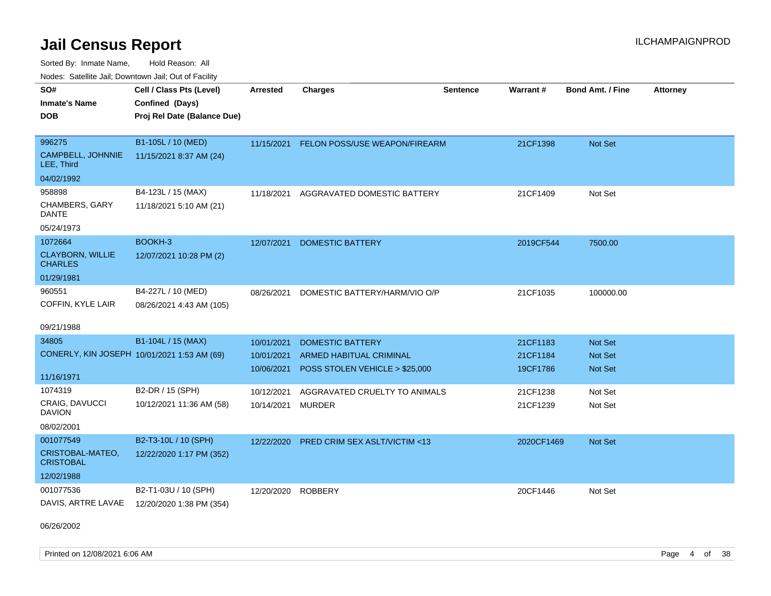Sorted By: Inmate Name, Hold Reason: All Nodes: Satellite Jail; Downtown Jail; Out of Facility

|                                             | Nuuts. Saltiille Jali, Duwilluwii Jali, Oul of Facility |                 |                                         |                 |                 |                         |                 |  |  |
|---------------------------------------------|---------------------------------------------------------|-----------------|-----------------------------------------|-----------------|-----------------|-------------------------|-----------------|--|--|
| SO#                                         | Cell / Class Pts (Level)                                | <b>Arrested</b> | <b>Charges</b>                          | <b>Sentence</b> | <b>Warrant#</b> | <b>Bond Amt. / Fine</b> | <b>Attorney</b> |  |  |
| <b>Inmate's Name</b>                        | Confined (Days)                                         |                 |                                         |                 |                 |                         |                 |  |  |
| <b>DOB</b>                                  | Proj Rel Date (Balance Due)                             |                 |                                         |                 |                 |                         |                 |  |  |
|                                             |                                                         |                 |                                         |                 |                 |                         |                 |  |  |
| 996275                                      | B1-105L / 10 (MED)                                      | 11/15/2021      | <b>FELON POSS/USE WEAPON/FIREARM</b>    |                 | 21CF1398        | Not Set                 |                 |  |  |
| <b>CAMPBELL, JOHNNIE</b><br>LEE, Third      | 11/15/2021 8:37 AM (24)                                 |                 |                                         |                 |                 |                         |                 |  |  |
| 04/02/1992                                  |                                                         |                 |                                         |                 |                 |                         |                 |  |  |
| 958898                                      | B4-123L / 15 (MAX)                                      | 11/18/2021      | AGGRAVATED DOMESTIC BATTERY             |                 | 21CF1409        | Not Set                 |                 |  |  |
| CHAMBERS, GARY<br>DANTE                     | 11/18/2021 5:10 AM (21)                                 |                 |                                         |                 |                 |                         |                 |  |  |
| 05/24/1973                                  |                                                         |                 |                                         |                 |                 |                         |                 |  |  |
| 1072664                                     | BOOKH-3                                                 | 12/07/2021      | <b>DOMESTIC BATTERY</b>                 |                 | 2019CF544       | 7500.00                 |                 |  |  |
| <b>CLAYBORN, WILLIE</b><br><b>CHARLES</b>   | 12/07/2021 10:28 PM (2)                                 |                 |                                         |                 |                 |                         |                 |  |  |
| 01/29/1981                                  |                                                         |                 |                                         |                 |                 |                         |                 |  |  |
| 960551                                      | B4-227L / 10 (MED)                                      | 08/26/2021      | DOMESTIC BATTERY/HARM/VIO O/P           |                 | 21CF1035        | 100000.00               |                 |  |  |
| COFFIN, KYLE LAIR                           | 08/26/2021 4:43 AM (105)                                |                 |                                         |                 |                 |                         |                 |  |  |
|                                             |                                                         |                 |                                         |                 |                 |                         |                 |  |  |
| 09/21/1988                                  |                                                         |                 |                                         |                 |                 |                         |                 |  |  |
| 34805                                       | B1-104L / 15 (MAX)                                      | 10/01/2021      | <b>DOMESTIC BATTERY</b>                 |                 | 21CF1183        | Not Set                 |                 |  |  |
| CONERLY, KIN JOSEPH 10/01/2021 1:53 AM (69) |                                                         | 10/01/2021      | ARMED HABITUAL CRIMINAL                 |                 | 21CF1184        | <b>Not Set</b>          |                 |  |  |
|                                             |                                                         | 10/06/2021      | POSS STOLEN VEHICLE > \$25,000          |                 | 19CF1786        | <b>Not Set</b>          |                 |  |  |
| 11/16/1971                                  |                                                         |                 |                                         |                 |                 |                         |                 |  |  |
| 1074319                                     | B2-DR / 15 (SPH)                                        | 10/12/2021      | AGGRAVATED CRUELTY TO ANIMALS           |                 | 21CF1238        | Not Set                 |                 |  |  |
| <b>CRAIG, DAVUCCI</b><br><b>DAVION</b>      | 10/12/2021 11:36 AM (58)                                | 10/14/2021      | <b>MURDER</b>                           |                 | 21CF1239        | Not Set                 |                 |  |  |
| 08/02/2001                                  |                                                         |                 |                                         |                 |                 |                         |                 |  |  |
| 001077549                                   | B2-T3-10L / 10 (SPH)                                    | 12/22/2020      | <b>PRED CRIM SEX ASLT/VICTIM &lt;13</b> |                 | 2020CF1469      | <b>Not Set</b>          |                 |  |  |
| CRISTOBAL-MATEO,<br><b>CRISTOBAL</b>        | 12/22/2020 1:17 PM (352)                                |                 |                                         |                 |                 |                         |                 |  |  |
| 12/02/1988                                  |                                                         |                 |                                         |                 |                 |                         |                 |  |  |
| 001077536                                   | B2-T1-03U / 10 (SPH)                                    | 12/20/2020      | <b>ROBBERY</b>                          |                 | 20CF1446        | Not Set                 |                 |  |  |
| DAVIS, ARTRE LAVAE                          | 12/20/2020 1:38 PM (354)                                |                 |                                         |                 |                 |                         |                 |  |  |

06/26/2002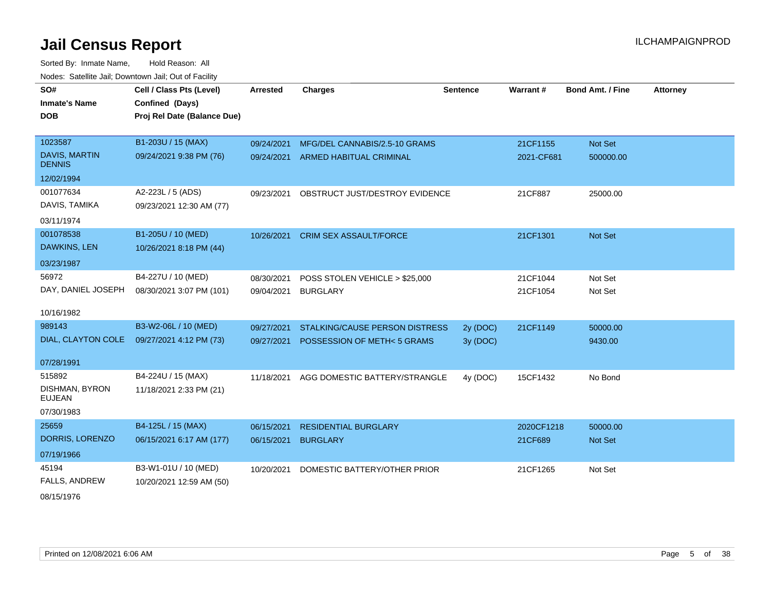Sorted By: Inmate Name, Hold Reason: All Nodes: Satellite Jail; Downtown Jail; Out of Facility

| SO#<br><b>Inmate's Name</b>           | Cell / Class Pts (Level)<br>Confined (Days) | <b>Arrested</b> | <b>Charges</b>                         | <b>Sentence</b> | <b>Warrant#</b> | <b>Bond Amt. / Fine</b> | <b>Attorney</b> |
|---------------------------------------|---------------------------------------------|-----------------|----------------------------------------|-----------------|-----------------|-------------------------|-----------------|
| <b>DOB</b>                            | Proj Rel Date (Balance Due)                 |                 |                                        |                 |                 |                         |                 |
| 1023587                               | B1-203U / 15 (MAX)                          | 09/24/2021      | MFG/DEL CANNABIS/2.5-10 GRAMS          |                 | 21CF1155        | Not Set                 |                 |
| <b>DAVIS, MARTIN</b><br><b>DENNIS</b> | 09/24/2021 9:38 PM (76)                     |                 | 09/24/2021 ARMED HABITUAL CRIMINAL     |                 | 2021-CF681      | 500000.00               |                 |
| 12/02/1994                            |                                             |                 |                                        |                 |                 |                         |                 |
| 001077634                             | A2-223L / 5 (ADS)                           | 09/23/2021      | OBSTRUCT JUST/DESTROY EVIDENCE         |                 | 21CF887         | 25000.00                |                 |
| DAVIS, TAMIKA                         | 09/23/2021 12:30 AM (77)                    |                 |                                        |                 |                 |                         |                 |
| 03/11/1974                            |                                             |                 |                                        |                 |                 |                         |                 |
| 001078538                             | B1-205U / 10 (MED)                          | 10/26/2021      | <b>CRIM SEX ASSAULT/FORCE</b>          |                 | 21CF1301        | Not Set                 |                 |
| DAWKINS, LEN                          | 10/26/2021 8:18 PM (44)                     |                 |                                        |                 |                 |                         |                 |
| 03/23/1987                            |                                             |                 |                                        |                 |                 |                         |                 |
| 56972                                 | B4-227U / 10 (MED)                          | 08/30/2021      | POSS STOLEN VEHICLE > \$25,000         |                 | 21CF1044        | Not Set                 |                 |
| DAY, DANIEL JOSEPH                    | 08/30/2021 3:07 PM (101)                    | 09/04/2021      | <b>BURGLARY</b>                        |                 | 21CF1054        | Not Set                 |                 |
| 10/16/1982                            |                                             |                 |                                        |                 |                 |                         |                 |
| 989143                                | B3-W2-06L / 10 (MED)                        | 09/27/2021      | <b>STALKING/CAUSE PERSON DISTRESS</b>  | 2y (DOC)        | 21CF1149        | 50000.00                |                 |
| DIAL, CLAYTON COLE                    | 09/27/2021 4:12 PM (73)                     |                 | 09/27/2021 POSSESSION OF METH< 5 GRAMS | 3y (DOC)        |                 | 9430.00                 |                 |
| 07/28/1991                            |                                             |                 |                                        |                 |                 |                         |                 |
| 515892                                | B4-224U / 15 (MAX)                          | 11/18/2021      | AGG DOMESTIC BATTERY/STRANGLE          | 4y (DOC)        | 15CF1432        | No Bond                 |                 |
| DISHMAN, BYRON                        | 11/18/2021 2:33 PM (21)                     |                 |                                        |                 |                 |                         |                 |
| <b>EUJEAN</b>                         |                                             |                 |                                        |                 |                 |                         |                 |
| 07/30/1983                            |                                             |                 |                                        |                 |                 |                         |                 |
| 25659                                 | B4-125L / 15 (MAX)                          | 06/15/2021      | <b>RESIDENTIAL BURGLARY</b>            |                 | 2020CF1218      | 50000.00                |                 |
| DORRIS, LORENZO                       | 06/15/2021 6:17 AM (177)                    | 06/15/2021      | <b>BURGLARY</b>                        |                 | 21CF689         | Not Set                 |                 |
| 07/19/1966                            |                                             |                 |                                        |                 |                 |                         |                 |
| 45194                                 | B3-W1-01U / 10 (MED)                        | 10/20/2021      | DOMESTIC BATTERY/OTHER PRIOR           |                 | 21CF1265        | Not Set                 |                 |
| <b>FALLS, ANDREW</b>                  | 10/20/2021 12:59 AM (50)                    |                 |                                        |                 |                 |                         |                 |
| 08/15/1076                            |                                             |                 |                                        |                 |                 |                         |                 |

08/15/1976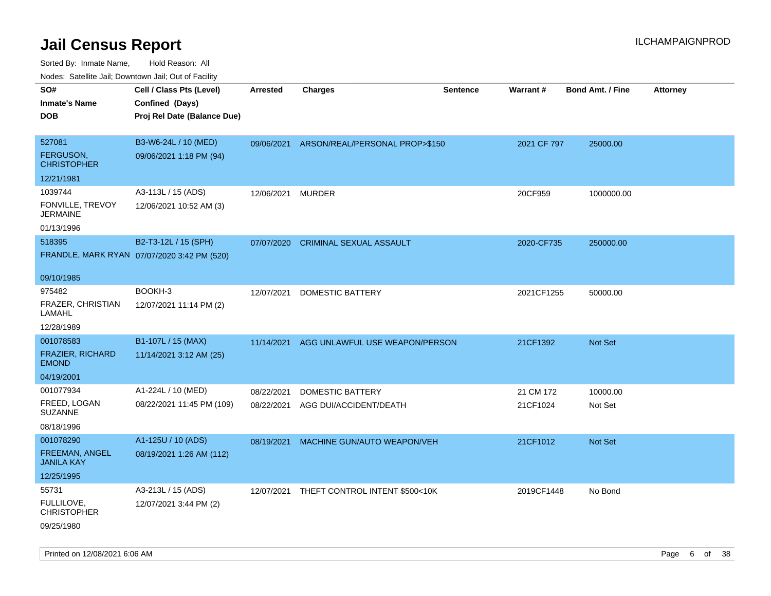| ivouss. Saleling Jali, Downtown Jali, Out of Facility |                                             |                 |                                |                 |                 |                         |                 |
|-------------------------------------------------------|---------------------------------------------|-----------------|--------------------------------|-----------------|-----------------|-------------------------|-----------------|
| SO#                                                   | Cell / Class Pts (Level)                    | <b>Arrested</b> | <b>Charges</b>                 | <b>Sentence</b> | <b>Warrant#</b> | <b>Bond Amt. / Fine</b> | <b>Attorney</b> |
| <b>Inmate's Name</b>                                  | Confined (Days)                             |                 |                                |                 |                 |                         |                 |
| <b>DOB</b>                                            | Proj Rel Date (Balance Due)                 |                 |                                |                 |                 |                         |                 |
|                                                       |                                             |                 |                                |                 |                 |                         |                 |
| 527081                                                | B3-W6-24L / 10 (MED)                        | 09/06/2021      | ARSON/REAL/PERSONAL PROP>\$150 |                 | 2021 CF 797     | 25000.00                |                 |
| <b>FERGUSON,</b><br><b>CHRISTOPHER</b>                | 09/06/2021 1:18 PM (94)                     |                 |                                |                 |                 |                         |                 |
| 12/21/1981                                            |                                             |                 |                                |                 |                 |                         |                 |
| 1039744                                               | A3-113L / 15 (ADS)                          | 12/06/2021      | <b>MURDER</b>                  |                 | 20CF959         | 1000000.00              |                 |
| FONVILLE, TREVOY<br>JERMAINE                          | 12/06/2021 10:52 AM (3)                     |                 |                                |                 |                 |                         |                 |
| 01/13/1996                                            |                                             |                 |                                |                 |                 |                         |                 |
| 518395                                                | B2-T3-12L / 15 (SPH)                        | 07/07/2020      | <b>CRIMINAL SEXUAL ASSAULT</b> |                 | 2020-CF735      | 250000.00               |                 |
|                                                       | FRANDLE, MARK RYAN 07/07/2020 3:42 PM (520) |                 |                                |                 |                 |                         |                 |
| 09/10/1985                                            |                                             |                 |                                |                 |                 |                         |                 |
| 975482                                                | BOOKH-3                                     | 12/07/2021      | DOMESTIC BATTERY               |                 | 2021CF1255      | 50000.00                |                 |
| FRAZER, CHRISTIAN<br>LAMAHL                           | 12/07/2021 11:14 PM (2)                     |                 |                                |                 |                 |                         |                 |
| 12/28/1989                                            |                                             |                 |                                |                 |                 |                         |                 |
| 001078583                                             | B1-107L / 15 (MAX)                          | 11/14/2021      | AGG UNLAWFUL USE WEAPON/PERSON |                 | 21CF1392        | <b>Not Set</b>          |                 |
| FRAZIER, RICHARD<br><b>EMOND</b>                      | 11/14/2021 3:12 AM (25)                     |                 |                                |                 |                 |                         |                 |
| 04/19/2001                                            |                                             |                 |                                |                 |                 |                         |                 |
| 001077934                                             | A1-224L / 10 (MED)                          | 08/22/2021      | DOMESTIC BATTERY               |                 | 21 CM 172       | 10000.00                |                 |
| FREED, LOGAN<br><b>SUZANNE</b>                        | 08/22/2021 11:45 PM (109)                   | 08/22/2021      | AGG DUI/ACCIDENT/DEATH         |                 | 21CF1024        | Not Set                 |                 |
| 08/18/1996                                            |                                             |                 |                                |                 |                 |                         |                 |
| 001078290                                             | A1-125U / 10 (ADS)                          | 08/19/2021      | MACHINE GUN/AUTO WEAPON/VEH    |                 | 21CF1012        | <b>Not Set</b>          |                 |
| FREEMAN, ANGEL<br><b>JANILA KAY</b>                   | 08/19/2021 1:26 AM (112)                    |                 |                                |                 |                 |                         |                 |
| 12/25/1995                                            |                                             |                 |                                |                 |                 |                         |                 |
| 55731                                                 | A3-213L / 15 (ADS)                          | 12/07/2021      | THEFT CONTROL INTENT \$500<10K |                 | 2019CF1448      | No Bond                 |                 |
| FULLILOVE,<br><b>CHRISTOPHER</b>                      | 12/07/2021 3:44 PM (2)                      |                 |                                |                 |                 |                         |                 |
| 09/25/1980                                            |                                             |                 |                                |                 |                 |                         |                 |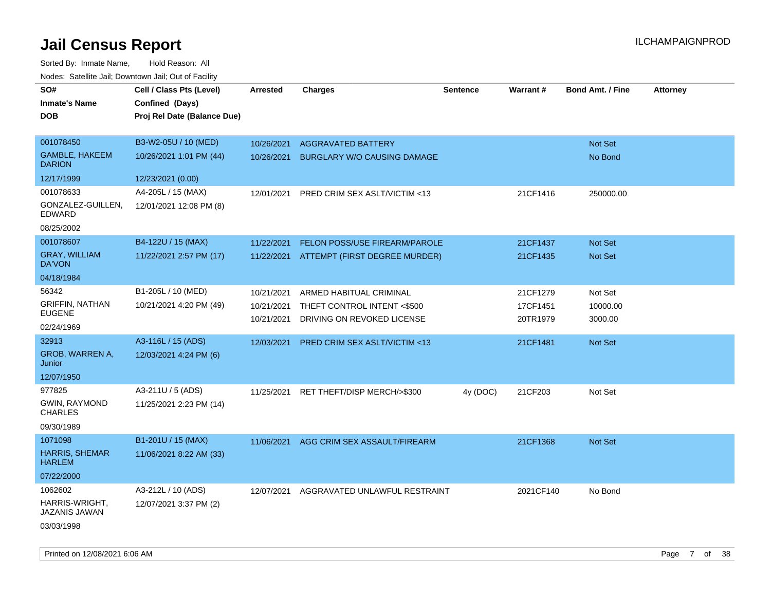| SO#<br><b>Inmate's Name</b><br><b>DOB</b> | Cell / Class Pts (Level)<br>Confined (Days)<br>Proj Rel Date (Balance Due) | Arrested   | <b>Charges</b>                           | <b>Sentence</b> | <b>Warrant#</b> | <b>Bond Amt. / Fine</b> | <b>Attorney</b> |
|-------------------------------------------|----------------------------------------------------------------------------|------------|------------------------------------------|-----------------|-----------------|-------------------------|-----------------|
| 001078450                                 | B3-W2-05U / 10 (MED)                                                       | 10/26/2021 | <b>AGGRAVATED BATTERY</b>                |                 |                 | Not Set                 |                 |
| <b>GAMBLE, HAKEEM</b><br><b>DARION</b>    | 10/26/2021 1:01 PM (44)                                                    | 10/26/2021 | <b>BURGLARY W/O CAUSING DAMAGE</b>       |                 |                 | No Bond                 |                 |
| 12/17/1999                                | 12/23/2021 (0.00)                                                          |            |                                          |                 |                 |                         |                 |
| 001078633                                 | A4-205L / 15 (MAX)                                                         | 12/01/2021 | <b>PRED CRIM SEX ASLT/VICTIM &lt;13</b>  |                 | 21CF1416        | 250000.00               |                 |
| GONZALEZ-GUILLEN,<br>EDWARD               | 12/01/2021 12:08 PM (8)                                                    |            |                                          |                 |                 |                         |                 |
| 08/25/2002                                |                                                                            |            |                                          |                 |                 |                         |                 |
| 001078607                                 | B4-122U / 15 (MAX)                                                         | 11/22/2021 | FELON POSS/USE FIREARM/PAROLE            |                 | 21CF1437        | Not Set                 |                 |
| <b>GRAY, WILLIAM</b><br>DA'VON            | 11/22/2021 2:57 PM (17)                                                    |            | 11/22/2021 ATTEMPT (FIRST DEGREE MURDER) |                 | 21CF1435        | <b>Not Set</b>          |                 |
| 04/18/1984                                |                                                                            |            |                                          |                 |                 |                         |                 |
| 56342                                     | B1-205L / 10 (MED)                                                         | 10/21/2021 | ARMED HABITUAL CRIMINAL                  |                 | 21CF1279        | Not Set                 |                 |
| <b>GRIFFIN, NATHAN</b>                    | 10/21/2021 4:20 PM (49)                                                    | 10/21/2021 | THEFT CONTROL INTENT <\$500              |                 | 17CF1451        | 10000.00                |                 |
| <b>EUGENE</b><br>02/24/1969               |                                                                            | 10/21/2021 | DRIVING ON REVOKED LICENSE               |                 | 20TR1979        | 3000.00                 |                 |
| 32913                                     | A3-116L / 15 (ADS)                                                         | 12/03/2021 | PRED CRIM SEX ASLT/VICTIM <13            |                 | 21CF1481        | Not Set                 |                 |
| GROB, WARREN A,<br>Junior                 | 12/03/2021 4:24 PM (6)                                                     |            |                                          |                 |                 |                         |                 |
| 12/07/1950                                |                                                                            |            |                                          |                 |                 |                         |                 |
| 977825                                    | A3-211U / 5 (ADS)                                                          | 11/25/2021 | RET THEFT/DISP MERCH/>\$300              | 4y (DOC)        | 21CF203         | Not Set                 |                 |
| GWIN, RAYMOND<br><b>CHARLES</b>           | 11/25/2021 2:23 PM (14)                                                    |            |                                          |                 |                 |                         |                 |
| 09/30/1989                                |                                                                            |            |                                          |                 |                 |                         |                 |
| 1071098                                   | B1-201U / 15 (MAX)                                                         |            | 11/06/2021 AGG CRIM SEX ASSAULT/FIREARM  |                 | 21CF1368        | Not Set                 |                 |
| HARRIS, SHEMAR<br><b>HARLEM</b>           | 11/06/2021 8:22 AM (33)                                                    |            |                                          |                 |                 |                         |                 |
| 07/22/2000                                |                                                                            |            |                                          |                 |                 |                         |                 |
| 1062602                                   | A3-212L / 10 (ADS)                                                         | 12/07/2021 | AGGRAVATED UNLAWFUL RESTRAINT            |                 | 2021CF140       | No Bond                 |                 |
| HARRIS-WRIGHT,<br>JAZANIS JAWAN           | 12/07/2021 3:37 PM (2)                                                     |            |                                          |                 |                 |                         |                 |
| 03/03/1998                                |                                                                            |            |                                          |                 |                 |                         |                 |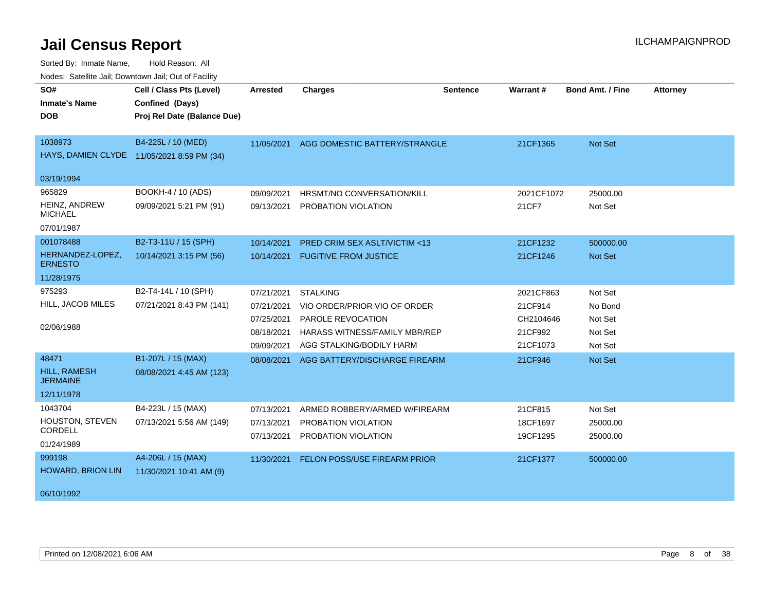| SO#                                    | Cell / Class Pts (Level)                   | <b>Arrested</b> | <b>Charges</b>                          | Sentence | Warrant#   | <b>Bond Amt. / Fine</b> | <b>Attorney</b> |
|----------------------------------------|--------------------------------------------|-----------------|-----------------------------------------|----------|------------|-------------------------|-----------------|
| <b>Inmate's Name</b>                   | Confined (Days)                            |                 |                                         |          |            |                         |                 |
| <b>DOB</b>                             | Proj Rel Date (Balance Due)                |                 |                                         |          |            |                         |                 |
|                                        |                                            |                 |                                         |          |            |                         |                 |
| 1038973                                | B4-225L / 10 (MED)                         | 11/05/2021      | AGG DOMESTIC BATTERY/STRANGLE           |          | 21CF1365   | Not Set                 |                 |
|                                        | HAYS, DAMIEN CLYDE 11/05/2021 8:59 PM (34) |                 |                                         |          |            |                         |                 |
| 03/19/1994                             |                                            |                 |                                         |          |            |                         |                 |
| 965829                                 | BOOKH-4 / 10 (ADS)                         | 09/09/2021      | HRSMT/NO CONVERSATION/KILL              |          | 2021CF1072 | 25000.00                |                 |
| HEINZ, ANDREW<br><b>MICHAEL</b>        | 09/09/2021 5:21 PM (91)                    | 09/13/2021      | PROBATION VIOLATION                     |          | 21CF7      | Not Set                 |                 |
| 07/01/1987                             |                                            |                 |                                         |          |            |                         |                 |
| 001078488                              | B2-T3-11U / 15 (SPH)                       | 10/14/2021      | <b>PRED CRIM SEX ASLT/VICTIM &lt;13</b> |          | 21CF1232   | 500000.00               |                 |
| HERNANDEZ-LOPEZ,<br><b>ERNESTO</b>     | 10/14/2021 3:15 PM (56)                    | 10/14/2021      | <b>FUGITIVE FROM JUSTICE</b>            |          | 21CF1246   | Not Set                 |                 |
| 11/28/1975                             |                                            |                 |                                         |          |            |                         |                 |
| 975293                                 | B2-T4-14L / 10 (SPH)                       | 07/21/2021      | <b>STALKING</b>                         |          | 2021CF863  | Not Set                 |                 |
| HILL, JACOB MILES                      | 07/21/2021 8:43 PM (141)                   | 07/21/2021      | VIO ORDER/PRIOR VIO OF ORDER            |          | 21CF914    | No Bond                 |                 |
|                                        |                                            | 07/25/2021      | <b>PAROLE REVOCATION</b>                |          | CH2104646  | Not Set                 |                 |
| 02/06/1988                             |                                            | 08/18/2021      | <b>HARASS WITNESS/FAMILY MBR/REP</b>    |          | 21CF992    | Not Set                 |                 |
|                                        |                                            | 09/09/2021      | AGG STALKING/BODILY HARM                |          | 21CF1073   | Not Set                 |                 |
| 48471                                  | B1-207L / 15 (MAX)                         | 08/08/2021      | AGG BATTERY/DISCHARGE FIREARM           |          | 21CF946    | Not Set                 |                 |
| <b>HILL, RAMESH</b><br><b>JERMAINE</b> | 08/08/2021 4:45 AM (123)                   |                 |                                         |          |            |                         |                 |
| 12/11/1978                             |                                            |                 |                                         |          |            |                         |                 |
| 1043704                                | B4-223L / 15 (MAX)                         | 07/13/2021      | ARMED ROBBERY/ARMED W/FIREARM           |          | 21CF815    | Not Set                 |                 |
| HOUSTON, STEVEN<br><b>CORDELL</b>      | 07/13/2021 5:56 AM (149)                   | 07/13/2021      | PROBATION VIOLATION                     |          | 18CF1697   | 25000.00                |                 |
|                                        |                                            | 07/13/2021      | PROBATION VIOLATION                     |          | 19CF1295   | 25000.00                |                 |
| 01/24/1989                             |                                            |                 |                                         |          |            |                         |                 |
| 999198<br><b>HOWARD, BRION LIN</b>     | A4-206L / 15 (MAX)                         | 11/30/2021      | <b>FELON POSS/USE FIREARM PRIOR</b>     |          | 21CF1377   | 500000.00               |                 |
|                                        | 11/30/2021 10:41 AM (9)                    |                 |                                         |          |            |                         |                 |
| 06/10/1992                             |                                            |                 |                                         |          |            |                         |                 |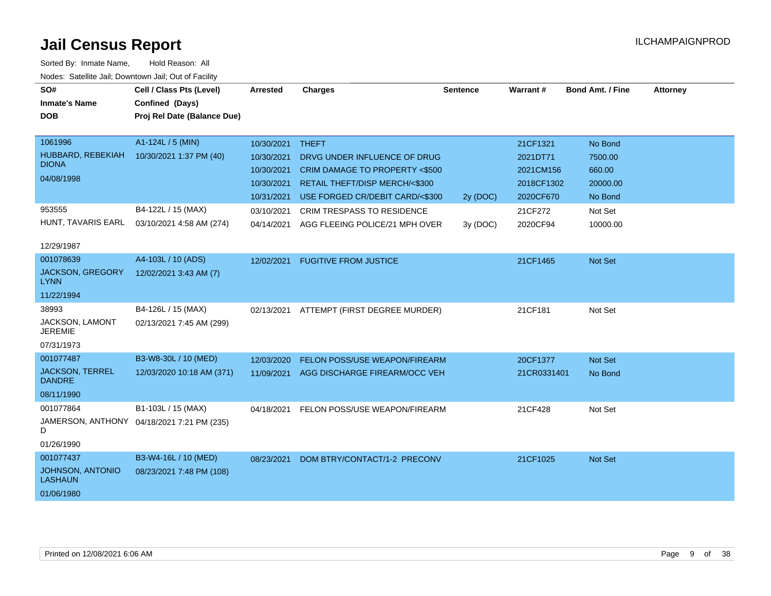| SO#                                       | Cell / Class Pts (Level)                   | <b>Arrested</b> | <b>Charges</b>                       | <b>Sentence</b> | Warrant#    | <b>Bond Amt. / Fine</b> | <b>Attorney</b> |
|-------------------------------------------|--------------------------------------------|-----------------|--------------------------------------|-----------------|-------------|-------------------------|-----------------|
| <b>Inmate's Name</b>                      | Confined (Days)                            |                 |                                      |                 |             |                         |                 |
| <b>DOB</b>                                | Proj Rel Date (Balance Due)                |                 |                                      |                 |             |                         |                 |
|                                           |                                            |                 |                                      |                 |             |                         |                 |
| 1061996                                   | A1-124L / 5 (MIN)                          | 10/30/2021      | <b>THEFT</b>                         |                 | 21CF1321    | No Bond                 |                 |
| HUBBARD, REBEKIAH                         | 10/30/2021 1:37 PM (40)                    | 10/30/2021      | DRVG UNDER INFLUENCE OF DRUG         |                 | 2021DT71    | 7500.00                 |                 |
| <b>DIONA</b>                              |                                            |                 |                                      |                 |             |                         |                 |
| 04/08/1998                                |                                            | 10/30/2021      | CRIM DAMAGE TO PROPERTY <\$500       |                 | 2021CM156   | 660.00                  |                 |
|                                           |                                            | 10/30/2021      | RETAIL THEFT/DISP MERCH/<\$300       |                 | 2018CF1302  | 20000.00                |                 |
|                                           |                                            | 10/31/2021      | USE FORGED CR/DEBIT CARD/<\$300      | 2y (DOC)        | 2020CF670   | No Bond                 |                 |
| 953555                                    | B4-122L / 15 (MAX)                         | 03/10/2021      | <b>CRIM TRESPASS TO RESIDENCE</b>    |                 | 21CF272     | Not Set                 |                 |
| HUNT, TAVARIS EARL                        | 03/10/2021 4:58 AM (274)                   | 04/14/2021      | AGG FLEEING POLICE/21 MPH OVER       | 3y(DOC)         | 2020CF94    | 10000.00                |                 |
| 12/29/1987                                |                                            |                 |                                      |                 |             |                         |                 |
| 001078639                                 | A4-103L / 10 (ADS)                         | 12/02/2021      | <b>FUGITIVE FROM JUSTICE</b>         |                 | 21CF1465    | Not Set                 |                 |
| <b>JACKSON, GREGORY</b><br>LYNN           | 12/02/2021 3:43 AM (7)                     |                 |                                      |                 |             |                         |                 |
| 11/22/1994                                |                                            |                 |                                      |                 |             |                         |                 |
| 38993                                     | B4-126L / 15 (MAX)                         | 02/13/2021      | ATTEMPT (FIRST DEGREE MURDER)        |                 | 21CF181     | Not Set                 |                 |
| JACKSON, LAMONT<br><b>JEREMIE</b>         | 02/13/2021 7:45 AM (299)                   |                 |                                      |                 |             |                         |                 |
| 07/31/1973                                |                                            |                 |                                      |                 |             |                         |                 |
| 001077487                                 | B3-W8-30L / 10 (MED)                       | 12/03/2020      | <b>FELON POSS/USE WEAPON/FIREARM</b> |                 | 20CF1377    | <b>Not Set</b>          |                 |
| <b>JACKSON, TERREL</b><br><b>DANDRE</b>   | 12/03/2020 10:18 AM (371)                  | 11/09/2021      | AGG DISCHARGE FIREARM/OCC VEH        |                 | 21CR0331401 | No Bond                 |                 |
| 08/11/1990                                |                                            |                 |                                      |                 |             |                         |                 |
| 001077864                                 | B1-103L / 15 (MAX)                         | 04/18/2021      | FELON POSS/USE WEAPON/FIREARM        |                 | 21CF428     | Not Set                 |                 |
| D                                         | JAMERSON, ANTHONY 04/18/2021 7:21 PM (235) |                 |                                      |                 |             |                         |                 |
| 01/26/1990                                |                                            |                 |                                      |                 |             |                         |                 |
| 001077437                                 | B3-W4-16L / 10 (MED)                       | 08/23/2021      | DOM BTRY/CONTACT/1-2 PRECONV         |                 | 21CF1025    | <b>Not Set</b>          |                 |
| <b>JOHNSON, ANTONIO</b><br><b>LASHAUN</b> | 08/23/2021 7:48 PM (108)                   |                 |                                      |                 |             |                         |                 |
| 01/06/1980                                |                                            |                 |                                      |                 |             |                         |                 |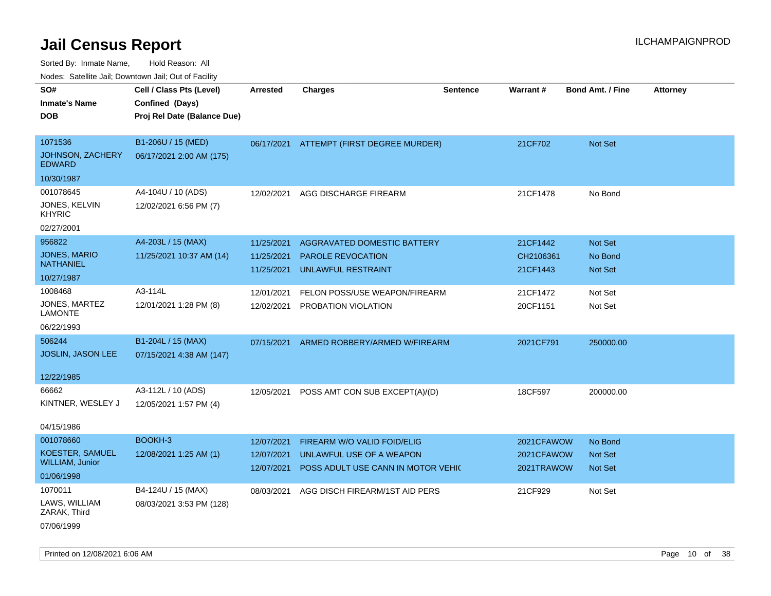| rouco. Calcinic Jan, Downtown Jan, Out of Facility               |                                                                            |                                        |                                                                                               |                 |                                        |                                             |                 |
|------------------------------------------------------------------|----------------------------------------------------------------------------|----------------------------------------|-----------------------------------------------------------------------------------------------|-----------------|----------------------------------------|---------------------------------------------|-----------------|
| SO#<br>Inmate's Name<br><b>DOB</b>                               | Cell / Class Pts (Level)<br>Confined (Days)<br>Proj Rel Date (Balance Due) | <b>Arrested</b>                        | <b>Charges</b>                                                                                | <b>Sentence</b> | <b>Warrant#</b>                        | <b>Bond Amt. / Fine</b>                     | <b>Attorney</b> |
| 1071536<br>JOHNSON, ZACHERY<br><b>EDWARD</b>                     | B1-206U / 15 (MED)<br>06/17/2021 2:00 AM (175)                             |                                        | 06/17/2021 ATTEMPT (FIRST DEGREE MURDER)                                                      |                 | 21CF702                                | Not Set                                     |                 |
| 10/30/1987<br>001078645<br>JONES, KELVIN<br>KHYRIC<br>02/27/2001 | A4-104U / 10 (ADS)<br>12/02/2021 6:56 PM (7)                               | 12/02/2021                             | AGG DISCHARGE FIREARM                                                                         |                 | 21CF1478                               | No Bond                                     |                 |
| 956822<br>JONES, MARIO<br>NATHANIEL<br>10/27/1987                | A4-203L / 15 (MAX)<br>11/25/2021 10:37 AM (14)                             | 11/25/2021<br>11/25/2021<br>11/25/2021 | AGGRAVATED DOMESTIC BATTERY<br><b>PAROLE REVOCATION</b><br>UNLAWFUL RESTRAINT                 |                 | 21CF1442<br>CH2106361<br>21CF1443      | <b>Not Set</b><br>No Bond<br><b>Not Set</b> |                 |
| 1008468<br>JONES, MARTEZ<br>LAMONTE<br>06/22/1993                | A3-114L<br>12/01/2021 1:28 PM (8)                                          | 12/01/2021<br>12/02/2021               | FELON POSS/USE WEAPON/FIREARM<br>PROBATION VIOLATION                                          |                 | 21CF1472<br>20CF1151                   | Not Set<br>Not Set                          |                 |
| 506244<br><b>JOSLIN, JASON LEE</b><br>12/22/1985                 | B1-204L / 15 (MAX)<br>07/15/2021 4:38 AM (147)                             | 07/15/2021                             | ARMED ROBBERY/ARMED W/FIREARM                                                                 |                 | 2021CF791                              | 250000.00                                   |                 |
| 66662<br>KINTNER, WESLEY J<br>04/15/1986                         | A3-112L / 10 (ADS)<br>12/05/2021 1:57 PM (4)                               | 12/05/2021                             | POSS AMT CON SUB EXCEPT(A)/(D)                                                                |                 | 18CF597                                | 200000.00                                   |                 |
| 001078660<br>KOESTER, SAMUEL<br>WILLIAM, Junior<br>01/06/1998    | BOOKH-3<br>12/08/2021 1:25 AM (1)                                          | 12/07/2021<br>12/07/2021<br>12/07/2021 | FIREARM W/O VALID FOID/ELIG<br>UNLAWFUL USE OF A WEAPON<br>POSS ADULT USE CANN IN MOTOR VEHIC |                 | 2021CFAWOW<br>2021CFAWOW<br>2021TRAWOW | No Bond<br>Not Set<br><b>Not Set</b>        |                 |
| 1070011<br>LAWS, WILLIAM<br>ZARAK, Third<br>07/06/1999           | B4-124U / 15 (MAX)<br>08/03/2021 3:53 PM (128)                             | 08/03/2021                             | AGG DISCH FIREARM/1ST AID PERS                                                                |                 | 21CF929                                | Not Set                                     |                 |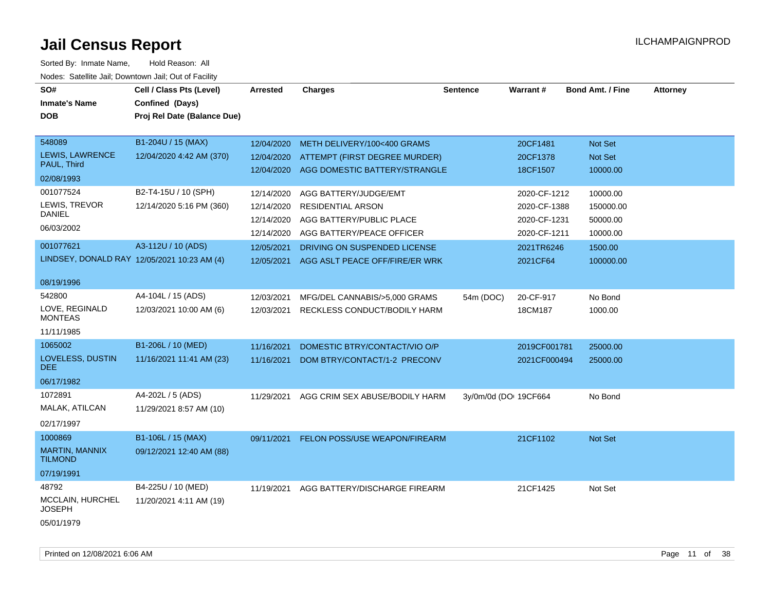| SO#<br><b>Inmate's Name</b><br><b>DOB</b>   | Cell / Class Pts (Level)<br>Confined (Days)<br>Proj Rel Date (Balance Due) | <b>Arrested</b> | <b>Charges</b>                            | <b>Sentence</b>       | Warrant#     | <b>Bond Amt. / Fine</b> | <b>Attorney</b> |
|---------------------------------------------|----------------------------------------------------------------------------|-----------------|-------------------------------------------|-----------------------|--------------|-------------------------|-----------------|
| 548089                                      | B1-204U / 15 (MAX)                                                         | 12/04/2020      | METH DELIVERY/100<400 GRAMS               |                       | 20CF1481     | <b>Not Set</b>          |                 |
| LEWIS, LAWRENCE<br>PAUL, Third              | 12/04/2020 4:42 AM (370)                                                   | 12/04/2020      | ATTEMPT (FIRST DEGREE MURDER)             |                       | 20CF1378     | Not Set                 |                 |
| 02/08/1993                                  |                                                                            |                 | 12/04/2020 AGG DOMESTIC BATTERY/STRANGLE  |                       | 18CF1507     | 10000.00                |                 |
| 001077524                                   | B2-T4-15U / 10 (SPH)                                                       | 12/14/2020      | AGG BATTERY/JUDGE/EMT                     |                       | 2020-CF-1212 | 10000.00                |                 |
| LEWIS, TREVOR                               | 12/14/2020 5:16 PM (360)                                                   | 12/14/2020      | <b>RESIDENTIAL ARSON</b>                  |                       | 2020-CF-1388 | 150000.00               |                 |
| <b>DANIEL</b>                               |                                                                            | 12/14/2020      | AGG BATTERY/PUBLIC PLACE                  |                       | 2020-CF-1231 | 50000.00                |                 |
| 06/03/2002                                  |                                                                            | 12/14/2020      | AGG BATTERY/PEACE OFFICER                 |                       | 2020-CF-1211 | 10000.00                |                 |
| 001077621                                   | A3-112U / 10 (ADS)                                                         | 12/05/2021      | DRIVING ON SUSPENDED LICENSE              |                       | 2021TR6246   | 1500.00                 |                 |
| LINDSEY, DONALD RAY 12/05/2021 10:23 AM (4) |                                                                            |                 | 12/05/2021 AGG ASLT PEACE OFF/FIRE/ER WRK |                       | 2021CF64     | 100000.00               |                 |
| 08/19/1996                                  |                                                                            |                 |                                           |                       |              |                         |                 |
| 542800                                      | A4-104L / 15 (ADS)                                                         | 12/03/2021      | MFG/DEL CANNABIS/>5,000 GRAMS             | 54m (DOC)             | 20-CF-917    | No Bond                 |                 |
| LOVE, REGINALD<br><b>MONTEAS</b>            | 12/03/2021 10:00 AM (6)                                                    | 12/03/2021      | RECKLESS CONDUCT/BODILY HARM              |                       | 18CM187      | 1000.00                 |                 |
| 11/11/1985                                  |                                                                            |                 |                                           |                       |              |                         |                 |
| 1065002                                     | B1-206L / 10 (MED)                                                         | 11/16/2021      | DOMESTIC BTRY/CONTACT/VIO O/P             |                       | 2019CF001781 | 25000.00                |                 |
| LOVELESS, DUSTIN<br>DEE.                    | 11/16/2021 11:41 AM (23)                                                   | 11/16/2021      | DOM BTRY/CONTACT/1-2 PRECONV              |                       | 2021CF000494 | 25000.00                |                 |
| 06/17/1982                                  |                                                                            |                 |                                           |                       |              |                         |                 |
| 1072891                                     | A4-202L / 5 (ADS)                                                          | 11/29/2021      | AGG CRIM SEX ABUSE/BODILY HARM            | 3y/0m/0d (DO: 19CF664 |              | No Bond                 |                 |
| MALAK, ATILCAN                              | 11/29/2021 8:57 AM (10)                                                    |                 |                                           |                       |              |                         |                 |
| 02/17/1997                                  |                                                                            |                 |                                           |                       |              |                         |                 |
| 1000869                                     | B1-106L / 15 (MAX)                                                         | 09/11/2021      | FELON POSS/USE WEAPON/FIREARM             |                       | 21CF1102     | Not Set                 |                 |
| <b>MARTIN, MANNIX</b><br><b>TILMOND</b>     | 09/12/2021 12:40 AM (88)                                                   |                 |                                           |                       |              |                         |                 |
| 07/19/1991                                  |                                                                            |                 |                                           |                       |              |                         |                 |
| 48792                                       | B4-225U / 10 (MED)                                                         | 11/19/2021      | AGG BATTERY/DISCHARGE FIREARM             |                       | 21CF1425     | Not Set                 |                 |
| MCCLAIN, HURCHEL<br><b>JOSEPH</b>           | 11/20/2021 4:11 AM (19)                                                    |                 |                                           |                       |              |                         |                 |
| 05/01/1979                                  |                                                                            |                 |                                           |                       |              |                         |                 |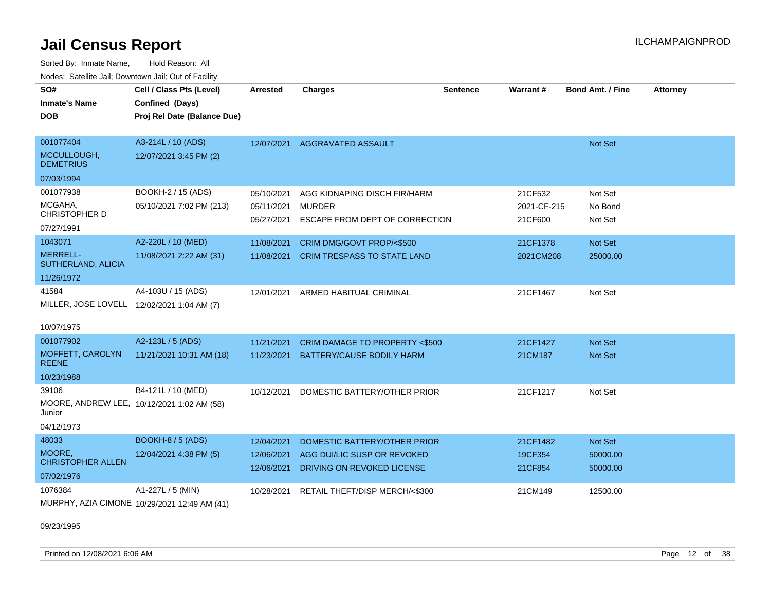| Sorted By: Inmate Name,                               | Hold Reason: All                             |                 |                                    |                 |             |                         |                 |
|-------------------------------------------------------|----------------------------------------------|-----------------|------------------------------------|-----------------|-------------|-------------------------|-----------------|
| Nodes: Satellite Jail; Downtown Jail; Out of Facility |                                              |                 |                                    |                 |             |                         |                 |
| SO#                                                   | Cell / Class Pts (Level)                     | <b>Arrested</b> | <b>Charges</b>                     | <b>Sentence</b> | Warrant#    | <b>Bond Amt. / Fine</b> | <b>Attorney</b> |
| <b>Inmate's Name</b>                                  | Confined (Days)                              |                 |                                    |                 |             |                         |                 |
| <b>DOB</b>                                            | Proj Rel Date (Balance Due)                  |                 |                                    |                 |             |                         |                 |
|                                                       |                                              |                 |                                    |                 |             |                         |                 |
| 001077404                                             | A3-214L / 10 (ADS)                           | 12/07/2021      | AGGRAVATED ASSAULT                 |                 |             | Not Set                 |                 |
| MCCULLOUGH,<br><b>DEMETRIUS</b>                       | 12/07/2021 3:45 PM (2)                       |                 |                                    |                 |             |                         |                 |
| 07/03/1994                                            |                                              |                 |                                    |                 |             |                         |                 |
| 001077938                                             | BOOKH-2 / 15 (ADS)                           | 05/10/2021      | AGG KIDNAPING DISCH FIR/HARM       |                 | 21CF532     | Not Set                 |                 |
| MCGAHA,                                               | 05/10/2021 7:02 PM (213)                     | 05/11/2021      | <b>MURDER</b>                      |                 | 2021-CF-215 | No Bond                 |                 |
| <b>CHRISTOPHER D</b>                                  |                                              | 05/27/2021      | ESCAPE FROM DEPT OF CORRECTION     |                 | 21CF600     | Not Set                 |                 |
| 07/27/1991                                            |                                              |                 |                                    |                 |             |                         |                 |
| 1043071                                               | A2-220L / 10 (MED)                           | 11/08/2021      | CRIM DMG/GOVT PROP/<\$500          |                 | 21CF1378    | Not Set                 |                 |
| <b>MERRELL-</b><br>SUTHERLAND, ALICIA                 | 11/08/2021 2:22 AM (31)                      | 11/08/2021      | <b>CRIM TRESPASS TO STATE LAND</b> |                 | 2021CM208   | 25000.00                |                 |
| 11/26/1972                                            |                                              |                 |                                    |                 |             |                         |                 |
| 41584                                                 | A4-103U / 15 (ADS)                           | 12/01/2021      | ARMED HABITUAL CRIMINAL            |                 | 21CF1467    | Not Set                 |                 |
| MILLER, JOSE LOVELL 12/02/2021 1:04 AM (7)            |                                              |                 |                                    |                 |             |                         |                 |
|                                                       |                                              |                 |                                    |                 |             |                         |                 |
| 10/07/1975                                            |                                              |                 |                                    |                 |             |                         |                 |
| 001077902                                             | A2-123L / 5 (ADS)                            | 11/21/2021      | CRIM DAMAGE TO PROPERTY <\$500     |                 | 21CF1427    | <b>Not Set</b>          |                 |
| MOFFETT, CAROLYN<br><b>REENE</b>                      | 11/21/2021 10:31 AM (18)                     | 11/23/2021      | BATTERY/CAUSE BODILY HARM          |                 | 21CM187     | Not Set                 |                 |
| 10/23/1988                                            |                                              |                 |                                    |                 |             |                         |                 |
| 39106                                                 | B4-121L / 10 (MED)                           | 10/12/2021      | DOMESTIC BATTERY/OTHER PRIOR       |                 | 21CF1217    | Not Set                 |                 |
| Junior                                                | MOORE, ANDREW LEE, 10/12/2021 1:02 AM (58)   |                 |                                    |                 |             |                         |                 |
| 04/12/1973                                            |                                              |                 |                                    |                 |             |                         |                 |
| 48033                                                 | <b>BOOKH-8 / 5 (ADS)</b>                     | 12/04/2021      | DOMESTIC BATTERY/OTHER PRIOR       |                 | 21CF1482    | Not Set                 |                 |
| MOORE,                                                | 12/04/2021 4:38 PM (5)                       | 12/06/2021      | AGG DUI/LIC SUSP OR REVOKED        |                 | 19CF354     | 50000.00                |                 |
| <b>CHRISTOPHER ALLEN</b>                              |                                              | 12/06/2021      | DRIVING ON REVOKED LICENSE         |                 | 21CF854     | 50000.00                |                 |
| 07/02/1976                                            |                                              |                 |                                    |                 |             |                         |                 |
| 1076384                                               | A1-227L / 5 (MIN)                            | 10/28/2021      | RETAIL THEFT/DISP MERCH/<\$300     |                 | 21CM149     | 12500.00                |                 |
|                                                       | MURPHY, AZIA CIMONE 10/29/2021 12:49 AM (41) |                 |                                    |                 |             |                         |                 |

09/23/1995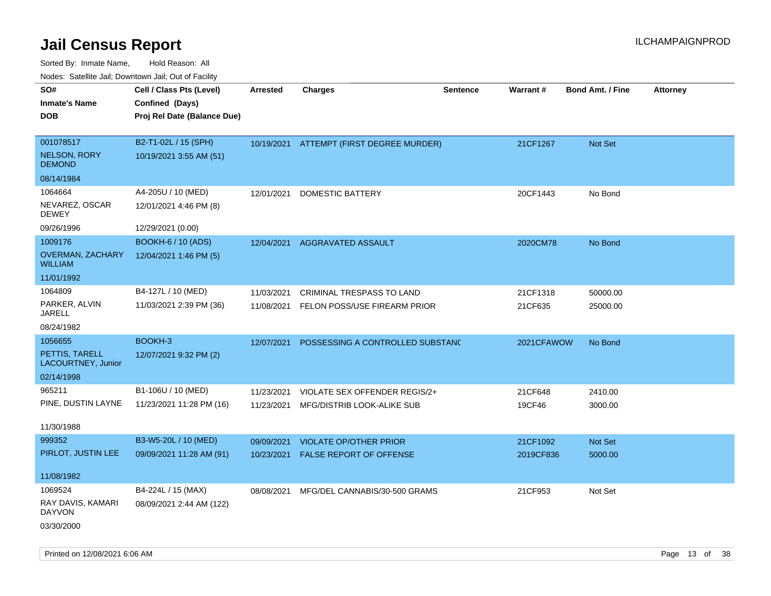| rouco. Calcinic Jan, Downtown Jan, Out of Facility |                                                                            |                 |                                          |                 |                 |                         |                 |
|----------------------------------------------------|----------------------------------------------------------------------------|-----------------|------------------------------------------|-----------------|-----------------|-------------------------|-----------------|
| SO#<br>Inmate's Name<br><b>DOB</b>                 | Cell / Class Pts (Level)<br>Confined (Days)<br>Proj Rel Date (Balance Due) | <b>Arrested</b> | <b>Charges</b>                           | <b>Sentence</b> | <b>Warrant#</b> | <b>Bond Amt. / Fine</b> | <b>Attorney</b> |
|                                                    |                                                                            |                 |                                          |                 |                 |                         |                 |
| 001078517                                          | B2-T1-02L / 15 (SPH)                                                       |                 | 10/19/2021 ATTEMPT (FIRST DEGREE MURDER) |                 | 21CF1267        | Not Set                 |                 |
| <b>NELSON, RORY</b><br><b>DEMOND</b>               | 10/19/2021 3:55 AM (51)                                                    |                 |                                          |                 |                 |                         |                 |
| 08/14/1984                                         |                                                                            |                 |                                          |                 |                 |                         |                 |
| 1064664                                            | A4-205U / 10 (MED)                                                         | 12/01/2021      | DOMESTIC BATTERY                         |                 | 20CF1443        | No Bond                 |                 |
| NEVAREZ, OSCAR<br>DEWEY                            | 12/01/2021 4:46 PM (8)                                                     |                 |                                          |                 |                 |                         |                 |
| 09/26/1996                                         | 12/29/2021 (0.00)                                                          |                 |                                          |                 |                 |                         |                 |
| 1009176                                            | <b>BOOKH-6 / 10 (ADS)</b>                                                  | 12/04/2021      | AGGRAVATED ASSAULT                       |                 | 2020CM78        | No Bond                 |                 |
| <b>OVERMAN, ZACHARY</b><br>WILLIAM                 | 12/04/2021 1:46 PM (5)                                                     |                 |                                          |                 |                 |                         |                 |
| 11/01/1992                                         |                                                                            |                 |                                          |                 |                 |                         |                 |
| 1064809                                            | B4-127L / 10 (MED)                                                         | 11/03/2021      | CRIMINAL TRESPASS TO LAND                |                 | 21CF1318        | 50000.00                |                 |
| PARKER, ALVIN<br>JARELL                            | 11/03/2021 2:39 PM (36)                                                    | 11/08/2021      | FELON POSS/USE FIREARM PRIOR             |                 | 21CF635         | 25000.00                |                 |
| 08/24/1982                                         |                                                                            |                 |                                          |                 |                 |                         |                 |
| 1056655                                            | BOOKH-3                                                                    | 12/07/2021      | POSSESSING A CONTROLLED SUBSTANC         |                 | 2021CFAWOW      | No Bond                 |                 |
| PETTIS, TARELL<br>LACOURTNEY, Junior               | 12/07/2021 9:32 PM (2)                                                     |                 |                                          |                 |                 |                         |                 |
| 02/14/1998                                         |                                                                            |                 |                                          |                 |                 |                         |                 |
| 965211                                             | B1-106U / 10 (MED)                                                         | 11/23/2021      | VIOLATE SEX OFFENDER REGIS/2+            |                 | 21CF648         | 2410.00                 |                 |
| PINE, DUSTIN LAYNE                                 | 11/23/2021 11:28 PM (16)                                                   | 11/23/2021      | MFG/DISTRIB LOOK-ALIKE SUB               |                 | 19CF46          | 3000.00                 |                 |
| 11/30/1988                                         |                                                                            |                 |                                          |                 |                 |                         |                 |
| 999352                                             | B3-W5-20L / 10 (MED)                                                       | 09/09/2021      | <b>VIOLATE OP/OTHER PRIOR</b>            |                 | 21CF1092        | Not Set                 |                 |
| PIRLOT, JUSTIN LEE                                 | 09/09/2021 11:28 AM (91)                                                   | 10/23/2021      | <b>FALSE REPORT OF OFFENSE</b>           |                 | 2019CF836       | 5000.00                 |                 |
| 11/08/1982                                         |                                                                            |                 |                                          |                 |                 |                         |                 |
| 1069524                                            | B4-224L / 15 (MAX)                                                         | 08/08/2021      | MFG/DEL CANNABIS/30-500 GRAMS            |                 | 21CF953         | Not Set                 |                 |
| RAY DAVIS, KAMARI<br>DAYVON                        | 08/09/2021 2:44 AM (122)                                                   |                 |                                          |                 |                 |                         |                 |
| 03/30/2000                                         |                                                                            |                 |                                          |                 |                 |                         |                 |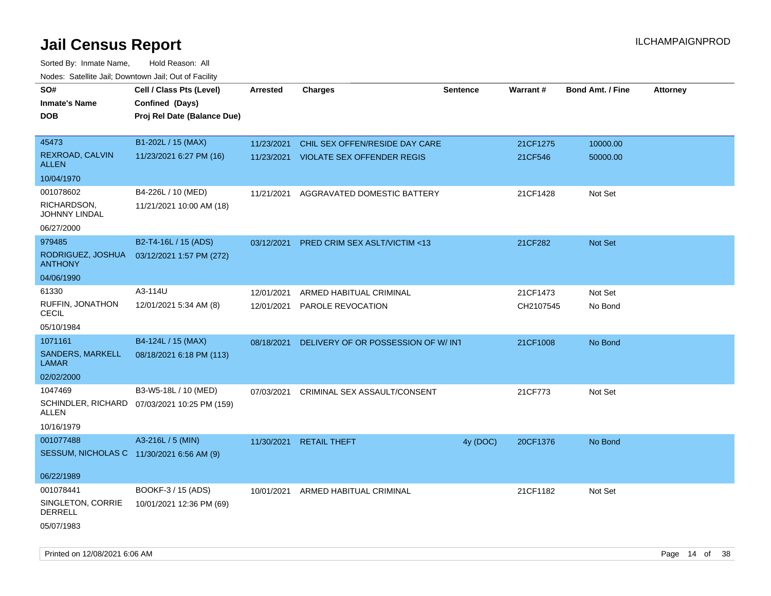| SO#<br><b>Inmate's Name</b><br><b>DOB</b> | Cell / Class Pts (Level)<br>Confined (Days)<br>Proj Rel Date (Balance Due) | <b>Arrested</b> | <b>Charges</b>                      | <b>Sentence</b> | <b>Warrant#</b> | <b>Bond Amt. / Fine</b> | <b>Attorney</b> |
|-------------------------------------------|----------------------------------------------------------------------------|-----------------|-------------------------------------|-----------------|-----------------|-------------------------|-----------------|
| 45473                                     | B1-202L / 15 (MAX)                                                         | 11/23/2021      | CHIL SEX OFFEN/RESIDE DAY CARE      |                 | 21CF1275        | 10000.00                |                 |
| REXROAD, CALVIN<br>ALLEN                  | 11/23/2021 6:27 PM (16)                                                    | 11/23/2021      | <b>VIOLATE SEX OFFENDER REGIS</b>   |                 | 21CF546         | 50000.00                |                 |
| 10/04/1970                                |                                                                            |                 |                                     |                 |                 |                         |                 |
| 001078602                                 | B4-226L / 10 (MED)                                                         | 11/21/2021      | AGGRAVATED DOMESTIC BATTERY         |                 | 21CF1428        | Not Set                 |                 |
| RICHARDSON,<br>JOHNNY LINDAL              | 11/21/2021 10:00 AM (18)                                                   |                 |                                     |                 |                 |                         |                 |
| 06/27/2000                                |                                                                            |                 |                                     |                 |                 |                         |                 |
| 979485                                    | B2-T4-16L / 15 (ADS)                                                       | 03/12/2021      | PRED CRIM SEX ASLT/VICTIM <13       |                 | 21CF282         | Not Set                 |                 |
| RODRIGUEZ, JOSHUA<br><b>ANTHONY</b>       | 03/12/2021 1:57 PM (272)                                                   |                 |                                     |                 |                 |                         |                 |
| 04/06/1990                                |                                                                            |                 |                                     |                 |                 |                         |                 |
| 61330                                     | A3-114U                                                                    | 12/01/2021      | ARMED HABITUAL CRIMINAL             |                 | 21CF1473        | Not Set                 |                 |
| RUFFIN, JONATHON<br>CECIL                 | 12/01/2021 5:34 AM (8)                                                     | 12/01/2021      | PAROLE REVOCATION                   |                 | CH2107545       | No Bond                 |                 |
| 05/10/1984                                |                                                                            |                 |                                     |                 |                 |                         |                 |
| 1071161                                   | B4-124L / 15 (MAX)                                                         | 08/18/2021      | DELIVERY OF OR POSSESSION OF W/ INT |                 | 21CF1008        | No Bond                 |                 |
| SANDERS, MARKELL<br>LAMAR                 | 08/18/2021 6:18 PM (113)                                                   |                 |                                     |                 |                 |                         |                 |
| 02/02/2000                                |                                                                            |                 |                                     |                 |                 |                         |                 |
| 1047469                                   | B3-W5-18L / 10 (MED)                                                       | 07/03/2021      | CRIMINAL SEX ASSAULT/CONSENT        |                 | 21CF773         | Not Set                 |                 |
| ALLEN                                     | SCHINDLER, RICHARD 07/03/2021 10:25 PM (159)                               |                 |                                     |                 |                 |                         |                 |
| 10/16/1979                                |                                                                            |                 |                                     |                 |                 |                         |                 |
| 001077488                                 | A3-216L / 5 (MIN)                                                          | 11/30/2021      | <b>RETAIL THEFT</b>                 | 4y (DOC)        | 20CF1376        | No Bond                 |                 |
| SESSUM, NICHOLAS C 11/30/2021 6:56 AM (9) |                                                                            |                 |                                     |                 |                 |                         |                 |
| 06/22/1989                                |                                                                            |                 |                                     |                 |                 |                         |                 |
| 001078441                                 | BOOKF-3 / 15 (ADS)                                                         | 10/01/2021      | ARMED HABITUAL CRIMINAL             |                 | 21CF1182        | Not Set                 |                 |
| SINGLETON, CORRIE<br><b>DERRELL</b>       | 10/01/2021 12:36 PM (69)                                                   |                 |                                     |                 |                 |                         |                 |
| 05/07/1983                                |                                                                            |                 |                                     |                 |                 |                         |                 |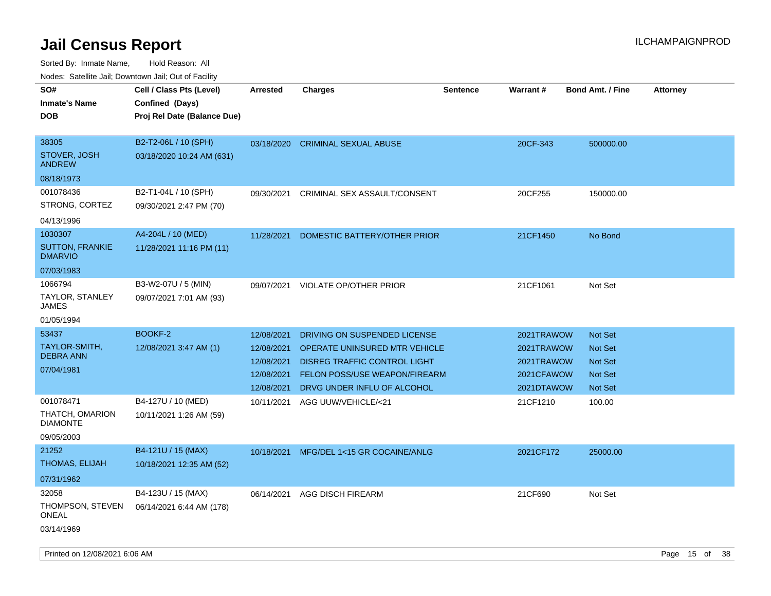| 110000. 001011110 0011, Dominomi odli, Odi ol I dollit<br>SO# | Cell / Class Pts (Level)                          | <b>Arrested</b> | Charges                              | <b>Sentence</b> | <b>Warrant#</b> | <b>Bond Amt. / Fine</b> | <b>Attorney</b> |
|---------------------------------------------------------------|---------------------------------------------------|-----------------|--------------------------------------|-----------------|-----------------|-------------------------|-----------------|
| <b>Inmate's Name</b>                                          | Confined (Days)                                   |                 |                                      |                 |                 |                         |                 |
| <b>DOB</b>                                                    | Proj Rel Date (Balance Due)                       |                 |                                      |                 |                 |                         |                 |
| 38305<br>STOVER, JOSH<br><b>ANDREW</b>                        | B2-T2-06L / 10 (SPH)<br>03/18/2020 10:24 AM (631) | 03/18/2020      | <b>CRIMINAL SEXUAL ABUSE</b>         |                 | 20CF-343        | 500000.00               |                 |
| 08/18/1973                                                    |                                                   |                 |                                      |                 |                 |                         |                 |
| 001078436                                                     | B2-T1-04L / 10 (SPH)                              | 09/30/2021      | CRIMINAL SEX ASSAULT/CONSENT         |                 | 20CF255         | 150000.00               |                 |
| STRONG, CORTEZ                                                | 09/30/2021 2:47 PM (70)                           |                 |                                      |                 |                 |                         |                 |
| 04/13/1996                                                    |                                                   |                 |                                      |                 |                 |                         |                 |
| 1030307                                                       | A4-204L / 10 (MED)                                | 11/28/2021      | DOMESTIC BATTERY/OTHER PRIOR         |                 | 21CF1450        | No Bond                 |                 |
| <b>SUTTON, FRANKIE</b><br><b>DMARVIO</b>                      | 11/28/2021 11:16 PM (11)                          |                 |                                      |                 |                 |                         |                 |
| 07/03/1983                                                    |                                                   |                 |                                      |                 |                 |                         |                 |
| 1066794                                                       | B3-W2-07U / 5 (MIN)                               | 09/07/2021      | <b>VIOLATE OP/OTHER PRIOR</b>        |                 | 21CF1061        | Not Set                 |                 |
| TAYLOR, STANLEY<br>JAMES                                      | 09/07/2021 7:01 AM (93)                           |                 |                                      |                 |                 |                         |                 |
| 01/05/1994                                                    |                                                   |                 |                                      |                 |                 |                         |                 |
| 53437                                                         | BOOKF-2                                           | 12/08/2021      | DRIVING ON SUSPENDED LICENSE         |                 | 2021TRAWOW      | <b>Not Set</b>          |                 |
| TAYLOR-SMITH,<br><b>DEBRA ANN</b>                             | 12/08/2021 3:47 AM (1)                            | 12/08/2021      | <b>OPERATE UNINSURED MTR VEHICLE</b> |                 | 2021TRAWOW      | <b>Not Set</b>          |                 |
| 07/04/1981                                                    |                                                   | 12/08/2021      | <b>DISREG TRAFFIC CONTROL LIGHT</b>  |                 | 2021TRAWOW      | Not Set                 |                 |
|                                                               |                                                   | 12/08/2021      | FELON POSS/USE WEAPON/FIREARM        |                 | 2021CFAWOW      | <b>Not Set</b>          |                 |
|                                                               |                                                   | 12/08/2021      | DRVG UNDER INFLU OF ALCOHOL          |                 | 2021DTAWOW      | Not Set                 |                 |
| 001078471                                                     | B4-127U / 10 (MED)                                | 10/11/2021      | AGG UUW/VEHICLE/<21                  |                 | 21CF1210        | 100.00                  |                 |
| THATCH, OMARION<br><b>DIAMONTE</b>                            | 10/11/2021 1:26 AM (59)                           |                 |                                      |                 |                 |                         |                 |
| 09/05/2003                                                    |                                                   |                 |                                      |                 |                 |                         |                 |
| 21252                                                         | B4-121U / 15 (MAX)                                | 10/18/2021      | MFG/DEL 1<15 GR COCAINE/ANLG         |                 | 2021CF172       | 25000.00                |                 |
| THOMAS, ELIJAH                                                | 10/18/2021 12:35 AM (52)                          |                 |                                      |                 |                 |                         |                 |
| 07/31/1962                                                    |                                                   |                 |                                      |                 |                 |                         |                 |
| 32058                                                         | B4-123U / 15 (MAX)                                | 06/14/2021      | AGG DISCH FIREARM                    |                 | 21CF690         | Not Set                 |                 |
| THOMPSON, STEVEN<br>ONEAL                                     | 06/14/2021 6:44 AM (178)                          |                 |                                      |                 |                 |                         |                 |
| 03/14/1969                                                    |                                                   |                 |                                      |                 |                 |                         |                 |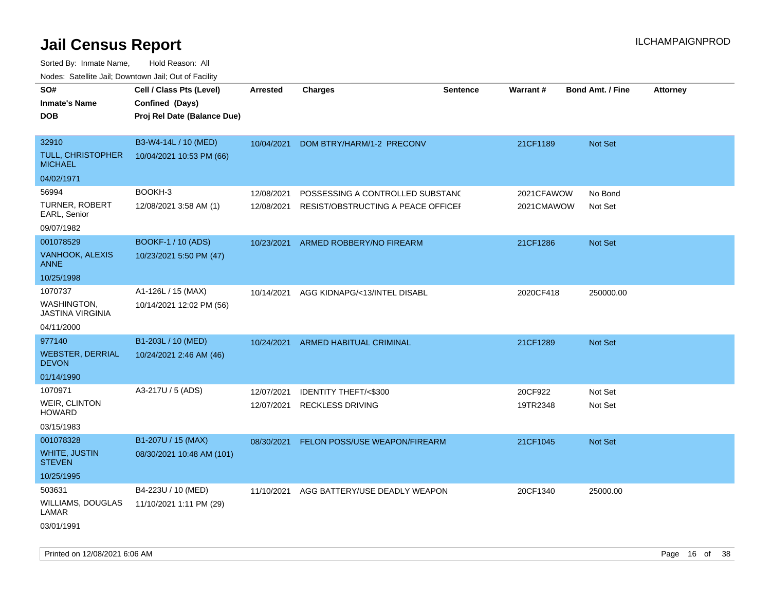| SO#<br><b>Inmate's Name</b><br><b>DOB</b>                       | Cell / Class Pts (Level)<br>Confined (Days)<br>Proj Rel Date (Balance Due) | Arrested                 | Charges                                                                | <b>Sentence</b> | <b>Warrant#</b>          | <b>Bond Amt. / Fine</b> | <b>Attorney</b> |
|-----------------------------------------------------------------|----------------------------------------------------------------------------|--------------------------|------------------------------------------------------------------------|-----------------|--------------------------|-------------------------|-----------------|
| 32910<br><b>TULL, CHRISTOPHER</b><br><b>MICHAEL</b>             | B3-W4-14L / 10 (MED)<br>10/04/2021 10:53 PM (66)                           | 10/04/2021               | DOM BTRY/HARM/1-2 PRECONV                                              |                 | 21CF1189                 | Not Set                 |                 |
| 04/02/1971                                                      |                                                                            |                          |                                                                        |                 |                          |                         |                 |
| 56994<br>TURNER, ROBERT<br>EARL, Senior                         | BOOKH-3<br>12/08/2021 3:58 AM (1)                                          | 12/08/2021<br>12/08/2021 | POSSESSING A CONTROLLED SUBSTANC<br>RESIST/OBSTRUCTING A PEACE OFFICER |                 | 2021CFAWOW<br>2021CMAWOW | No Bond<br>Not Set      |                 |
| 09/07/1982                                                      |                                                                            |                          |                                                                        |                 |                          |                         |                 |
| 001078529<br>VANHOOK, ALEXIS<br><b>ANNE</b>                     | <b>BOOKF-1 / 10 (ADS)</b><br>10/23/2021 5:50 PM (47)                       | 10/23/2021               | ARMED ROBBERY/NO FIREARM                                               |                 | 21CF1286                 | Not Set                 |                 |
| 10/25/1998                                                      |                                                                            |                          |                                                                        |                 |                          |                         |                 |
| 1070737<br><b>WASHINGTON,</b><br><b>JASTINA VIRGINIA</b>        | A1-126L / 15 (MAX)<br>10/14/2021 12:02 PM (56)                             | 10/14/2021               | AGG KIDNAPG/<13/INTEL DISABL                                           |                 | 2020CF418                | 250000.00               |                 |
| 04/11/2000                                                      |                                                                            |                          |                                                                        |                 |                          |                         |                 |
| 977140<br><b>WEBSTER, DERRIAL</b><br><b>DEVON</b><br>01/14/1990 | B1-203L / 10 (MED)<br>10/24/2021 2:46 AM (46)                              | 10/24/2021               | ARMED HABITUAL CRIMINAL                                                |                 | 21CF1289                 | Not Set                 |                 |
| 1070971                                                         | A3-217U / 5 (ADS)                                                          |                          |                                                                        |                 |                          |                         |                 |
| WEIR, CLINTON<br><b>HOWARD</b><br>03/15/1983                    |                                                                            | 12/07/2021<br>12/07/2021 | IDENTITY THEFT/<\$300<br><b>RECKLESS DRIVING</b>                       |                 | 20CF922<br>19TR2348      | Not Set<br>Not Set      |                 |
| 001078328                                                       | B1-207U / 15 (MAX)                                                         |                          |                                                                        |                 |                          |                         |                 |
| <b>WHITE, JUSTIN</b><br><b>STEVEN</b><br>10/25/1995             | 08/30/2021 10:48 AM (101)                                                  | 08/30/2021               | FELON POSS/USE WEAPON/FIREARM                                          |                 | 21CF1045                 | <b>Not Set</b>          |                 |
| 503631<br>WILLIAMS, DOUGLAS<br>LAMAR<br>03/01/1991              | B4-223U / 10 (MED)<br>11/10/2021 1:11 PM (29)                              | 11/10/2021               | AGG BATTERY/USE DEADLY WEAPON                                          |                 | 20CF1340                 | 25000.00                |                 |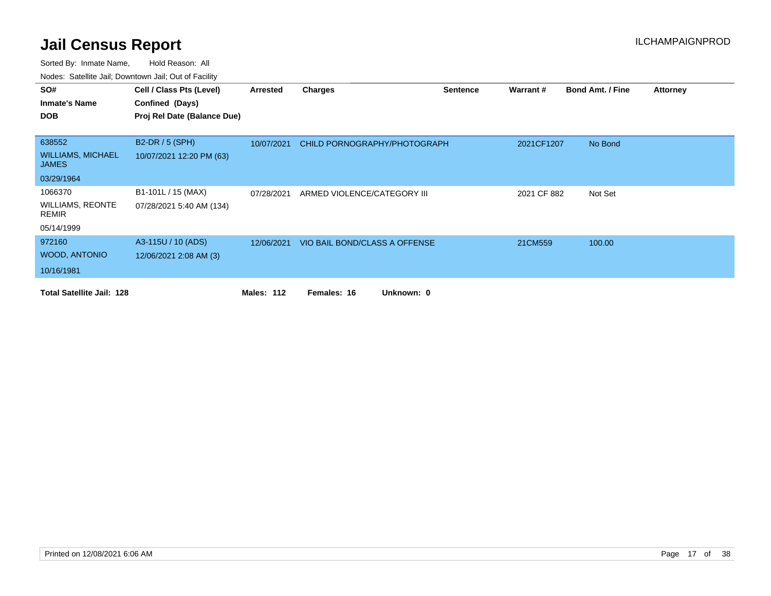| SO#                                      | Cell / Class Pts (Level)    | Arrested          | <b>Charges</b>                | <b>Sentence</b> | Warrant#    | <b>Bond Amt. / Fine</b> | Attorney |
|------------------------------------------|-----------------------------|-------------------|-------------------------------|-----------------|-------------|-------------------------|----------|
| <b>Inmate's Name</b>                     | Confined (Days)             |                   |                               |                 |             |                         |          |
| <b>DOB</b>                               | Proj Rel Date (Balance Due) |                   |                               |                 |             |                         |          |
|                                          |                             |                   |                               |                 |             |                         |          |
| 638552                                   | B2-DR / 5 (SPH)             | 10/07/2021        | CHILD PORNOGRAPHY/PHOTOGRAPH  |                 | 2021CF1207  | No Bond                 |          |
| <b>WILLIAMS, MICHAEL</b><br><b>JAMES</b> | 10/07/2021 12:20 PM (63)    |                   |                               |                 |             |                         |          |
| 03/29/1964                               |                             |                   |                               |                 |             |                         |          |
| 1066370                                  | B1-101L / 15 (MAX)          | 07/28/2021        | ARMED VIOLENCE/CATEGORY III   |                 | 2021 CF 882 | Not Set                 |          |
| <b>WILLIAMS, REONTE</b><br><b>REMIR</b>  | 07/28/2021 5:40 AM (134)    |                   |                               |                 |             |                         |          |
| 05/14/1999                               |                             |                   |                               |                 |             |                         |          |
| 972160                                   | A3-115U / 10 (ADS)          | 12/06/2021        | VIO BAIL BOND/CLASS A OFFENSE |                 | 21CM559     | 100.00                  |          |
| <b>WOOD, ANTONIO</b>                     | 12/06/2021 2:08 AM (3)      |                   |                               |                 |             |                         |          |
| 10/16/1981                               |                             |                   |                               |                 |             |                         |          |
| <b>Total Satellite Jail: 128</b>         |                             | <b>Males: 112</b> | Unknown: 0<br>Females: 16     |                 |             |                         |          |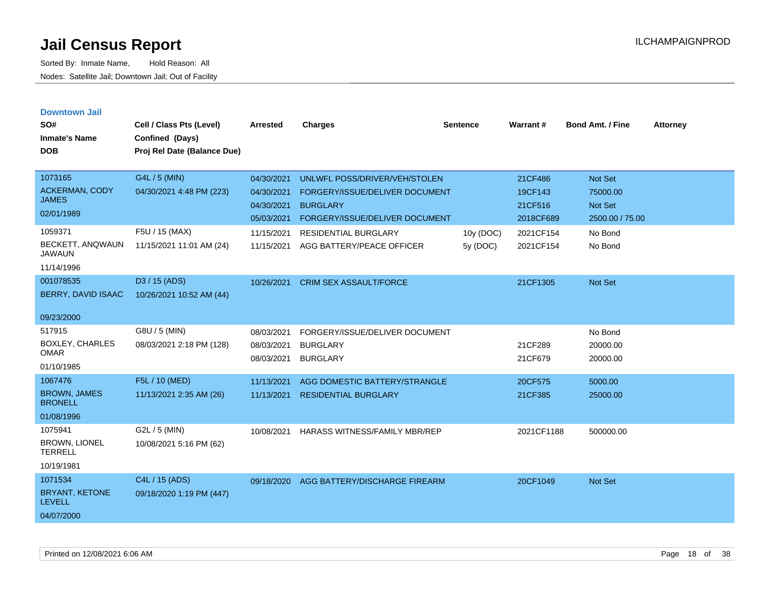| <b>Downtown Jail</b><br>SO#<br><b>Inmate's Name</b><br><b>DOB</b> | Cell / Class Pts (Level)<br>Confined (Days)<br>Proj Rel Date (Balance Due) | <b>Arrested</b>          | <b>Charges</b>                       | <b>Sentence</b> | <b>Warrant#</b>    | <b>Bond Amt. / Fine</b> | <b>Attorney</b> |
|-------------------------------------------------------------------|----------------------------------------------------------------------------|--------------------------|--------------------------------------|-----------------|--------------------|-------------------------|-----------------|
| 1073165                                                           | G4L / 5 (MIN)                                                              | 04/30/2021               | UNLWFL POSS/DRIVER/VEH/STOLEN        |                 | 21CF486            | Not Set                 |                 |
| <b>ACKERMAN, CODY</b><br><b>JAMES</b>                             | 04/30/2021 4:48 PM (223)                                                   | 04/30/2021               | FORGERY/ISSUE/DELIVER DOCUMENT       |                 | 19CF143            | 75000.00                |                 |
| 02/01/1989                                                        |                                                                            | 04/30/2021               | <b>BURGLARY</b>                      |                 | 21CF516            | <b>Not Set</b>          |                 |
|                                                                   |                                                                            | 05/03/2021               | FORGERY/ISSUE/DELIVER DOCUMENT       |                 | 2018CF689          | 2500.00 / 75.00         |                 |
| 1059371                                                           | F5U / 15 (MAX)                                                             | 11/15/2021               | <b>RESIDENTIAL BURGLARY</b>          | 10y (DOC)       | 2021CF154          | No Bond                 |                 |
| BECKETT, ANQWAUN<br><b>JAWAUN</b>                                 | 11/15/2021 11:01 AM (24)                                                   | 11/15/2021               | AGG BATTERY/PEACE OFFICER            | 5y (DOC)        | 2021CF154          | No Bond                 |                 |
| 11/14/1996                                                        |                                                                            |                          |                                      |                 |                    |                         |                 |
| 001078535                                                         | D3 / 15 (ADS)                                                              | 10/26/2021               | <b>CRIM SEX ASSAULT/FORCE</b>        |                 | 21CF1305           | Not Set                 |                 |
| BERRY, DAVID ISAAC                                                | 10/26/2021 10:52 AM (44)                                                   |                          |                                      |                 |                    |                         |                 |
| 09/23/2000                                                        |                                                                            |                          |                                      |                 |                    |                         |                 |
| 517915                                                            | G8U / 5 (MIN)                                                              | 08/03/2021               | FORGERY/ISSUE/DELIVER DOCUMENT       |                 |                    | No Bond                 |                 |
| <b>BOXLEY, CHARLES</b><br><b>OMAR</b>                             | 08/03/2021 2:18 PM (128)                                                   | 08/03/2021<br>08/03/2021 | <b>BURGLARY</b><br><b>BURGLARY</b>   |                 | 21CF289<br>21CF679 | 20000.00<br>20000.00    |                 |
| 01/10/1985                                                        |                                                                            |                          |                                      |                 |                    |                         |                 |
| 1067476                                                           | F5L / 10 (MED)                                                             | 11/13/2021               | AGG DOMESTIC BATTERY/STRANGLE        |                 | 20CF575            | 5000.00                 |                 |
| <b>BROWN, JAMES</b><br><b>BRONELL</b>                             | 11/13/2021 2:35 AM (26)                                                    | 11/13/2021               | <b>RESIDENTIAL BURGLARY</b>          |                 | 21CF385            | 25000.00                |                 |
| 01/08/1996                                                        |                                                                            |                          |                                      |                 |                    |                         |                 |
| 1075941                                                           | G2L / 5 (MIN)                                                              | 10/08/2021               | <b>HARASS WITNESS/FAMILY MBR/REP</b> |                 | 2021CF1188         | 500000.00               |                 |
| <b>BROWN, LIONEL</b><br><b>TERRELL</b>                            | 10/08/2021 5:16 PM (62)                                                    |                          |                                      |                 |                    |                         |                 |
| 10/19/1981                                                        |                                                                            |                          |                                      |                 |                    |                         |                 |
| 1071534                                                           | C4L / 15 (ADS)                                                             | 09/18/2020               | AGG BATTERY/DISCHARGE FIREARM        |                 | 20CF1049           | Not Set                 |                 |
| BRYANT, KETONE<br><b>LEVELL</b>                                   | 09/18/2020 1:19 PM (447)                                                   |                          |                                      |                 |                    |                         |                 |
| 04/07/2000                                                        |                                                                            |                          |                                      |                 |                    |                         |                 |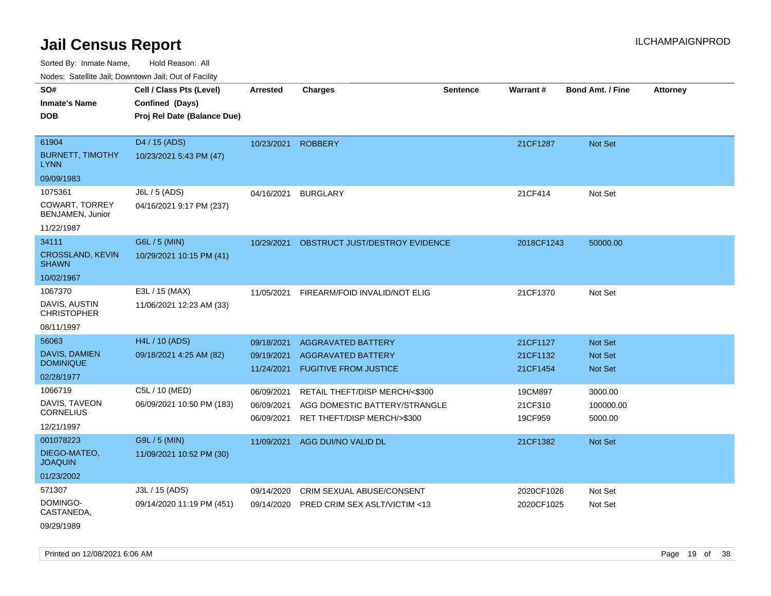| ivouss. Saleling Jali, Downlown Jali, Out of Facility |                             |                    |                                  |                 |            |                         |                 |
|-------------------------------------------------------|-----------------------------|--------------------|----------------------------------|-----------------|------------|-------------------------|-----------------|
| SO#                                                   | Cell / Class Pts (Level)    | <b>Arrested</b>    | <b>Charges</b>                   | <b>Sentence</b> | Warrant#   | <b>Bond Amt. / Fine</b> | <b>Attorney</b> |
| <b>Inmate's Name</b>                                  | Confined (Days)             |                    |                                  |                 |            |                         |                 |
| <b>DOB</b>                                            | Proj Rel Date (Balance Due) |                    |                                  |                 |            |                         |                 |
|                                                       |                             |                    |                                  |                 |            |                         |                 |
| 61904                                                 | D4 / 15 (ADS)               | 10/23/2021 ROBBERY |                                  |                 | 21CF1287   | Not Set                 |                 |
| <b>BURNETT, TIMOTHY</b><br><b>LYNN</b>                | 10/23/2021 5:43 PM (47)     |                    |                                  |                 |            |                         |                 |
| 09/09/1983                                            |                             |                    |                                  |                 |            |                         |                 |
| 1075361                                               | J6L / 5 (ADS)               | 04/16/2021         | <b>BURGLARY</b>                  |                 | 21CF414    | Not Set                 |                 |
| <b>COWART, TORREY</b><br>BENJAMEN, Junior             | 04/16/2021 9:17 PM (237)    |                    |                                  |                 |            |                         |                 |
| 11/22/1987                                            |                             |                    |                                  |                 |            |                         |                 |
| 34111                                                 | G6L / 5 (MIN)               | 10/29/2021         | OBSTRUCT JUST/DESTROY EVIDENCE   |                 | 2018CF1243 | 50000.00                |                 |
| <b>CROSSLAND, KEVIN</b><br><b>SHAWN</b>               | 10/29/2021 10:15 PM (41)    |                    |                                  |                 |            |                         |                 |
| 10/02/1967                                            |                             |                    |                                  |                 |            |                         |                 |
| 1067370                                               | E3L / 15 (MAX)              | 11/05/2021         | FIREARM/FOID INVALID/NOT ELIG    |                 | 21CF1370   | Not Set                 |                 |
| DAVIS, AUSTIN<br><b>CHRISTOPHER</b>                   | 11/06/2021 12:23 AM (33)    |                    |                                  |                 |            |                         |                 |
| 08/11/1997                                            |                             |                    |                                  |                 |            |                         |                 |
| 56063                                                 | <b>H4L / 10 (ADS)</b>       | 09/18/2021         | <b>AGGRAVATED BATTERY</b>        |                 | 21CF1127   | Not Set                 |                 |
| DAVIS, DAMIEN                                         | 09/18/2021 4:25 AM (82)     | 09/19/2021         | <b>AGGRAVATED BATTERY</b>        |                 | 21CF1132   | <b>Not Set</b>          |                 |
| <b>DOMINIQUE</b>                                      |                             |                    | 11/24/2021 FUGITIVE FROM JUSTICE |                 | 21CF1454   | Not Set                 |                 |
| 02/28/1977                                            |                             |                    |                                  |                 |            |                         |                 |
| 1066719                                               | C5L / 10 (MED)              | 06/09/2021         | RETAIL THEFT/DISP MERCH/<\$300   |                 | 19CM897    | 3000.00                 |                 |
| DAVIS, TAVEON<br><b>CORNELIUS</b>                     | 06/09/2021 10:50 PM (183)   | 06/09/2021         | AGG DOMESTIC BATTERY/STRANGLE    |                 | 21CF310    | 100000.00               |                 |
| 12/21/1997                                            |                             | 06/09/2021         | RET THEFT/DISP MERCH/>\$300      |                 | 19CF959    | 5000.00                 |                 |
|                                                       |                             |                    |                                  |                 |            |                         |                 |
| 001078223                                             | G9L / 5 (MIN)               |                    | 11/09/2021 AGG DUI/NO VALID DL   |                 | 21CF1382   | Not Set                 |                 |
| DIEGO-MATEO,<br><b>JOAQUIN</b>                        | 11/09/2021 10:52 PM (30)    |                    |                                  |                 |            |                         |                 |
| 01/23/2002                                            |                             |                    |                                  |                 |            |                         |                 |
| 571307                                                | J3L / 15 (ADS)              | 09/14/2020         | CRIM SEXUAL ABUSE/CONSENT        |                 | 2020CF1026 | Not Set                 |                 |
| DOMINGO-<br>CASTANEDA,                                | 09/14/2020 11:19 PM (451)   | 09/14/2020         | PRED CRIM SEX ASLT/VICTIM <13    |                 | 2020CF1025 | Not Set                 |                 |
| 09/29/1989                                            |                             |                    |                                  |                 |            |                         |                 |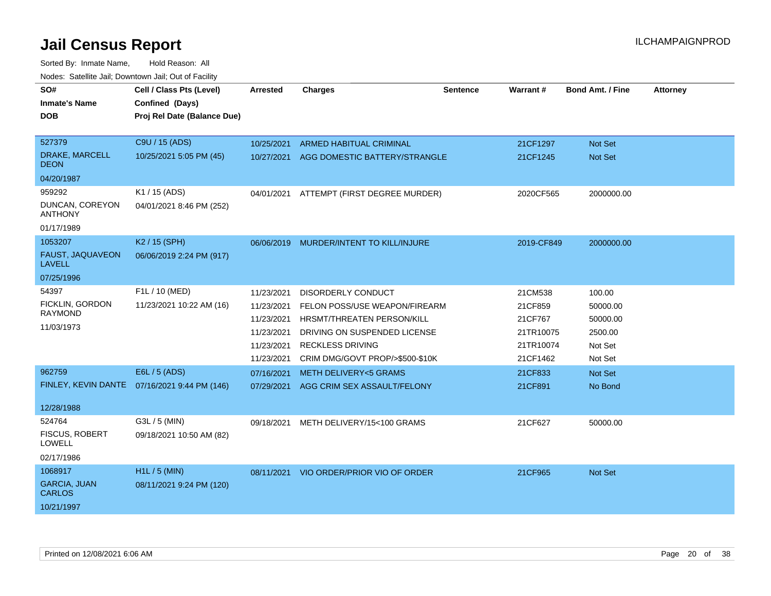| roaco. Catolino cali, Downtown cali, Out of Facility<br>SO#<br><b>Inmate's Name</b><br>DOB<br>527379<br>DRAKE, MARCELL | Cell / Class Pts (Level)<br>Confined (Days)<br>Proj Rel Date (Balance Due)<br>C9U / 15 (ADS)<br>10/25/2021 5:05 PM (45) | <b>Arrested</b><br>10/25/2021<br>10/27/2021                                      | <b>Charges</b><br><b>ARMED HABITUAL CRIMINAL</b><br>AGG DOMESTIC BATTERY/STRANGLE                                                                                                      | <b>Sentence</b> | Warrant#<br>21CF1297<br>21CF1245                                    | <b>Bond Amt. / Fine</b><br>Not Set<br><b>Not Set</b>            | <b>Attorney</b> |
|------------------------------------------------------------------------------------------------------------------------|-------------------------------------------------------------------------------------------------------------------------|----------------------------------------------------------------------------------|----------------------------------------------------------------------------------------------------------------------------------------------------------------------------------------|-----------------|---------------------------------------------------------------------|-----------------------------------------------------------------|-----------------|
| DEON<br>04/20/1987                                                                                                     |                                                                                                                         |                                                                                  |                                                                                                                                                                                        |                 |                                                                     |                                                                 |                 |
| 959292<br>DUNCAN, COREYON<br>ANTHONY<br>01/17/1989                                                                     | K1 / 15 (ADS)<br>04/01/2021 8:46 PM (252)                                                                               |                                                                                  | 04/01/2021 ATTEMPT (FIRST DEGREE MURDER)                                                                                                                                               |                 | 2020CF565                                                           | 2000000.00                                                      |                 |
| 1053207<br>FAUST, JAQUAVEON<br><b>LAVELL</b><br>07/25/1996                                                             | K2 / 15 (SPH)<br>06/06/2019 2:24 PM (917)                                                                               |                                                                                  | 06/06/2019 MURDER/INTENT TO KILL/INJURE                                                                                                                                                |                 | 2019-CF849                                                          | 2000000.00                                                      |                 |
| 54397<br>FICKLIN, GORDON<br><b>RAYMOND</b><br>11/03/1973                                                               | F1L / 10 (MED)<br>11/23/2021 10:22 AM (16)                                                                              | 11/23/2021<br>11/23/2021<br>11/23/2021<br>11/23/2021<br>11/23/2021<br>11/23/2021 | <b>DISORDERLY CONDUCT</b><br>FELON POSS/USE WEAPON/FIREARM<br>HRSMT/THREATEN PERSON/KILL<br>DRIVING ON SUSPENDED LICENSE<br><b>RECKLESS DRIVING</b><br>CRIM DMG/GOVT PROP/>\$500-\$10K |                 | 21CM538<br>21CF859<br>21CF767<br>21TR10075<br>21TR10074<br>21CF1462 | 100.00<br>50000.00<br>50000.00<br>2500.00<br>Not Set<br>Not Set |                 |
| 962759<br>12/28/1988                                                                                                   | E6L / 5 (ADS)<br>FINLEY, KEVIN DANTE 07/16/2021 9:44 PM (146)                                                           | 07/16/2021<br>07/29/2021                                                         | <b>METH DELIVERY&lt;5 GRAMS</b><br>AGG CRIM SEX ASSAULT/FELONY                                                                                                                         |                 | 21CF833<br>21CF891                                                  | Not Set<br>No Bond                                              |                 |
| 524764<br><b>FISCUS, ROBERT</b><br><b>LOWELL</b><br>02/17/1986                                                         | G3L / 5 (MIN)<br>09/18/2021 10:50 AM (82)                                                                               | 09/18/2021                                                                       | METH DELIVERY/15<100 GRAMS                                                                                                                                                             |                 | 21CF627                                                             | 50000.00                                                        |                 |
| 1068917<br><b>GARCIA, JUAN</b><br><b>CARLOS</b><br>10/21/1997                                                          | $H1L / 5$ (MIN)<br>08/11/2021 9:24 PM (120)                                                                             | 08/11/2021                                                                       | VIO ORDER/PRIOR VIO OF ORDER                                                                                                                                                           |                 | 21CF965                                                             | Not Set                                                         |                 |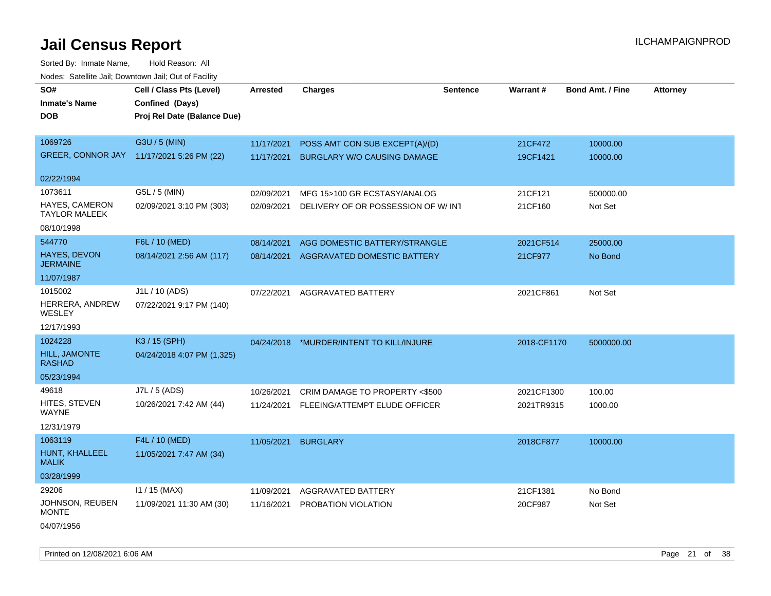Sorted By: Inmate Name, Hold Reason: All Nodes: Satellite Jail; Downtown Jail; Out of Facility

| SO#                                           | Cell / Class Pts (Level)                  | <b>Arrested</b> | <b>Charges</b>                     | <b>Sentence</b> | Warrant#    | <b>Bond Amt. / Fine</b> | <b>Attorney</b> |
|-----------------------------------------------|-------------------------------------------|-----------------|------------------------------------|-----------------|-------------|-------------------------|-----------------|
| <b>Inmate's Name</b>                          | Confined (Days)                           |                 |                                    |                 |             |                         |                 |
| <b>DOB</b>                                    | Proj Rel Date (Balance Due)               |                 |                                    |                 |             |                         |                 |
|                                               |                                           |                 |                                    |                 |             |                         |                 |
| 1069726                                       | G3U / 5 (MIN)                             | 11/17/2021      | POSS AMT CON SUB EXCEPT(A)/(D)     |                 | 21CF472     | 10000.00                |                 |
|                                               | GREER, CONNOR JAY 11/17/2021 5:26 PM (22) | 11/17/2021      | <b>BURGLARY W/O CAUSING DAMAGE</b> |                 | 19CF1421    | 10000.00                |                 |
| 02/22/1994                                    |                                           |                 |                                    |                 |             |                         |                 |
| 1073611                                       | G5L / 5 (MIN)                             | 02/09/2021      | MFG 15>100 GR ECSTASY/ANALOG       |                 | 21CF121     | 500000.00               |                 |
| <b>HAYES, CAMERON</b><br><b>TAYLOR MALEEK</b> | 02/09/2021 3:10 PM (303)                  | 02/09/2021      | DELIVERY OF OR POSSESSION OF W/INT |                 | 21CF160     | Not Set                 |                 |
| 08/10/1998                                    |                                           |                 |                                    |                 |             |                         |                 |
| 544770                                        | F6L / 10 (MED)                            | 08/14/2021      | AGG DOMESTIC BATTERY/STRANGLE      |                 | 2021CF514   | 25000.00                |                 |
| HAYES, DEVON<br><b>JERMAINE</b>               | 08/14/2021 2:56 AM (117)                  | 08/14/2021      | AGGRAVATED DOMESTIC BATTERY        |                 | 21CF977     | No Bond                 |                 |
| 11/07/1987                                    |                                           |                 |                                    |                 |             |                         |                 |
| 1015002                                       | J1L / 10 (ADS)                            | 07/22/2021      | AGGRAVATED BATTERY                 |                 | 2021CF861   | Not Set                 |                 |
| HERRERA, ANDREW<br>WESLEY                     | 07/22/2021 9:17 PM (140)                  |                 |                                    |                 |             |                         |                 |
| 12/17/1993                                    |                                           |                 |                                    |                 |             |                         |                 |
| 1024228                                       | K3 / 15 (SPH)                             | 04/24/2018      | *MURDER/INTENT TO KILL/INJURE      |                 | 2018-CF1170 | 5000000.00              |                 |
| <b>HILL, JAMONTE</b><br><b>RASHAD</b>         | 04/24/2018 4:07 PM (1,325)                |                 |                                    |                 |             |                         |                 |
| 05/23/1994                                    |                                           |                 |                                    |                 |             |                         |                 |
| 49618                                         | J7L / 5 (ADS)                             | 10/26/2021      | CRIM DAMAGE TO PROPERTY <\$500     |                 | 2021CF1300  | 100.00                  |                 |
| HITES, STEVEN<br><b>WAYNE</b>                 | 10/26/2021 7:42 AM (44)                   | 11/24/2021      | FLEEING/ATTEMPT ELUDE OFFICER      |                 | 2021TR9315  | 1000.00                 |                 |
| 12/31/1979                                    |                                           |                 |                                    |                 |             |                         |                 |
| 1063119                                       | F4L / 10 (MED)                            | 11/05/2021      | <b>BURGLARY</b>                    |                 | 2018CF877   | 10000.00                |                 |
| HUNT, KHALLEEL<br><b>MALIK</b>                | 11/05/2021 7:47 AM (34)                   |                 |                                    |                 |             |                         |                 |
| 03/28/1999                                    |                                           |                 |                                    |                 |             |                         |                 |
| 29206                                         | $11 / 15$ (MAX)                           | 11/09/2021      | AGGRAVATED BATTERY                 |                 | 21CF1381    | No Bond                 |                 |
| JOHNSON, REUBEN<br><b>MONTE</b>               | 11/09/2021 11:30 AM (30)                  | 11/16/2021      | <b>PROBATION VIOLATION</b>         |                 | 20CF987     | Not Set                 |                 |
| 04/07/1956                                    |                                           |                 |                                    |                 |             |                         |                 |

Printed on 12/08/2021 6:06 AM **Page 21 of 38** Page 21 of 38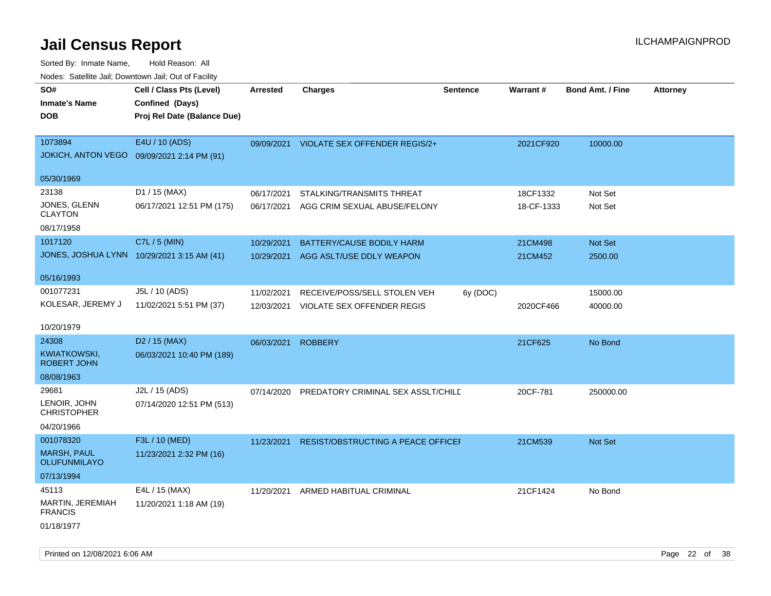| roaco. Catolino dall, Downtown dall, Out of Fability |                             |                 |                                    |                 |            |                         |                 |
|------------------------------------------------------|-----------------------------|-----------------|------------------------------------|-----------------|------------|-------------------------|-----------------|
| SO#                                                  | Cell / Class Pts (Level)    | <b>Arrested</b> | <b>Charges</b>                     | <b>Sentence</b> | Warrant#   | <b>Bond Amt. / Fine</b> | <b>Attorney</b> |
| <b>Inmate's Name</b>                                 | Confined (Days)             |                 |                                    |                 |            |                         |                 |
| <b>DOB</b>                                           | Proj Rel Date (Balance Due) |                 |                                    |                 |            |                         |                 |
|                                                      |                             |                 |                                    |                 |            |                         |                 |
| 1073894                                              | E4U / 10 (ADS)              | 09/09/2021      | VIOLATE SEX OFFENDER REGIS/2+      |                 | 2021CF920  | 10000.00                |                 |
| JOKICH, ANTON VEGO  09/09/2021 2:14 PM (91)          |                             |                 |                                    |                 |            |                         |                 |
| 05/30/1969                                           |                             |                 |                                    |                 |            |                         |                 |
| 23138                                                | D1 / 15 (MAX)               | 06/17/2021      | STALKING/TRANSMITS THREAT          |                 | 18CF1332   | Not Set                 |                 |
| JONES, GLENN                                         | 06/17/2021 12:51 PM (175)   | 06/17/2021      | AGG CRIM SEXUAL ABUSE/FELONY       |                 | 18-CF-1333 | Not Set                 |                 |
| <b>CLAYTON</b>                                       |                             |                 |                                    |                 |            |                         |                 |
| 08/17/1958                                           |                             |                 |                                    |                 |            |                         |                 |
| 1017120                                              | C7L / 5 (MIN)               | 10/29/2021      | BATTERY/CAUSE BODILY HARM          |                 | 21CM498    | Not Set                 |                 |
| JONES, JOSHUA LYNN 10/29/2021 3:15 AM (41)           |                             | 10/29/2021      | AGG ASLT/USE DDLY WEAPON           |                 | 21CM452    | 2500.00                 |                 |
| 05/16/1993                                           |                             |                 |                                    |                 |            |                         |                 |
| 001077231                                            | J5L / 10 (ADS)              | 11/02/2021      | RECEIVE/POSS/SELL STOLEN VEH       | 6y (DOC)        |            | 15000.00                |                 |
| KOLESAR, JEREMY J                                    | 11/02/2021 5:51 PM (37)     | 12/03/2021      | VIOLATE SEX OFFENDER REGIS         |                 | 2020CF466  | 40000.00                |                 |
|                                                      |                             |                 |                                    |                 |            |                         |                 |
| 10/20/1979                                           |                             |                 |                                    |                 |            |                         |                 |
| 24308                                                | D <sub>2</sub> / 15 (MAX)   | 06/03/2021      | <b>ROBBERY</b>                     |                 | 21CF625    | No Bond                 |                 |
| KWIATKOWSKI,<br><b>ROBERT JOHN</b>                   | 06/03/2021 10:40 PM (189)   |                 |                                    |                 |            |                         |                 |
| 08/08/1963                                           |                             |                 |                                    |                 |            |                         |                 |
| 29681                                                | J2L / 15 (ADS)              | 07/14/2020      | PREDATORY CRIMINAL SEX ASSLT/CHILD |                 | 20CF-781   | 250000.00               |                 |
| LENOIR, JOHN<br><b>CHRISTOPHER</b>                   | 07/14/2020 12:51 PM (513)   |                 |                                    |                 |            |                         |                 |
| 04/20/1966                                           |                             |                 |                                    |                 |            |                         |                 |
| 001078320                                            | F3L / 10 (MED)              | 11/23/2021      | RESIST/OBSTRUCTING A PEACE OFFICEF |                 | 21CM539    | Not Set                 |                 |
| <b>MARSH, PAUL</b><br><b>OLUFUNMILAYO</b>            | 11/23/2021 2:32 PM (16)     |                 |                                    |                 |            |                         |                 |
| 07/13/1994                                           |                             |                 |                                    |                 |            |                         |                 |
| 45113                                                | E4L / 15 (MAX)              | 11/20/2021      | ARMED HABITUAL CRIMINAL            |                 | 21CF1424   | No Bond                 |                 |
| MARTIN, JEREMIAH<br><b>FRANCIS</b>                   | 11/20/2021 1:18 AM (19)     |                 |                                    |                 |            |                         |                 |
| 01/18/1977                                           |                             |                 |                                    |                 |            |                         |                 |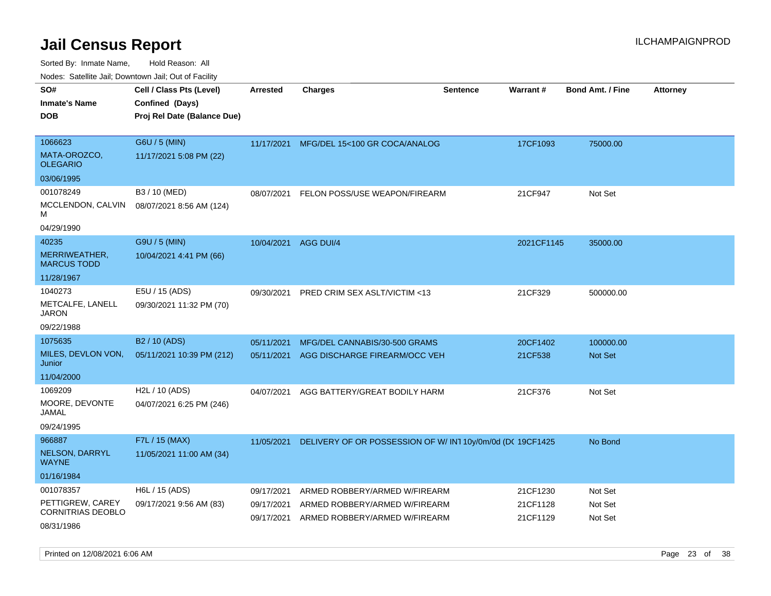Sorted By: Inmate Name, Hold Reason: All

|  |  |  | Nodes: Satellite Jail; Downtown Jail; Out of Facility |  |
|--|--|--|-------------------------------------------------------|--|
|--|--|--|-------------------------------------------------------|--|

| SO#                                 | Cell / Class Pts (Level)    | <b>Arrested</b> | <b>Charges</b>                                           | <b>Sentence</b> | Warrant#   | <b>Bond Amt. / Fine</b> | Attorney |
|-------------------------------------|-----------------------------|-----------------|----------------------------------------------------------|-----------------|------------|-------------------------|----------|
| <b>Inmate's Name</b>                | Confined (Days)             |                 |                                                          |                 |            |                         |          |
| <b>DOB</b>                          | Proj Rel Date (Balance Due) |                 |                                                          |                 |            |                         |          |
|                                     |                             |                 |                                                          |                 |            |                         |          |
| 1066623                             | G6U / 5 (MIN)               | 11/17/2021      | MFG/DEL 15<100 GR COCA/ANALOG                            |                 | 17CF1093   | 75000.00                |          |
| MATA-OROZCO,<br><b>OLEGARIO</b>     | 11/17/2021 5:08 PM (22)     |                 |                                                          |                 |            |                         |          |
| 03/06/1995                          |                             |                 |                                                          |                 |            |                         |          |
| 001078249                           | B3 / 10 (MED)               | 08/07/2021      | FELON POSS/USE WEAPON/FIREARM                            |                 | 21CF947    | Not Set                 |          |
| MCCLENDON, CALVIN<br>м              | 08/07/2021 8:56 AM (124)    |                 |                                                          |                 |            |                         |          |
| 04/29/1990                          |                             |                 |                                                          |                 |            |                         |          |
| 40235                               | G9U / 5 (MIN)               | 10/04/2021      | AGG DUI/4                                                |                 | 2021CF1145 | 35000.00                |          |
| MERRIWEATHER,<br><b>MARCUS TODD</b> | 10/04/2021 4:41 PM (66)     |                 |                                                          |                 |            |                         |          |
| 11/28/1967                          |                             |                 |                                                          |                 |            |                         |          |
| 1040273                             | E5U / 15 (ADS)              |                 | 09/30/2021 PRED CRIM SEX ASLT/VICTIM <13                 |                 | 21CF329    | 500000.00               |          |
| METCALFE, LANELL<br><b>JARON</b>    | 09/30/2021 11:32 PM (70)    |                 |                                                          |                 |            |                         |          |
| 09/22/1988                          |                             |                 |                                                          |                 |            |                         |          |
| 1075635                             | B <sub>2</sub> / 10 (ADS)   | 05/11/2021      | MFG/DEL CANNABIS/30-500 GRAMS                            |                 | 20CF1402   | 100000.00               |          |
| MILES, DEVLON VON,<br>Junior        | 05/11/2021 10:39 PM (212)   | 05/11/2021      | AGG DISCHARGE FIREARM/OCC VEH                            |                 | 21CF538    | Not Set                 |          |
| 11/04/2000                          |                             |                 |                                                          |                 |            |                         |          |
| 1069209                             | H2L / 10 (ADS)              | 04/07/2021      | AGG BATTERY/GREAT BODILY HARM                            |                 | 21CF376    | Not Set                 |          |
| MOORE, DEVONTE<br>JAMAL             | 04/07/2021 6:25 PM (246)    |                 |                                                          |                 |            |                         |          |
| 09/24/1995                          |                             |                 |                                                          |                 |            |                         |          |
| 966887                              | F7L / 15 (MAX)              | 11/05/2021      | DELIVERY OF OR POSSESSION OF W/IN110y/0m/0d (DC 19CF1425 |                 |            | No Bond                 |          |
| NELSON, DARRYL<br><b>WAYNE</b>      | 11/05/2021 11:00 AM (34)    |                 |                                                          |                 |            |                         |          |
| 01/16/1984                          |                             |                 |                                                          |                 |            |                         |          |
| 001078357                           | H6L / 15 (ADS)              | 09/17/2021      | ARMED ROBBERY/ARMED W/FIREARM                            |                 | 21CF1230   | Not Set                 |          |
| PETTIGREW, CAREY                    | 09/17/2021 9:56 AM (83)     | 09/17/2021      | ARMED ROBBERY/ARMED W/FIREARM                            |                 | 21CF1128   | Not Set                 |          |
| <b>CORNITRIAS DEOBLO</b>            |                             | 09/17/2021      | ARMED ROBBERY/ARMED W/FIREARM                            |                 | 21CF1129   | Not Set                 |          |
| 08/31/1986                          |                             |                 |                                                          |                 |            |                         |          |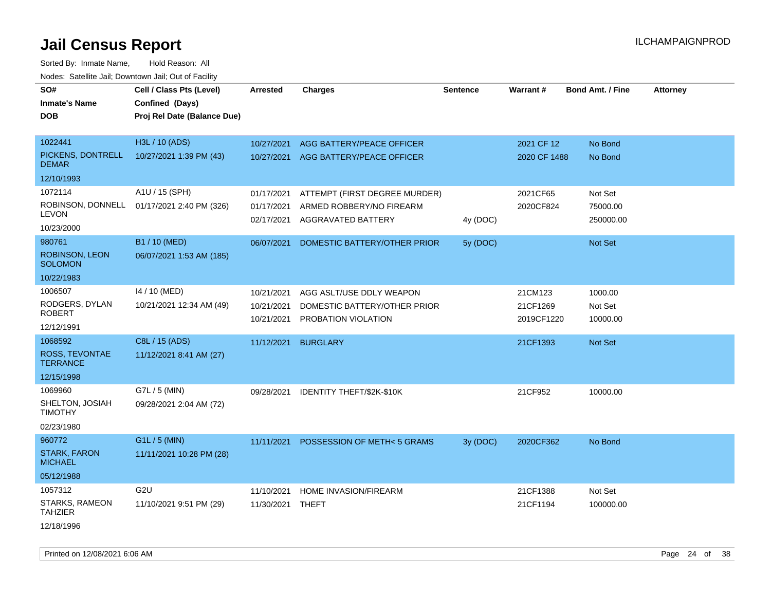| <u>Rodos.</u> Odiolino dali, Downtown dali, Odi of Fabilit |                                            |                  |                                      |                 |              |                         |                 |
|------------------------------------------------------------|--------------------------------------------|------------------|--------------------------------------|-----------------|--------------|-------------------------|-----------------|
| SO#                                                        | Cell / Class Pts (Level)                   | <b>Arrested</b>  | <b>Charges</b>                       | <b>Sentence</b> | Warrant#     | <b>Bond Amt. / Fine</b> | <b>Attorney</b> |
| <b>Inmate's Name</b>                                       | Confined (Days)                            |                  |                                      |                 |              |                         |                 |
| <b>DOB</b>                                                 | Proj Rel Date (Balance Due)                |                  |                                      |                 |              |                         |                 |
|                                                            |                                            |                  |                                      |                 |              |                         |                 |
| 1022441                                                    | H3L / 10 (ADS)                             | 10/27/2021       | AGG BATTERY/PEACE OFFICER            |                 | 2021 CF 12   | No Bond                 |                 |
| PICKENS, DONTRELL<br><b>DEMAR</b>                          | 10/27/2021 1:39 PM (43)                    | 10/27/2021       | AGG BATTERY/PEACE OFFICER            |                 | 2020 CF 1488 | No Bond                 |                 |
| 12/10/1993                                                 |                                            |                  |                                      |                 |              |                         |                 |
| 1072114                                                    | A1U / 15 (SPH)                             | 01/17/2021       | ATTEMPT (FIRST DEGREE MURDER)        |                 | 2021CF65     | Not Set                 |                 |
|                                                            | ROBINSON, DONNELL 01/17/2021 2:40 PM (326) | 01/17/2021       | ARMED ROBBERY/NO FIREARM             |                 | 2020CF824    | 75000.00                |                 |
| <b>LEVON</b>                                               |                                            | 02/17/2021       | AGGRAVATED BATTERY                   | 4y (DOC)        |              | 250000.00               |                 |
| 10/23/2000                                                 |                                            |                  |                                      |                 |              |                         |                 |
| 980761                                                     | B1 / 10 (MED)                              | 06/07/2021       | DOMESTIC BATTERY/OTHER PRIOR         | 5y (DOC)        |              | Not Set                 |                 |
| ROBINSON, LEON<br><b>SOLOMON</b>                           | 06/07/2021 1:53 AM (185)                   |                  |                                      |                 |              |                         |                 |
| 10/22/1983                                                 |                                            |                  |                                      |                 |              |                         |                 |
| 1006507                                                    | 14 / 10 (MED)                              | 10/21/2021       | AGG ASLT/USE DDLY WEAPON             |                 | 21CM123      | 1000.00                 |                 |
| RODGERS, DYLAN                                             | 10/21/2021 12:34 AM (49)                   | 10/21/2021       | DOMESTIC BATTERY/OTHER PRIOR         |                 | 21CF1269     | Not Set                 |                 |
| <b>ROBERT</b>                                              |                                            | 10/21/2021       | PROBATION VIOLATION                  |                 | 2019CF1220   | 10000.00                |                 |
| 12/12/1991                                                 |                                            |                  |                                      |                 |              |                         |                 |
| 1068592                                                    | C8L / 15 (ADS)                             | 11/12/2021       | <b>BURGLARY</b>                      |                 | 21CF1393     | <b>Not Set</b>          |                 |
| ROSS, TEVONTAE<br><b>TERRANCE</b>                          | 11/12/2021 8:41 AM (27)                    |                  |                                      |                 |              |                         |                 |
| 12/15/1998                                                 |                                            |                  |                                      |                 |              |                         |                 |
| 1069960                                                    | G7L / 5 (MIN)                              | 09/28/2021       | IDENTITY THEFT/\$2K-\$10K            |                 | 21CF952      | 10000.00                |                 |
| SHELTON, JOSIAH<br><b>TIMOTHY</b>                          | 09/28/2021 2:04 AM (72)                    |                  |                                      |                 |              |                         |                 |
| 02/23/1980                                                 |                                            |                  |                                      |                 |              |                         |                 |
| 960772                                                     | G1L / 5 (MIN)                              | 11/11/2021       | <b>POSSESSION OF METH&lt;5 GRAMS</b> | 3y (DOC)        | 2020CF362    | No Bond                 |                 |
| <b>STARK, FARON</b><br><b>MICHAEL</b>                      | 11/11/2021 10:28 PM (28)                   |                  |                                      |                 |              |                         |                 |
| 05/12/1988                                                 |                                            |                  |                                      |                 |              |                         |                 |
| 1057312                                                    | G <sub>2U</sub>                            | 11/10/2021       | HOME INVASION/FIREARM                |                 | 21CF1388     | Not Set                 |                 |
| STARKS, RAMEON<br><b>TAHZIER</b>                           | 11/10/2021 9:51 PM (29)                    | 11/30/2021 THEFT |                                      |                 | 21CF1194     | 100000.00               |                 |
| 12/18/1996                                                 |                                            |                  |                                      |                 |              |                         |                 |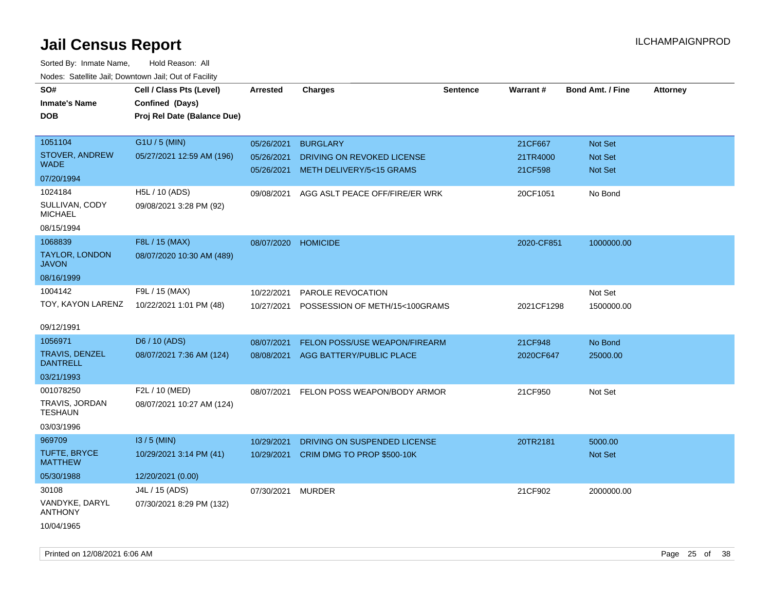| rouce. Calcinic Jan, Downtown Jan, Out or Facility |                             |                     |                                         |                 |            |                         |                 |
|----------------------------------------------------|-----------------------------|---------------------|-----------------------------------------|-----------------|------------|-------------------------|-----------------|
| SO#                                                | Cell / Class Pts (Level)    | <b>Arrested</b>     | <b>Charges</b>                          | <b>Sentence</b> | Warrant#   | <b>Bond Amt. / Fine</b> | <b>Attorney</b> |
| <b>Inmate's Name</b>                               | Confined (Days)             |                     |                                         |                 |            |                         |                 |
| <b>DOB</b>                                         | Proj Rel Date (Balance Due) |                     |                                         |                 |            |                         |                 |
|                                                    |                             |                     |                                         |                 |            |                         |                 |
| 1051104                                            | G1U / 5 (MIN)               | 05/26/2021          | <b>BURGLARY</b>                         |                 | 21CF667    | <b>Not Set</b>          |                 |
| STOVER, ANDREW                                     | 05/27/2021 12:59 AM (196)   | 05/26/2021          | DRIVING ON REVOKED LICENSE              |                 | 21TR4000   | <b>Not Set</b>          |                 |
| <b>WADE</b>                                        |                             | 05/26/2021          | <b>METH DELIVERY/5&lt;15 GRAMS</b>      |                 | 21CF598    | <b>Not Set</b>          |                 |
| 07/20/1994                                         |                             |                     |                                         |                 |            |                         |                 |
| 1024184                                            | H5L / 10 (ADS)              | 09/08/2021          | AGG ASLT PEACE OFF/FIRE/ER WRK          |                 | 20CF1051   | No Bond                 |                 |
| SULLIVAN, CODY<br><b>MICHAEL</b>                   | 09/08/2021 3:28 PM (92)     |                     |                                         |                 |            |                         |                 |
| 08/15/1994                                         |                             |                     |                                         |                 |            |                         |                 |
| 1068839                                            | F8L / 15 (MAX)              | 08/07/2020 HOMICIDE |                                         |                 | 2020-CF851 | 1000000.00              |                 |
| <b>TAYLOR, LONDON</b><br><b>JAVON</b>              | 08/07/2020 10:30 AM (489)   |                     |                                         |                 |            |                         |                 |
| 08/16/1999                                         |                             |                     |                                         |                 |            |                         |                 |
| 1004142                                            | F9L / 15 (MAX)              | 10/22/2021          | <b>PAROLE REVOCATION</b>                |                 |            | Not Set                 |                 |
| TOY, KAYON LARENZ                                  | 10/22/2021 1:01 PM (48)     | 10/27/2021          | POSSESSION OF METH/15<100GRAMS          |                 | 2021CF1298 | 1500000.00              |                 |
|                                                    |                             |                     |                                         |                 |            |                         |                 |
| 09/12/1991                                         |                             |                     |                                         |                 |            |                         |                 |
| 1056971                                            | D6 / 10 (ADS)               | 08/07/2021          | FELON POSS/USE WEAPON/FIREARM           |                 | 21CF948    | No Bond                 |                 |
| <b>TRAVIS, DENZEL</b><br><b>DANTRELL</b>           | 08/07/2021 7:36 AM (124)    | 08/08/2021          | AGG BATTERY/PUBLIC PLACE                |                 | 2020CF647  | 25000.00                |                 |
| 03/21/1993                                         |                             |                     |                                         |                 |            |                         |                 |
| 001078250                                          | F2L / 10 (MED)              |                     | 08/07/2021 FELON POSS WEAPON/BODY ARMOR |                 | 21CF950    | Not Set                 |                 |
| TRAVIS, JORDAN<br><b>TESHAUN</b>                   | 08/07/2021 10:27 AM (124)   |                     |                                         |                 |            |                         |                 |
| 03/03/1996                                         |                             |                     |                                         |                 |            |                         |                 |
| 969709                                             | $13/5$ (MIN)                | 10/29/2021          | DRIVING ON SUSPENDED LICENSE            |                 | 20TR2181   | 5000.00                 |                 |
| <b>TUFTE, BRYCE</b><br><b>MATTHEW</b>              | 10/29/2021 3:14 PM (41)     | 10/29/2021          | CRIM DMG TO PROP \$500-10K              |                 |            | <b>Not Set</b>          |                 |
| 05/30/1988                                         | 12/20/2021 (0.00)           |                     |                                         |                 |            |                         |                 |
| 30108                                              | J4L / 15 (ADS)              | 07/30/2021          | MURDER                                  |                 | 21CF902    | 2000000.00              |                 |
| VANDYKE, DARYL<br><b>ANTHONY</b>                   | 07/30/2021 8:29 PM (132)    |                     |                                         |                 |            |                         |                 |
| 10/04/1965                                         |                             |                     |                                         |                 |            |                         |                 |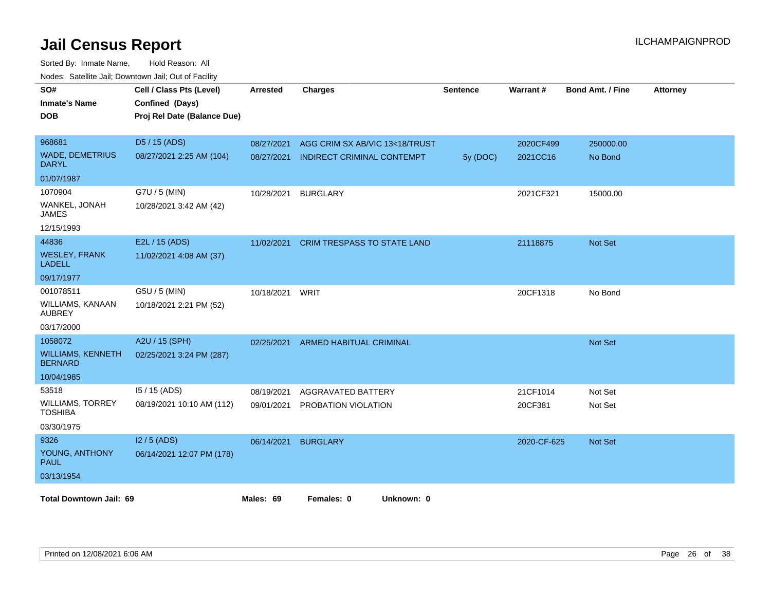| SO#<br><b>Inmate's Name</b><br><b>DOB</b>  | Cell / Class Pts (Level)<br>Confined (Days)<br>Proj Rel Date (Balance Due) | <b>Arrested</b> | <b>Charges</b>                     | <b>Sentence</b> | Warrant#    | <b>Bond Amt. / Fine</b> | <b>Attorney</b> |
|--------------------------------------------|----------------------------------------------------------------------------|-----------------|------------------------------------|-----------------|-------------|-------------------------|-----------------|
| 968681                                     | D5 / 15 (ADS)                                                              | 08/27/2021      | AGG CRIM SX AB/VIC 13<18/TRUST     |                 | 2020CF499   | 250000.00               |                 |
| <b>WADE, DEMETRIUS</b><br><b>DARYL</b>     | 08/27/2021 2:25 AM (104)                                                   | 08/27/2021      | INDIRECT CRIMINAL CONTEMPT         | 5y (DOC)        | 2021CC16    | No Bond                 |                 |
| 01/07/1987                                 |                                                                            |                 |                                    |                 |             |                         |                 |
| 1070904                                    | G7U / 5 (MIN)                                                              | 10/28/2021      | <b>BURGLARY</b>                    |                 | 2021CF321   | 15000.00                |                 |
| WANKEL, JONAH<br><b>JAMES</b>              | 10/28/2021 3:42 AM (42)                                                    |                 |                                    |                 |             |                         |                 |
| 12/15/1993                                 |                                                                            |                 |                                    |                 |             |                         |                 |
| 44836                                      | E2L / 15 (ADS)                                                             | 11/02/2021      | <b>CRIM TRESPASS TO STATE LAND</b> |                 | 21118875    | Not Set                 |                 |
| <b>WESLEY, FRANK</b><br><b>LADELL</b>      | 11/02/2021 4:08 AM (37)                                                    |                 |                                    |                 |             |                         |                 |
| 09/17/1977                                 |                                                                            |                 |                                    |                 |             |                         |                 |
| 001078511                                  | G5U / 5 (MIN)                                                              | 10/18/2021      | WRIT                               |                 | 20CF1318    | No Bond                 |                 |
| WILLIAMS, KANAAN<br><b>AUBREY</b>          | 10/18/2021 2:21 PM (52)                                                    |                 |                                    |                 |             |                         |                 |
| 03/17/2000                                 |                                                                            |                 |                                    |                 |             |                         |                 |
| 1058072                                    | A2U / 15 (SPH)                                                             | 02/25/2021      | ARMED HABITUAL CRIMINAL            |                 |             | Not Set                 |                 |
| <b>WILLIAMS, KENNETH</b><br><b>BERNARD</b> | 02/25/2021 3:24 PM (287)                                                   |                 |                                    |                 |             |                         |                 |
| 10/04/1985                                 |                                                                            |                 |                                    |                 |             |                         |                 |
| 53518                                      | I5 / 15 (ADS)                                                              | 08/19/2021      | AGGRAVATED BATTERY                 |                 | 21CF1014    | Not Set                 |                 |
| <b>WILLIAMS, TORREY</b><br><b>TOSHIBA</b>  | 08/19/2021 10:10 AM (112)                                                  | 09/01/2021      | PROBATION VIOLATION                |                 | 20CF381     | Not Set                 |                 |
| 03/30/1975                                 |                                                                            |                 |                                    |                 |             |                         |                 |
| 9326                                       | $12/5$ (ADS)                                                               | 06/14/2021      | <b>BURGLARY</b>                    |                 | 2020-CF-625 | <b>Not Set</b>          |                 |
| YOUNG, ANTHONY<br><b>PAUL</b>              | 06/14/2021 12:07 PM (178)                                                  |                 |                                    |                 |             |                         |                 |
| 03/13/1954                                 |                                                                            |                 |                                    |                 |             |                         |                 |
| <b>Total Downtown Jail: 69</b>             |                                                                            | Males: 69       | Females: 0<br>Unknown: 0           |                 |             |                         |                 |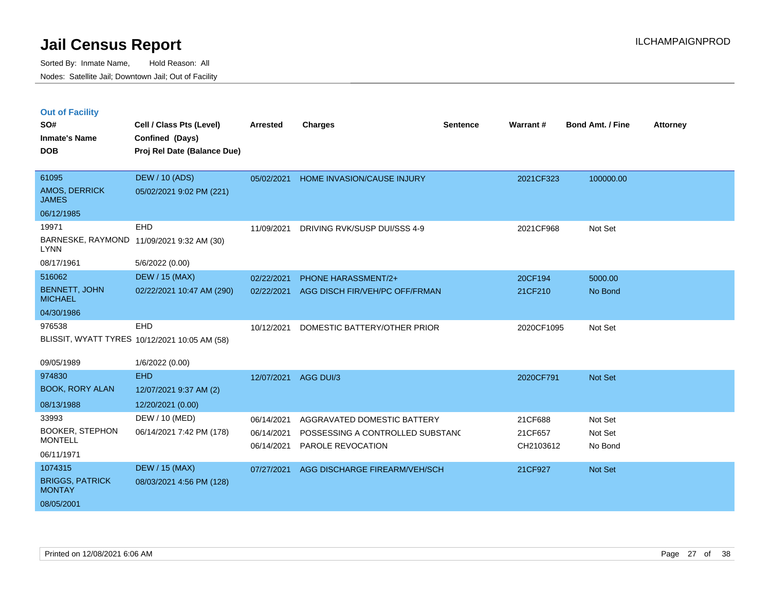|  | <b>Out of Facility</b> |  |
|--|------------------------|--|
|  |                        |  |
|  |                        |  |

| SO#<br><b>Inmate's Name</b>             | Cell / Class Pts (Level)<br>Confined (Days)   | <b>Arrested</b> | <b>Charges</b>                   | <b>Sentence</b> | Warrant#   | <b>Bond Amt. / Fine</b> | <b>Attorney</b> |
|-----------------------------------------|-----------------------------------------------|-----------------|----------------------------------|-----------------|------------|-------------------------|-----------------|
| <b>DOB</b>                              | Proj Rel Date (Balance Due)                   |                 |                                  |                 |            |                         |                 |
|                                         |                                               |                 |                                  |                 |            |                         |                 |
| 61095<br>AMOS, DERRICK                  | <b>DEW / 10 (ADS)</b>                         | 05/02/2021      | HOME INVASION/CAUSE INJURY       |                 | 2021CF323  | 100000.00               |                 |
| <b>JAMES</b>                            | 05/02/2021 9:02 PM (221)                      |                 |                                  |                 |            |                         |                 |
| 06/12/1985                              |                                               |                 |                                  |                 |            |                         |                 |
| 19971                                   | EHD                                           | 11/09/2021      | DRIVING RVK/SUSP DUI/SSS 4-9     |                 | 2021CF968  | Not Set                 |                 |
| <b>LYNN</b>                             | BARNESKE, RAYMOND 11/09/2021 9:32 AM (30)     |                 |                                  |                 |            |                         |                 |
| 08/17/1961                              | 5/6/2022 (0.00)                               |                 |                                  |                 |            |                         |                 |
| 516062                                  | <b>DEW / 15 (MAX)</b>                         | 02/22/2021      | PHONE HARASSMENT/2+              |                 | 20CF194    | 5000.00                 |                 |
| <b>BENNETT, JOHN</b><br><b>MICHAEL</b>  | 02/22/2021 10:47 AM (290)                     | 02/22/2021      | AGG DISCH FIR/VEH/PC OFF/FRMAN   |                 | 21CF210    | No Bond                 |                 |
| 04/30/1986                              |                                               |                 |                                  |                 |            |                         |                 |
| 976538                                  | EHD                                           | 10/12/2021      | DOMESTIC BATTERY/OTHER PRIOR     |                 | 2020CF1095 | Not Set                 |                 |
|                                         | BLISSIT, WYATT TYRES 10/12/2021 10:05 AM (58) |                 |                                  |                 |            |                         |                 |
| 09/05/1989                              | 1/6/2022 (0.00)                               |                 |                                  |                 |            |                         |                 |
| 974830                                  | <b>EHD</b>                                    | 12/07/2021      | AGG DUI/3                        |                 | 2020CF791  | Not Set                 |                 |
| <b>BOOK, RORY ALAN</b>                  | 12/07/2021 9:37 AM (2)                        |                 |                                  |                 |            |                         |                 |
| 08/13/1988                              | 12/20/2021 (0.00)                             |                 |                                  |                 |            |                         |                 |
| 33993                                   | DEW / 10 (MED)                                | 06/14/2021      | AGGRAVATED DOMESTIC BATTERY      |                 | 21CF688    | Not Set                 |                 |
| <b>BOOKER, STEPHON</b>                  | 06/14/2021 7:42 PM (178)                      | 06/14/2021      | POSSESSING A CONTROLLED SUBSTANC |                 | 21CF657    | Not Set                 |                 |
| <b>MONTELL</b>                          |                                               | 06/14/2021      | PAROLE REVOCATION                |                 | CH2103612  | No Bond                 |                 |
| 06/11/1971                              |                                               |                 |                                  |                 |            |                         |                 |
| 1074315                                 | <b>DEW / 15 (MAX)</b>                         | 07/27/2021      | AGG DISCHARGE FIREARM/VEH/SCH    |                 | 21CF927    | Not Set                 |                 |
| <b>BRIGGS, PATRICK</b><br><b>MONTAY</b> | 08/03/2021 4:56 PM (128)                      |                 |                                  |                 |            |                         |                 |
| 08/05/2001                              |                                               |                 |                                  |                 |            |                         |                 |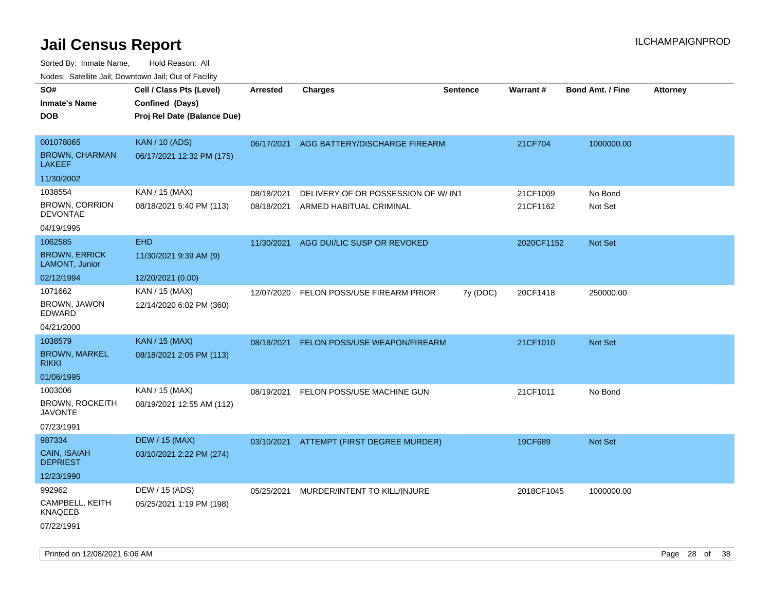| roaco. Calcinio dan, Downtown dan, Oal or Fability |                             |            |                                          |                 |                 |                         |                 |
|----------------------------------------------------|-----------------------------|------------|------------------------------------------|-----------------|-----------------|-------------------------|-----------------|
| SO#                                                | Cell / Class Pts (Level)    | Arrested   | Charges                                  | <b>Sentence</b> | <b>Warrant#</b> | <b>Bond Amt. / Fine</b> | <b>Attorney</b> |
| Inmate's Name                                      | Confined (Days)             |            |                                          |                 |                 |                         |                 |
| DOB                                                | Proj Rel Date (Balance Due) |            |                                          |                 |                 |                         |                 |
|                                                    |                             |            |                                          |                 |                 |                         |                 |
| 001078065                                          | <b>KAN / 10 (ADS)</b>       |            | 06/17/2021 AGG BATTERY/DISCHARGE FIREARM |                 | 21CF704         | 1000000.00              |                 |
| <b>BROWN, CHARMAN</b><br>LAKEEF                    | 06/17/2021 12:32 PM (175)   |            |                                          |                 |                 |                         |                 |
| 11/30/2002                                         |                             |            |                                          |                 |                 |                         |                 |
| 1038554                                            | KAN / 15 (MAX)              | 08/18/2021 | DELIVERY OF OR POSSESSION OF W/ INT      |                 | 21CF1009        | No Bond                 |                 |
| <b>BROWN, CORRION</b><br><b>DEVONTAE</b>           | 08/18/2021 5:40 PM (113)    | 08/18/2021 | ARMED HABITUAL CRIMINAL                  |                 | 21CF1162        | Not Set                 |                 |
| 04/19/1995                                         |                             |            |                                          |                 |                 |                         |                 |
| 1062585                                            | <b>EHD</b>                  | 11/30/2021 | AGG DUI/LIC SUSP OR REVOKED              |                 | 2020CF1152      | <b>Not Set</b>          |                 |
| <b>BROWN, ERRICK</b><br>LAMONT, Junior             | 11/30/2021 9:39 AM (9)      |            |                                          |                 |                 |                         |                 |
| 02/12/1994                                         | 12/20/2021 (0.00)           |            |                                          |                 |                 |                         |                 |
| 1071662                                            | KAN / 15 (MAX)              | 12/07/2020 | FELON POSS/USE FIREARM PRIOR             | 7y (DOC)        | 20CF1418        | 250000.00               |                 |
| BROWN, JAWON<br>EDWARD                             | 12/14/2020 6:02 PM (360)    |            |                                          |                 |                 |                         |                 |
| 04/21/2000                                         |                             |            |                                          |                 |                 |                         |                 |
| 1038579                                            | <b>KAN / 15 (MAX)</b>       |            | 08/18/2021 FELON POSS/USE WEAPON/FIREARM |                 | 21CF1010        | <b>Not Set</b>          |                 |
| <b>BROWN, MARKEL</b><br>rikki                      | 08/18/2021 2:05 PM (113)    |            |                                          |                 |                 |                         |                 |
| 01/06/1995                                         |                             |            |                                          |                 |                 |                         |                 |
| 1003006                                            | KAN / 15 (MAX)              | 08/19/2021 | FELON POSS/USE MACHINE GUN               |                 | 21CF1011        | No Bond                 |                 |
| BROWN, ROCKEITH<br>JAVONTE                         | 08/19/2021 12:55 AM (112)   |            |                                          |                 |                 |                         |                 |
| 07/23/1991                                         |                             |            |                                          |                 |                 |                         |                 |
| 987334                                             | <b>DEW / 15 (MAX)</b>       |            | 03/10/2021 ATTEMPT (FIRST DEGREE MURDER) |                 | 19CF689         | <b>Not Set</b>          |                 |
| CAIN, ISAIAH<br>DEPRIEST                           | 03/10/2021 2:22 PM (274)    |            |                                          |                 |                 |                         |                 |
| 12/23/1990                                         |                             |            |                                          |                 |                 |                         |                 |
| 992962                                             | DEW / 15 (ADS)              | 05/25/2021 | MURDER/INTENT TO KILL/INJURE             |                 | 2018CF1045      | 1000000.00              |                 |
| CAMPBELL, KEITH<br>KNAQEEB                         | 05/25/2021 1:19 PM (198)    |            |                                          |                 |                 |                         |                 |
| 07/22/1991                                         |                             |            |                                          |                 |                 |                         |                 |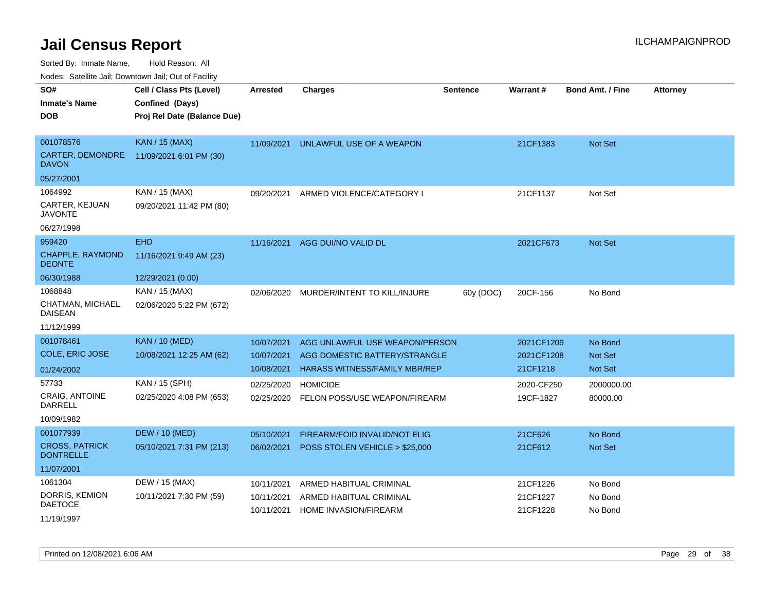Sorted By: Inmate Name, Hold Reason: All

Nodes: Satellite Jail; Downtown Jail; Out of Facility

| SO#<br><b>Inmate's Name</b><br><b>DOB</b> | Cell / Class Pts (Level)<br>Confined (Days)<br>Proj Rel Date (Balance Due) | <b>Arrested</b> | <b>Charges</b>                       | <b>Sentence</b> | Warrant#   | <b>Bond Amt. / Fine</b> | <b>Attorney</b> |
|-------------------------------------------|----------------------------------------------------------------------------|-----------------|--------------------------------------|-----------------|------------|-------------------------|-----------------|
| 001078576                                 | <b>KAN / 15 (MAX)</b>                                                      | 11/09/2021      | UNLAWFUL USE OF A WEAPON             |                 | 21CF1383   | Not Set                 |                 |
| CARTER, DEMONDRE<br><b>DAVON</b>          | 11/09/2021 6:01 PM (30)                                                    |                 |                                      |                 |            |                         |                 |
| 05/27/2001                                |                                                                            |                 |                                      |                 |            |                         |                 |
| 1064992                                   | KAN / 15 (MAX)                                                             | 09/20/2021      | ARMED VIOLENCE/CATEGORY I            |                 | 21CF1137   | Not Set                 |                 |
| CARTER, KEJUAN<br><b>JAVONTE</b>          | 09/20/2021 11:42 PM (80)                                                   |                 |                                      |                 |            |                         |                 |
| 06/27/1998                                |                                                                            |                 |                                      |                 |            |                         |                 |
| 959420                                    | <b>EHD</b>                                                                 | 11/16/2021      | AGG DUI/NO VALID DL                  |                 | 2021CF673  | <b>Not Set</b>          |                 |
| CHAPPLE, RAYMOND<br><b>DEONTE</b>         | 11/16/2021 9:49 AM (23)                                                    |                 |                                      |                 |            |                         |                 |
| 06/30/1988                                | 12/29/2021 (0.00)                                                          |                 |                                      |                 |            |                         |                 |
| 1068848                                   | KAN / 15 (MAX)                                                             | 02/06/2020      | MURDER/INTENT TO KILL/INJURE         | 60y (DOC)       | 20CF-156   | No Bond                 |                 |
| CHATMAN, MICHAEL<br><b>DAISEAN</b>        | 02/06/2020 5:22 PM (672)                                                   |                 |                                      |                 |            |                         |                 |
| 11/12/1999                                |                                                                            |                 |                                      |                 |            |                         |                 |
| 001078461                                 | <b>KAN / 10 (MED)</b>                                                      | 10/07/2021      | AGG UNLAWFUL USE WEAPON/PERSON       |                 | 2021CF1209 | No Bond                 |                 |
| <b>COLE, ERIC JOSE</b>                    | 10/08/2021 12:25 AM (62)                                                   | 10/07/2021      | AGG DOMESTIC BATTERY/STRANGLE        |                 | 2021CF1208 | <b>Not Set</b>          |                 |
| 01/24/2002                                |                                                                            | 10/08/2021      | <b>HARASS WITNESS/FAMILY MBR/REP</b> |                 | 21CF1218   | <b>Not Set</b>          |                 |
| 57733                                     | KAN / 15 (SPH)                                                             | 02/25/2020      | <b>HOMICIDE</b>                      |                 | 2020-CF250 | 2000000.00              |                 |
| CRAIG, ANTOINE<br><b>DARRELL</b>          | 02/25/2020 4:08 PM (653)                                                   | 02/25/2020      | FELON POSS/USE WEAPON/FIREARM        |                 | 19CF-1827  | 80000.00                |                 |
| 10/09/1982                                |                                                                            |                 |                                      |                 |            |                         |                 |
| 001077939                                 | <b>DEW / 10 (MED)</b>                                                      | 05/10/2021      | FIREARM/FOID INVALID/NOT ELIG        |                 | 21CF526    | No Bond                 |                 |
| <b>CROSS, PATRICK</b><br><b>DONTRELLE</b> | 05/10/2021 7:31 PM (213)                                                   | 06/02/2021      | POSS STOLEN VEHICLE > \$25,000       |                 | 21CF612    | <b>Not Set</b>          |                 |
| 11/07/2001                                |                                                                            |                 |                                      |                 |            |                         |                 |
| 1061304                                   | DEW / 15 (MAX)                                                             | 10/11/2021      | ARMED HABITUAL CRIMINAL              |                 | 21CF1226   | No Bond                 |                 |
| DORRIS, KEMION<br><b>DAETOCE</b>          | 10/11/2021 7:30 PM (59)                                                    | 10/11/2021      | ARMED HABITUAL CRIMINAL              |                 | 21CF1227   | No Bond                 |                 |
| 11/19/1997                                |                                                                            | 10/11/2021      | <b>HOME INVASION/FIREARM</b>         |                 | 21CF1228   | No Bond                 |                 |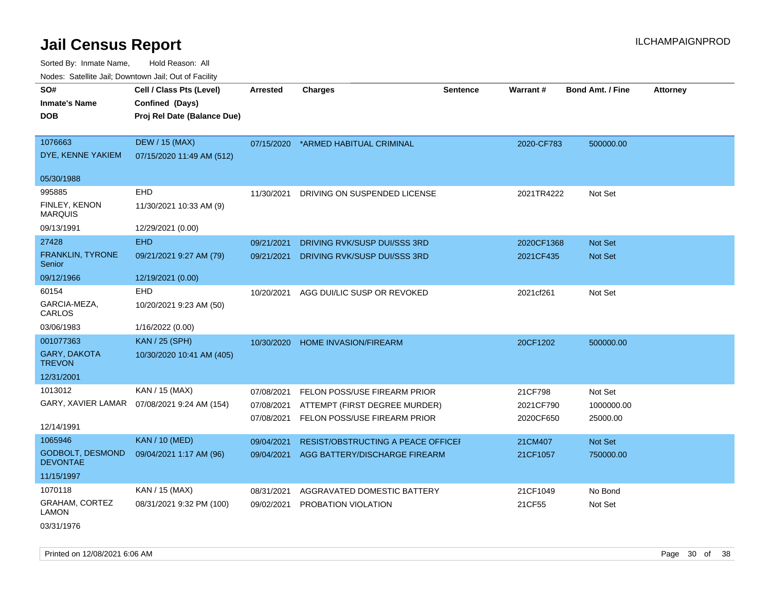Sorted By: Inmate Name, Hold Reason: All Nodes: Satellite Jail; Downtown Jail; Out of Facility

| SO#<br><b>Inmate's Name</b>           | Cell / Class Pts (Level)<br>Confined (Days)  | <b>Arrested</b> | <b>Charges</b>                     | <b>Sentence</b> | Warrant#   | <b>Bond Amt. / Fine</b> | <b>Attorney</b> |
|---------------------------------------|----------------------------------------------|-----------------|------------------------------------|-----------------|------------|-------------------------|-----------------|
| <b>DOB</b>                            | Proj Rel Date (Balance Due)                  |                 |                                    |                 |            |                         |                 |
| 1076663                               | <b>DEW / 15 (MAX)</b>                        | 07/15/2020      | *ARMED HABITUAL CRIMINAL           |                 | 2020-CF783 | 500000.00               |                 |
| DYE, KENNE YAKIEM                     | 07/15/2020 11:49 AM (512)                    |                 |                                    |                 |            |                         |                 |
| 05/30/1988                            |                                              |                 |                                    |                 |            |                         |                 |
| 995885                                | <b>EHD</b>                                   | 11/30/2021      | DRIVING ON SUSPENDED LICENSE       |                 | 2021TR4222 | Not Set                 |                 |
| FINLEY, KENON<br><b>MARQUIS</b>       | 11/30/2021 10:33 AM (9)                      |                 |                                    |                 |            |                         |                 |
| 09/13/1991                            | 12/29/2021 (0.00)                            |                 |                                    |                 |            |                         |                 |
| 27428                                 | <b>EHD</b>                                   | 09/21/2021      | DRIVING RVK/SUSP DUI/SSS 3RD       |                 | 2020CF1368 | <b>Not Set</b>          |                 |
| FRANKLIN, TYRONE<br>Senior            | 09/21/2021 9:27 AM (79)                      | 09/21/2021      | DRIVING RVK/SUSP DUI/SSS 3RD       |                 | 2021CF435  | <b>Not Set</b>          |                 |
| 09/12/1966                            | 12/19/2021 (0.00)                            |                 |                                    |                 |            |                         |                 |
| 60154                                 | <b>EHD</b>                                   | 10/20/2021      | AGG DUI/LIC SUSP OR REVOKED        |                 | 2021cf261  | Not Set                 |                 |
| GARCIA-MEZA,<br>CARLOS                | 10/20/2021 9:23 AM (50)                      |                 |                                    |                 |            |                         |                 |
| 03/06/1983                            | 1/16/2022 (0.00)                             |                 |                                    |                 |            |                         |                 |
| 001077363                             | <b>KAN / 25 (SPH)</b>                        | 10/30/2020      | <b>HOME INVASION/FIREARM</b>       |                 | 20CF1202   | 500000.00               |                 |
| <b>GARY, DAKOTA</b><br><b>TREVON</b>  | 10/30/2020 10:41 AM (405)                    |                 |                                    |                 |            |                         |                 |
| 12/31/2001                            |                                              |                 |                                    |                 |            |                         |                 |
| 1013012                               | KAN / 15 (MAX)                               | 07/08/2021      | FELON POSS/USE FIREARM PRIOR       |                 | 21CF798    | Not Set                 |                 |
|                                       | GARY, XAVIER LAMAR  07/08/2021 9:24 AM (154) | 07/08/2021      | ATTEMPT (FIRST DEGREE MURDER)      |                 | 2021CF790  | 1000000.00              |                 |
| 12/14/1991                            |                                              | 07/08/2021      | FELON POSS/USE FIREARM PRIOR       |                 | 2020CF650  | 25000.00                |                 |
| 1065946                               | <b>KAN / 10 (MED)</b>                        | 09/04/2021      | RESIST/OBSTRUCTING A PEACE OFFICEF |                 | 21CM407    | Not Set                 |                 |
| GODBOLT, DESMOND<br><b>DEVONTAE</b>   | 09/04/2021 1:17 AM (96)                      | 09/04/2021      | AGG BATTERY/DISCHARGE FIREARM      |                 | 21CF1057   | 750000.00               |                 |
| 11/15/1997                            |                                              |                 |                                    |                 |            |                         |                 |
| 1070118                               | KAN / 15 (MAX)                               | 08/31/2021      | AGGRAVATED DOMESTIC BATTERY        |                 | 21CF1049   | No Bond                 |                 |
| <b>GRAHAM, CORTEZ</b><br><b>LAMON</b> | 08/31/2021 9:32 PM (100)                     | 09/02/2021      | PROBATION VIOLATION                |                 | 21CF55     | Not Set                 |                 |

03/31/1976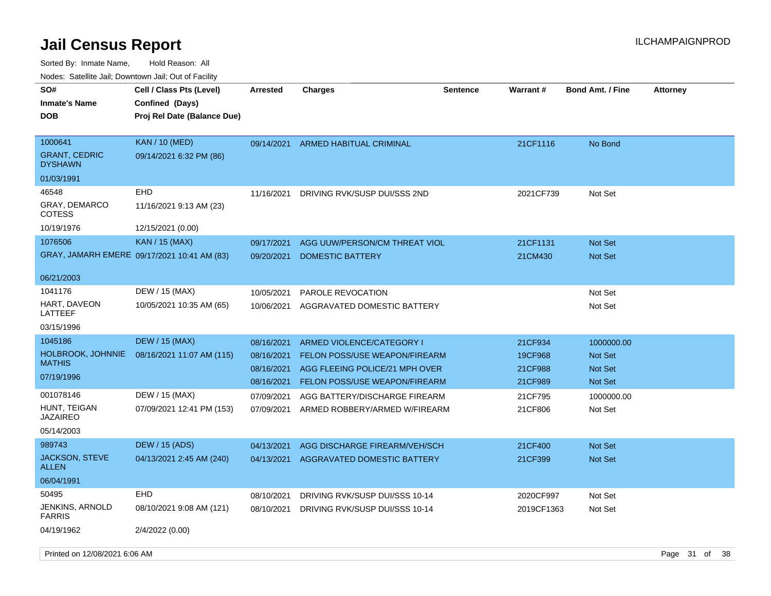| roaco. Catolino dall, Downtown dall, Out of Fability |                                                                            |            |                                |                 |                 |                         |                 |
|------------------------------------------------------|----------------------------------------------------------------------------|------------|--------------------------------|-----------------|-----------------|-------------------------|-----------------|
| SO#<br><b>Inmate's Name</b><br><b>DOB</b>            | Cell / Class Pts (Level)<br>Confined (Days)<br>Proj Rel Date (Balance Due) | Arrested   | <b>Charges</b>                 | <b>Sentence</b> | <b>Warrant#</b> | <b>Bond Amt. / Fine</b> | <b>Attorney</b> |
| 1000641<br><b>GRANT, CEDRIC</b><br><b>DYSHAWN</b>    | <b>KAN / 10 (MED)</b><br>09/14/2021 6:32 PM (86)                           | 09/14/2021 | ARMED HABITUAL CRIMINAL        |                 | 21CF1116        | No Bond                 |                 |
| 01/03/1991                                           |                                                                            |            |                                |                 |                 |                         |                 |
| 46548                                                | EHD                                                                        | 11/16/2021 | DRIVING RVK/SUSP DUI/SSS 2ND   |                 | 2021CF739       | Not Set                 |                 |
| <b>GRAY, DEMARCO</b><br>COTESS                       | 11/16/2021 9:13 AM (23)                                                    |            |                                |                 |                 |                         |                 |
| 10/19/1976                                           | 12/15/2021 (0.00)                                                          |            |                                |                 |                 |                         |                 |
| 1076506                                              | <b>KAN</b> / 15 (MAX)                                                      | 09/17/2021 | AGG UUW/PERSON/CM THREAT VIOL  |                 | 21CF1131        | <b>Not Set</b>          |                 |
|                                                      | GRAY, JAMARH EMERE 09/17/2021 10:41 AM (83)                                | 09/20/2021 | <b>DOMESTIC BATTERY</b>        |                 | 21CM430         | <b>Not Set</b>          |                 |
| 06/21/2003                                           |                                                                            |            |                                |                 |                 |                         |                 |
| 1041176                                              | DEW / 15 (MAX)                                                             | 10/05/2021 | PAROLE REVOCATION              |                 |                 | Not Set                 |                 |
| HART, DAVEON<br>LATTEEF                              | 10/05/2021 10:35 AM (65)                                                   | 10/06/2021 | AGGRAVATED DOMESTIC BATTERY    |                 |                 | Not Set                 |                 |
| 03/15/1996                                           |                                                                            |            |                                |                 |                 |                         |                 |
| 1045186                                              | <b>DEW / 15 (MAX)</b>                                                      | 08/16/2021 | ARMED VIOLENCE/CATEGORY I      |                 | 21CF934         | 1000000.00              |                 |
| <b>HOLBROOK, JOHNNIE</b><br><b>MATHIS</b>            | 08/16/2021 11:07 AM (115)                                                  | 08/16/2021 | FELON POSS/USE WEAPON/FIREARM  |                 | 19CF968         | <b>Not Set</b>          |                 |
| 07/19/1996                                           |                                                                            | 08/16/2021 | AGG FLEEING POLICE/21 MPH OVER |                 | 21CF988         | <b>Not Set</b>          |                 |
|                                                      |                                                                            | 08/16/2021 | FELON POSS/USE WEAPON/FIREARM  |                 | 21CF989         | Not Set                 |                 |
| 001078146<br>HUNT, TEIGAN                            | DEW / 15 (MAX)                                                             | 07/09/2021 | AGG BATTERY/DISCHARGE FIREARM  |                 | 21CF795         | 1000000.00              |                 |
| JAZAIREO                                             | 07/09/2021 12:41 PM (153)                                                  | 07/09/2021 | ARMED ROBBERY/ARMED W/FIREARM  |                 | 21CF806         | Not Set                 |                 |
| 05/14/2003                                           |                                                                            |            |                                |                 |                 |                         |                 |
| 989743                                               | DEW / 15 (ADS)                                                             | 04/13/2021 | AGG DISCHARGE FIREARM/VEH/SCH  |                 | 21CF400         | <b>Not Set</b>          |                 |
| <b>JACKSON, STEVE</b><br>ALLEN                       | 04/13/2021 2:45 AM (240)                                                   | 04/13/2021 | AGGRAVATED DOMESTIC BATTERY    |                 | 21CF399         | <b>Not Set</b>          |                 |
| 06/04/1991                                           |                                                                            |            |                                |                 |                 |                         |                 |
| 50495                                                | EHD                                                                        | 08/10/2021 | DRIVING RVK/SUSP DUI/SSS 10-14 |                 | 2020CF997       | Not Set                 |                 |
| JENKINS, ARNOLD<br><b>FARRIS</b>                     | 08/10/2021 9:08 AM (121)                                                   | 08/10/2021 | DRIVING RVK/SUSP DUI/SSS 10-14 |                 | 2019CF1363      | Not Set                 |                 |
| 04/19/1962                                           | 2/4/2022 (0.00)                                                            |            |                                |                 |                 |                         |                 |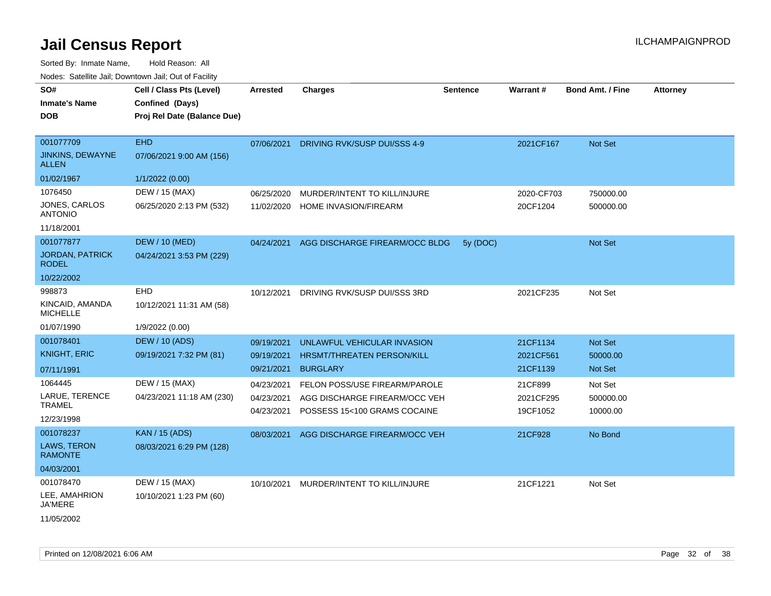Sorted By: Inmate Name, Hold Reason: All

|                                        | Nodes: Satellite Jail; Downtown Jail; Out of Facility |                 |                                   |                 |                 |                         |                 |
|----------------------------------------|-------------------------------------------------------|-----------------|-----------------------------------|-----------------|-----------------|-------------------------|-----------------|
| SO#                                    | Cell / Class Pts (Level)                              | <b>Arrested</b> | <b>Charges</b>                    | <b>Sentence</b> | <b>Warrant#</b> | <b>Bond Amt. / Fine</b> | <b>Attorney</b> |
| <b>Inmate's Name</b>                   | Confined (Days)                                       |                 |                                   |                 |                 |                         |                 |
| <b>DOB</b>                             | Proj Rel Date (Balance Due)                           |                 |                                   |                 |                 |                         |                 |
|                                        |                                                       |                 |                                   |                 |                 |                         |                 |
| 001077709                              | <b>EHD</b>                                            | 07/06/2021      | DRIVING RVK/SUSP DUI/SSS 4-9      |                 | 2021CF167       | Not Set                 |                 |
| JINKINS, DEWAYNE<br><b>ALLEN</b>       | 07/06/2021 9:00 AM (156)                              |                 |                                   |                 |                 |                         |                 |
| 01/02/1967                             | 1/1/2022 (0.00)                                       |                 |                                   |                 |                 |                         |                 |
| 1076450                                | DEW / 15 (MAX)                                        | 06/25/2020      | MURDER/INTENT TO KILL/INJURE      |                 | 2020-CF703      | 750000.00               |                 |
| JONES, CARLOS<br><b>ANTONIO</b>        | 06/25/2020 2:13 PM (532)                              | 11/02/2020      | HOME INVASION/FIREARM             |                 | 20CF1204        | 500000.00               |                 |
| 11/18/2001                             |                                                       |                 |                                   |                 |                 |                         |                 |
| 001077877                              | <b>DEW / 10 (MED)</b>                                 | 04/24/2021      | AGG DISCHARGE FIREARM/OCC BLDG    | 5y (DOC)        |                 | <b>Not Set</b>          |                 |
| <b>JORDAN, PATRICK</b><br><b>RODEL</b> | 04/24/2021 3:53 PM (229)                              |                 |                                   |                 |                 |                         |                 |
| 10/22/2002                             |                                                       |                 |                                   |                 |                 |                         |                 |
| 998873                                 | EHD                                                   | 10/12/2021      | DRIVING RVK/SUSP DUI/SSS 3RD      |                 | 2021CF235       | Not Set                 |                 |
| KINCAID, AMANDA<br><b>MICHELLE</b>     | 10/12/2021 11:31 AM (58)                              |                 |                                   |                 |                 |                         |                 |
| 01/07/1990                             | 1/9/2022 (0.00)                                       |                 |                                   |                 |                 |                         |                 |
| 001078401                              | <b>DEW / 10 (ADS)</b>                                 | 09/19/2021      | UNLAWFUL VEHICULAR INVASION       |                 | 21CF1134        | Not Set                 |                 |
| <b>KNIGHT, ERIC</b>                    | 09/19/2021 7:32 PM (81)                               | 09/19/2021      | <b>HRSMT/THREATEN PERSON/KILL</b> |                 | 2021CF561       | 50000.00                |                 |
| 07/11/1991                             |                                                       | 09/21/2021      | <b>BURGLARY</b>                   |                 | 21CF1139        | Not Set                 |                 |
| 1064445                                | DEW / 15 (MAX)                                        | 04/23/2021      | FELON POSS/USE FIREARM/PAROLE     |                 | 21CF899         | Not Set                 |                 |
| LARUE, TERENCE                         | 04/23/2021 11:18 AM (230)                             | 04/23/2021      | AGG DISCHARGE FIREARM/OCC VEH     |                 | 2021CF295       | 500000.00               |                 |
| <b>TRAMEL</b>                          |                                                       | 04/23/2021      | POSSESS 15<100 GRAMS COCAINE      |                 | 19CF1052        | 10000.00                |                 |
| 12/23/1998                             |                                                       |                 |                                   |                 |                 |                         |                 |
| 001078237                              | <b>KAN / 15 (ADS)</b>                                 | 08/03/2021      | AGG DISCHARGE FIREARM/OCC VEH     |                 | 21CF928         | No Bond                 |                 |
| LAWS, TERON<br><b>RAMONTE</b>          | 08/03/2021 6:29 PM (128)                              |                 |                                   |                 |                 |                         |                 |
| 04/03/2001                             |                                                       |                 |                                   |                 |                 |                         |                 |
| 001078470                              | DEW / 15 (MAX)                                        | 10/10/2021      | MURDER/INTENT TO KILL/INJURE      |                 | 21CF1221        | Not Set                 |                 |
| LEE, AMAHRION<br><b>JA'MERE</b>        | 10/10/2021 1:23 PM (60)                               |                 |                                   |                 |                 |                         |                 |
| 11/05/2002                             |                                                       |                 |                                   |                 |                 |                         |                 |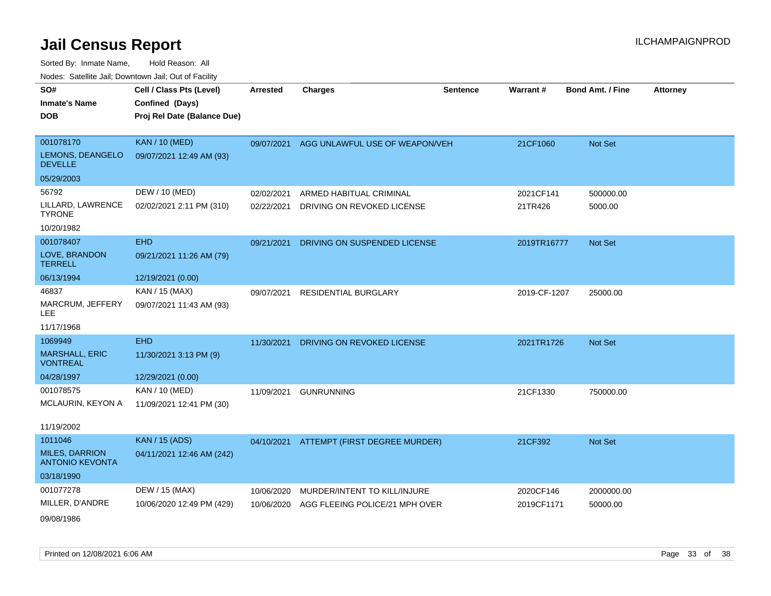| SO#                                             | Cell / Class Pts (Level)    | <b>Arrested</b> | <b>Charges</b>                           | <b>Sentence</b> | Warrant#     | <b>Bond Amt. / Fine</b> | <b>Attorney</b> |
|-------------------------------------------------|-----------------------------|-----------------|------------------------------------------|-----------------|--------------|-------------------------|-----------------|
| <b>Inmate's Name</b>                            | Confined (Days)             |                 |                                          |                 |              |                         |                 |
| <b>DOB</b>                                      | Proj Rel Date (Balance Due) |                 |                                          |                 |              |                         |                 |
|                                                 |                             |                 |                                          |                 |              |                         |                 |
| 001078170                                       | <b>KAN / 10 (MED)</b>       | 09/07/2021      | AGG UNLAWFUL USE OF WEAPON/VEH           |                 | 21CF1060     | Not Set                 |                 |
| LEMONS, DEANGELO<br><b>DEVELLE</b>              | 09/07/2021 12:49 AM (93)    |                 |                                          |                 |              |                         |                 |
| 05/29/2003                                      |                             |                 |                                          |                 |              |                         |                 |
| 56792                                           | DEW / 10 (MED)              | 02/02/2021      | ARMED HABITUAL CRIMINAL                  |                 | 2021CF141    | 500000.00               |                 |
| LILLARD, LAWRENCE<br><b>TYRONE</b>              | 02/02/2021 2:11 PM (310)    | 02/22/2021      | DRIVING ON REVOKED LICENSE               |                 | 21TR426      | 5000.00                 |                 |
| 10/20/1982                                      |                             |                 |                                          |                 |              |                         |                 |
| 001078407                                       | <b>EHD</b>                  | 09/21/2021      | DRIVING ON SUSPENDED LICENSE             |                 | 2019TR16777  | Not Set                 |                 |
| LOVE, BRANDON<br><b>TERRELL</b>                 | 09/21/2021 11:26 AM (79)    |                 |                                          |                 |              |                         |                 |
| 06/13/1994                                      | 12/19/2021 (0.00)           |                 |                                          |                 |              |                         |                 |
| 46837                                           | KAN / 15 (MAX)              | 09/07/2021      | <b>RESIDENTIAL BURGLARY</b>              |                 | 2019-CF-1207 | 25000.00                |                 |
| MARCRUM, JEFFERY<br>LEE.                        | 09/07/2021 11:43 AM (93)    |                 |                                          |                 |              |                         |                 |
| 11/17/1968                                      |                             |                 |                                          |                 |              |                         |                 |
| 1069949                                         | <b>EHD</b>                  | 11/30/2021      | DRIVING ON REVOKED LICENSE               |                 | 2021TR1726   | <b>Not Set</b>          |                 |
| <b>MARSHALL, ERIC</b><br><b>VONTREAL</b>        | 11/30/2021 3:13 PM (9)      |                 |                                          |                 |              |                         |                 |
| 04/28/1997                                      | 12/29/2021 (0.00)           |                 |                                          |                 |              |                         |                 |
| 001078575                                       | KAN / 10 (MED)              | 11/09/2021      | <b>GUNRUNNING</b>                        |                 | 21CF1330     | 750000.00               |                 |
| MCLAURIN, KEYON A                               | 11/09/2021 12:41 PM (30)    |                 |                                          |                 |              |                         |                 |
| 11/19/2002                                      |                             |                 |                                          |                 |              |                         |                 |
| 1011046                                         | <b>KAN</b> / 15 (ADS)       |                 | 04/10/2021 ATTEMPT (FIRST DEGREE MURDER) |                 | 21CF392      | Not Set                 |                 |
| <b>MILES, DARRION</b><br><b>ANTONIO KEVONTA</b> | 04/11/2021 12:46 AM (242)   |                 |                                          |                 |              |                         |                 |
| 03/18/1990                                      |                             |                 |                                          |                 |              |                         |                 |
| 001077278                                       | DEW / 15 (MAX)              | 10/06/2020      | MURDER/INTENT TO KILL/INJURE             |                 | 2020CF146    | 2000000.00              |                 |
| MILLER, D'ANDRE                                 | 10/06/2020 12:49 PM (429)   | 10/06/2020      | AGG FLEEING POLICE/21 MPH OVER           |                 | 2019CF1171   | 50000.00                |                 |
| 09/08/1986                                      |                             |                 |                                          |                 |              |                         |                 |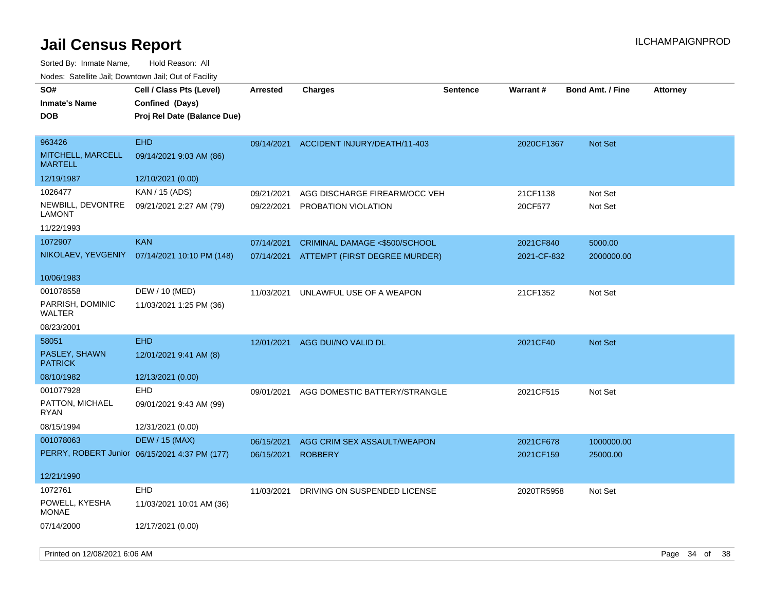| SO#<br><b>Inmate's Name</b><br><b>DOB</b>     | Cell / Class Pts (Level)<br>Confined (Days)<br>Proj Rel Date (Balance Due) | <b>Arrested</b> | <b>Charges</b>                          | <b>Sentence</b> | Warrant#    | <b>Bond Amt. / Fine</b> | <b>Attorney</b> |
|-----------------------------------------------|----------------------------------------------------------------------------|-----------------|-----------------------------------------|-----------------|-------------|-------------------------|-----------------|
| 963426<br>MITCHELL, MARCELL<br><b>MARTELL</b> | <b>EHD</b><br>09/14/2021 9:03 AM (86)                                      |                 | 09/14/2021 ACCIDENT INJURY/DEATH/11-403 |                 | 2020CF1367  | Not Set                 |                 |
| 12/19/1987                                    | 12/10/2021 (0.00)                                                          |                 |                                         |                 |             |                         |                 |
| 1026477                                       | KAN / 15 (ADS)                                                             | 09/21/2021      | AGG DISCHARGE FIREARM/OCC VEH           |                 | 21CF1138    | Not Set                 |                 |
| NEWBILL, DEVONTRE<br><b>LAMONT</b>            | 09/21/2021 2:27 AM (79)                                                    | 09/22/2021      | PROBATION VIOLATION                     |                 | 20CF577     | Not Set                 |                 |
| 11/22/1993                                    |                                                                            |                 |                                         |                 |             |                         |                 |
| 1072907                                       | <b>KAN</b>                                                                 | 07/14/2021      | CRIMINAL DAMAGE <\$500/SCHOOL           |                 | 2021CF840   | 5000.00                 |                 |
| NIKOLAEV, YEVGENIY                            | 07/14/2021 10:10 PM (148)                                                  | 07/14/2021      | ATTEMPT (FIRST DEGREE MURDER)           |                 | 2021-CF-832 | 2000000.00              |                 |
| 10/06/1983                                    |                                                                            |                 |                                         |                 |             |                         |                 |
| 001078558                                     | DEW / 10 (MED)                                                             | 11/03/2021      | UNLAWFUL USE OF A WEAPON                |                 | 21CF1352    | Not Set                 |                 |
| PARRISH, DOMINIC<br>WALTER                    | 11/03/2021 1:25 PM (36)                                                    |                 |                                         |                 |             |                         |                 |
| 08/23/2001                                    |                                                                            |                 |                                         |                 |             |                         |                 |
| 58051                                         | <b>EHD</b>                                                                 | 12/01/2021      | AGG DUI/NO VALID DL                     |                 | 2021CF40    | Not Set                 |                 |
| PASLEY, SHAWN<br><b>PATRICK</b>               | 12/01/2021 9:41 AM (8)                                                     |                 |                                         |                 |             |                         |                 |
| 08/10/1982                                    | 12/13/2021 (0.00)                                                          |                 |                                         |                 |             |                         |                 |
| 001077928                                     | <b>EHD</b>                                                                 | 09/01/2021      | AGG DOMESTIC BATTERY/STRANGLE           |                 | 2021CF515   | Not Set                 |                 |
| PATTON, MICHAEL<br><b>RYAN</b>                | 09/01/2021 9:43 AM (99)                                                    |                 |                                         |                 |             |                         |                 |
| 08/15/1994                                    | 12/31/2021 (0.00)                                                          |                 |                                         |                 |             |                         |                 |
| 001078063                                     | <b>DEW / 15 (MAX)</b>                                                      | 06/15/2021      | AGG CRIM SEX ASSAULT/WEAPON             |                 | 2021CF678   | 1000000.00              |                 |
|                                               | PERRY, ROBERT Junior 06/15/2021 4:37 PM (177)                              | 06/15/2021      | <b>ROBBERY</b>                          |                 | 2021CF159   | 25000.00                |                 |
| 12/21/1990                                    |                                                                            |                 |                                         |                 |             |                         |                 |
| 1072761                                       | <b>EHD</b>                                                                 | 11/03/2021      | DRIVING ON SUSPENDED LICENSE            |                 | 2020TR5958  | Not Set                 |                 |
| POWELL, KYESHA<br><b>MONAE</b>                | 11/03/2021 10:01 AM (36)                                                   |                 |                                         |                 |             |                         |                 |
| 07/14/2000                                    | 12/17/2021 (0.00)                                                          |                 |                                         |                 |             |                         |                 |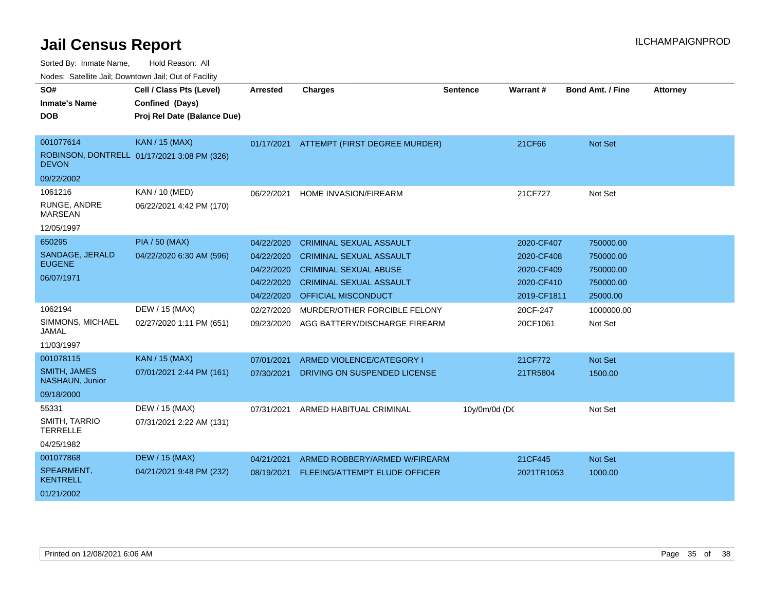| vouco. Odichite dall, Downtown dall, Out of Facility |                                             |                 |                                |                 |                 |                         |                 |
|------------------------------------------------------|---------------------------------------------|-----------------|--------------------------------|-----------------|-----------------|-------------------------|-----------------|
| SO#                                                  | Cell / Class Pts (Level)                    | <b>Arrested</b> | <b>Charges</b>                 | <b>Sentence</b> | <b>Warrant#</b> | <b>Bond Amt. / Fine</b> | <b>Attorney</b> |
| <b>Inmate's Name</b>                                 | Confined (Days)                             |                 |                                |                 |                 |                         |                 |
| <b>DOB</b>                                           | Proj Rel Date (Balance Due)                 |                 |                                |                 |                 |                         |                 |
|                                                      |                                             |                 |                                |                 |                 |                         |                 |
| 001077614                                            | <b>KAN / 15 (MAX)</b>                       | 01/17/2021      | ATTEMPT (FIRST DEGREE MURDER)  |                 | 21CF66          | <b>Not Set</b>          |                 |
| <b>DEVON</b>                                         | ROBINSON, DONTRELL 01/17/2021 3:08 PM (326) |                 |                                |                 |                 |                         |                 |
| 09/22/2002                                           |                                             |                 |                                |                 |                 |                         |                 |
| 1061216                                              | KAN / 10 (MED)                              | 06/22/2021      | HOME INVASION/FIREARM          |                 | 21CF727         | Not Set                 |                 |
| RUNGE, ANDRE<br><b>MARSEAN</b>                       | 06/22/2021 4:42 PM (170)                    |                 |                                |                 |                 |                         |                 |
| 12/05/1997                                           |                                             |                 |                                |                 |                 |                         |                 |
| 650295                                               | <b>PIA / 50 (MAX)</b>                       | 04/22/2020      | <b>CRIMINAL SEXUAL ASSAULT</b> |                 | 2020-CF407      | 750000.00               |                 |
| SANDAGE, JERALD                                      | 04/22/2020 6:30 AM (596)                    | 04/22/2020      | <b>CRIMINAL SEXUAL ASSAULT</b> |                 | 2020-CF408      | 750000.00               |                 |
| <b>EUGENE</b>                                        |                                             | 04/22/2020      | <b>CRIMINAL SEXUAL ABUSE</b>   |                 | 2020-CF409      | 750000.00               |                 |
| 06/07/1971                                           |                                             | 04/22/2020      | <b>CRIMINAL SEXUAL ASSAULT</b> |                 | 2020-CF410      | 750000.00               |                 |
|                                                      |                                             | 04/22/2020      | <b>OFFICIAL MISCONDUCT</b>     |                 | 2019-CF1811     | 25000.00                |                 |
| 1062194                                              | DEW / 15 (MAX)                              | 02/27/2020      | MURDER/OTHER FORCIBLE FELONY   |                 | 20CF-247        | 1000000.00              |                 |
| SIMMONS, MICHAEL<br>JAMAL                            | 02/27/2020 1:11 PM (651)                    | 09/23/2020      | AGG BATTERY/DISCHARGE FIREARM  |                 | 20CF1061        | Not Set                 |                 |
| 11/03/1997                                           |                                             |                 |                                |                 |                 |                         |                 |
| 001078115                                            | KAN / 15 (MAX)                              | 07/01/2021      | ARMED VIOLENCE/CATEGORY I      |                 | 21CF772         | Not Set                 |                 |
| <b>SMITH, JAMES</b><br>NASHAUN, Junior               | 07/01/2021 2:44 PM (161)                    | 07/30/2021      | DRIVING ON SUSPENDED LICENSE   |                 | 21TR5804        | 1500.00                 |                 |
| 09/18/2000                                           |                                             |                 |                                |                 |                 |                         |                 |
| 55331                                                | DEW / 15 (MAX)                              | 07/31/2021      | ARMED HABITUAL CRIMINAL        | 10y/0m/0d (DC   |                 | Not Set                 |                 |
| SMITH, TARRIO<br><b>TERRELLE</b>                     | 07/31/2021 2:22 AM (131)                    |                 |                                |                 |                 |                         |                 |
| 04/25/1982                                           |                                             |                 |                                |                 |                 |                         |                 |
| 001077868                                            | <b>DEW / 15 (MAX)</b>                       | 04/21/2021      | ARMED ROBBERY/ARMED W/FIREARM  |                 | 21CF445         | <b>Not Set</b>          |                 |
| SPEARMENT,<br><b>KENTRELL</b>                        | 04/21/2021 9:48 PM (232)                    | 08/19/2021      | FLEEING/ATTEMPT ELUDE OFFICER  |                 | 2021TR1053      | 1000.00                 |                 |
| 01/21/2002                                           |                                             |                 |                                |                 |                 |                         |                 |
|                                                      |                                             |                 |                                |                 |                 |                         |                 |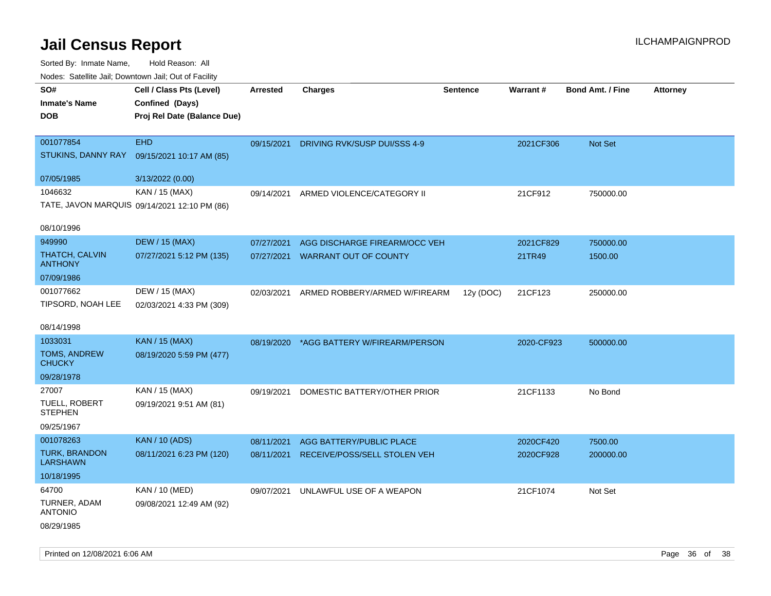Sorted By: Inmate Name, Hold Reason: All

| Nodes: Satellite Jail; Downtown Jail; Out of Facility |                                              |                 |                               |                 |                 |                  |                 |  |
|-------------------------------------------------------|----------------------------------------------|-----------------|-------------------------------|-----------------|-----------------|------------------|-----------------|--|
| SO#                                                   | Cell / Class Pts (Level)                     | <b>Arrested</b> | <b>Charges</b>                | <b>Sentence</b> | <b>Warrant#</b> | Bond Amt. / Fine | <b>Attorney</b> |  |
| <b>Inmate's Name</b>                                  | Confined (Days)                              |                 |                               |                 |                 |                  |                 |  |
| <b>DOB</b>                                            | Proj Rel Date (Balance Due)                  |                 |                               |                 |                 |                  |                 |  |
|                                                       |                                              |                 |                               |                 |                 |                  |                 |  |
| 001077854                                             | <b>EHD</b>                                   | 09/15/2021      | DRIVING RVK/SUSP DUI/SSS 4-9  |                 | 2021CF306       | Not Set          |                 |  |
| STUKINS, DANNY RAY                                    | 09/15/2021 10:17 AM (85)                     |                 |                               |                 |                 |                  |                 |  |
| 07/05/1985                                            | 3/13/2022 (0.00)                             |                 |                               |                 |                 |                  |                 |  |
| 1046632                                               | KAN / 15 (MAX)                               |                 |                               |                 |                 |                  |                 |  |
|                                                       |                                              | 09/14/2021      | ARMED VIOLENCE/CATEGORY II    |                 | 21CF912         | 750000.00        |                 |  |
|                                                       | TATE, JAVON MARQUIS 09/14/2021 12:10 PM (86) |                 |                               |                 |                 |                  |                 |  |
| 08/10/1996                                            |                                              |                 |                               |                 |                 |                  |                 |  |
| 949990                                                | <b>DEW / 15 (MAX)</b>                        | 07/27/2021      | AGG DISCHARGE FIREARM/OCC VEH |                 | 2021CF829       | 750000.00        |                 |  |
| THATCH, CALVIN                                        | 07/27/2021 5:12 PM (135)                     | 07/27/2021      | <b>WARRANT OUT OF COUNTY</b>  |                 | 21TR49          | 1500.00          |                 |  |
| <b>ANTHONY</b>                                        |                                              |                 |                               |                 |                 |                  |                 |  |
| 07/09/1986                                            |                                              |                 |                               |                 |                 |                  |                 |  |
| 001077662                                             | DEW / 15 (MAX)                               | 02/03/2021      | ARMED ROBBERY/ARMED W/FIREARM | 12y (DOC)       | 21CF123         | 250000.00        |                 |  |
| TIPSORD, NOAH LEE                                     | 02/03/2021 4:33 PM (309)                     |                 |                               |                 |                 |                  |                 |  |
| 08/14/1998                                            |                                              |                 |                               |                 |                 |                  |                 |  |
| 1033031                                               | KAN / 15 (MAX)                               | 08/19/2020      | *AGG BATTERY W/FIREARM/PERSON |                 | 2020-CF923      | 500000.00        |                 |  |
| TOMS, ANDREW                                          | 08/19/2020 5:59 PM (477)                     |                 |                               |                 |                 |                  |                 |  |
| <b>CHUCKY</b>                                         |                                              |                 |                               |                 |                 |                  |                 |  |
| 09/28/1978                                            |                                              |                 |                               |                 |                 |                  |                 |  |
| 27007                                                 | KAN / 15 (MAX)                               | 09/19/2021      | DOMESTIC BATTERY/OTHER PRIOR  |                 | 21CF1133        | No Bond          |                 |  |
| TUELL, ROBERT                                         | 09/19/2021 9:51 AM (81)                      |                 |                               |                 |                 |                  |                 |  |
| <b>STEPHEN</b>                                        |                                              |                 |                               |                 |                 |                  |                 |  |
| 09/25/1967                                            |                                              |                 |                               |                 |                 |                  |                 |  |
| 001078263                                             | <b>KAN / 10 (ADS)</b>                        | 08/11/2021      | AGG BATTERY/PUBLIC PLACE      |                 | 2020CF420       | 7500.00          |                 |  |
| <b>TURK, BRANDON</b><br><b>LARSHAWN</b>               | 08/11/2021 6:23 PM (120)                     | 08/11/2021      | RECEIVE/POSS/SELL STOLEN VEH  |                 | 2020CF928       | 200000.00        |                 |  |
| 10/18/1995                                            |                                              |                 |                               |                 |                 |                  |                 |  |
| 64700                                                 | KAN / 10 (MED)                               | 09/07/2021      | UNLAWFUL USE OF A WEAPON      |                 | 21CF1074        | Not Set          |                 |  |
| TURNER, ADAM                                          | 09/08/2021 12:49 AM (92)                     |                 |                               |                 |                 |                  |                 |  |
| <b>ANTONIO</b>                                        |                                              |                 |                               |                 |                 |                  |                 |  |
| 08/29/1985                                            |                                              |                 |                               |                 |                 |                  |                 |  |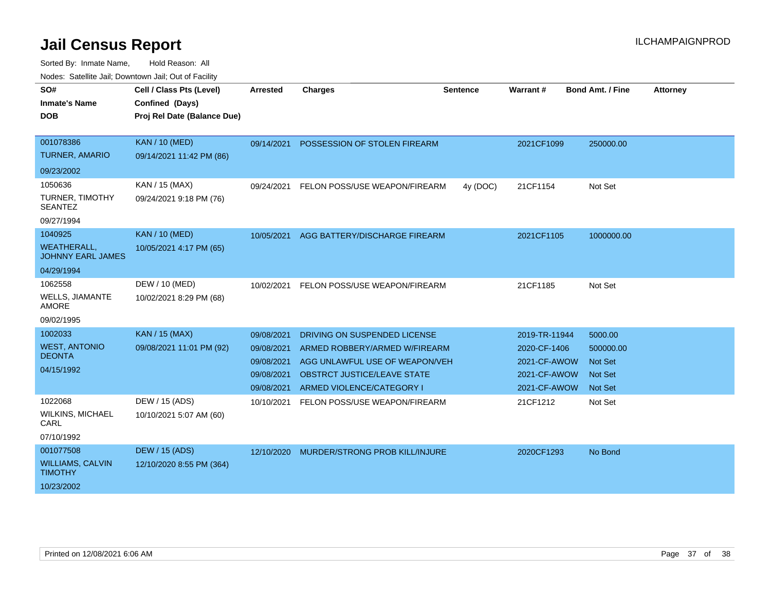| SO#<br><b>Inmate's Name</b>                    | Cell / Class Pts (Level)<br>Confined (Days) | <b>Arrested</b> | <b>Charges</b>                        | <b>Sentence</b> | <b>Warrant#</b> | <b>Bond Amt. / Fine</b> | <b>Attorney</b> |
|------------------------------------------------|---------------------------------------------|-----------------|---------------------------------------|-----------------|-----------------|-------------------------|-----------------|
| <b>DOB</b>                                     | Proj Rel Date (Balance Due)                 |                 |                                       |                 |                 |                         |                 |
|                                                |                                             |                 |                                       |                 |                 |                         |                 |
| 001078386                                      | <b>KAN / 10 (MED)</b>                       | 09/14/2021      | POSSESSION OF STOLEN FIREARM          |                 | 2021CF1099      | 250000.00               |                 |
| <b>TURNER, AMARIO</b>                          | 09/14/2021 11:42 PM (86)                    |                 |                                       |                 |                 |                         |                 |
| 09/23/2002                                     |                                             |                 |                                       |                 |                 |                         |                 |
| 1050636                                        | KAN / 15 (MAX)                              | 09/24/2021      | FELON POSS/USE WEAPON/FIREARM         | 4y (DOC)        | 21CF1154        | Not Set                 |                 |
| <b>TURNER, TIMOTHY</b><br><b>SEANTEZ</b>       | 09/24/2021 9:18 PM (76)                     |                 |                                       |                 |                 |                         |                 |
| 09/27/1994                                     |                                             |                 |                                       |                 |                 |                         |                 |
| 1040925                                        | <b>KAN / 10 (MED)</b>                       | 10/05/2021      | AGG BATTERY/DISCHARGE FIREARM         |                 | 2021CF1105      | 1000000.00              |                 |
| <b>WEATHERALL,</b><br><b>JOHNNY EARL JAMES</b> | 10/05/2021 4:17 PM (65)                     |                 |                                       |                 |                 |                         |                 |
| 04/29/1994                                     |                                             |                 |                                       |                 |                 |                         |                 |
| 1062558                                        | DEW / 10 (MED)                              | 10/02/2021      | FELON POSS/USE WEAPON/FIREARM         |                 | 21CF1185        | Not Set                 |                 |
| <b>WELLS, JIAMANTE</b><br><b>AMORE</b>         | 10/02/2021 8:29 PM (68)                     |                 |                                       |                 |                 |                         |                 |
| 09/02/1995                                     |                                             |                 |                                       |                 |                 |                         |                 |
| 1002033                                        | <b>KAN / 15 (MAX)</b>                       | 09/08/2021      | DRIVING ON SUSPENDED LICENSE          |                 | 2019-TR-11944   | 5000.00                 |                 |
| <b>WEST, ANTONIO</b><br><b>DEONTA</b>          | 09/08/2021 11:01 PM (92)                    | 09/08/2021      | ARMED ROBBERY/ARMED W/FIREARM         |                 | 2020-CF-1406    | 500000.00               |                 |
|                                                |                                             | 09/08/2021      | AGG UNLAWFUL USE OF WEAPON/VEH        |                 | 2021-CF-AWOW    | <b>Not Set</b>          |                 |
| 04/15/1992                                     |                                             | 09/08/2021      | OBSTRCT JUSTICE/LEAVE STATE           |                 | 2021-CF-AWOW    | <b>Not Set</b>          |                 |
|                                                |                                             | 09/08/2021      | ARMED VIOLENCE/CATEGORY I             |                 | 2021-CF-AWOW    | Not Set                 |                 |
| 1022068                                        | DEW / 15 (ADS)                              | 10/10/2021      | FELON POSS/USE WEAPON/FIREARM         |                 | 21CF1212        | Not Set                 |                 |
| <b>WILKINS, MICHAEL</b><br>CARL                | 10/10/2021 5:07 AM (60)                     |                 |                                       |                 |                 |                         |                 |
| 07/10/1992                                     |                                             |                 |                                       |                 |                 |                         |                 |
| 001077508                                      | DEW / 15 (ADS)                              | 12/10/2020      | <b>MURDER/STRONG PROB KILL/INJURE</b> |                 | 2020CF1293      | No Bond                 |                 |
| <b>WILLIAMS, CALVIN</b><br><b>TIMOTHY</b>      | 12/10/2020 8:55 PM (364)                    |                 |                                       |                 |                 |                         |                 |
| 10/23/2002                                     |                                             |                 |                                       |                 |                 |                         |                 |